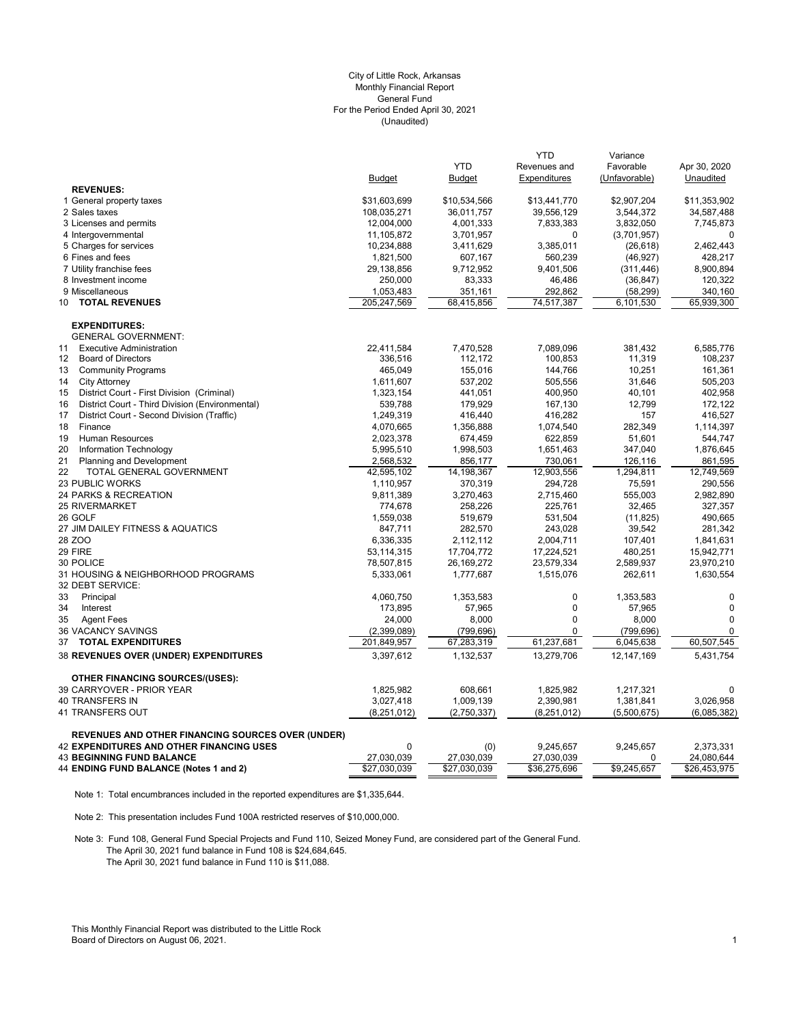#### (Unaudited) City of Little Rock, Arkansas Monthly Financial Report General Fund For the Period Ended April 30, 2021

|                                                       |               | <b>YTD</b>    | <b>YTD</b><br>Revenues and | Variance<br>Favorable | Apr 30, 2020 |
|-------------------------------------------------------|---------------|---------------|----------------------------|-----------------------|--------------|
|                                                       | <b>Budget</b> | <b>Budget</b> | Expenditures               | (Unfavorable)         | Unaudited    |
| <b>REVENUES:</b>                                      |               |               |                            |                       |              |
| 1 General property taxes                              | \$31,603,699  | \$10,534,566  | \$13,441,770               | \$2,907,204           | \$11,353,902 |
| 2 Sales taxes                                         | 108,035,271   | 36,011,757    | 39,556,129                 | 3,544,372             | 34,587,488   |
| 3 Licenses and permits                                | 12,004,000    | 4,001,333     | 7,833,383                  | 3,832,050             | 7,745,873    |
| 4 Intergovernmental                                   | 11,105,872    | 3,701,957     | $\Omega$                   | (3,701,957)           | $\Omega$     |
| 5 Charges for services                                | 10,234,888    | 3,411,629     | 3,385,011                  | (26, 618)             | 2,462,443    |
| 6 Fines and fees                                      | 1,821,500     | 607,167       | 560,239                    | (46,927)              | 428,217      |
| 7 Utility franchise fees                              | 29,138,856    | 9,712,952     | 9,401,506                  | (311, 446)            | 8,900,894    |
| 8 Investment income                                   | 250,000       | 83,333        | 46,486                     | (36, 847)             | 120,322      |
| 9 Miscellaneous                                       | 1,053,483     | 351,161       | 292,862                    | (58,299)              | 340,160      |
| <b>TOTAL REVENUES</b><br>10                           | 205,247,569   | 68,415,856    | 74,517,387                 | 6,101,530             | 65,939,300   |
| <b>EXPENDITURES:</b>                                  |               |               |                            |                       |              |
| <b>GENERAL GOVERNMENT:</b>                            |               |               |                            |                       |              |
| <b>Executive Administration</b><br>11                 | 22,411,584    | 7,470,528     | 7,089,096                  | 381,432               | 6,585,776    |
| $12 \overline{ }$<br><b>Board of Directors</b>        | 336,516       | 112,172       | 100,853                    | 11,319                | 108,237      |
| 13<br><b>Community Programs</b>                       | 465,049       | 155,016       | 144,766                    | 10,251                | 161,361      |
| 14<br><b>City Attorney</b>                            | 1,611,607     | 537,202       | 505,556                    | 31,646                | 505,203      |
| 15<br>District Court - First Division (Criminal)      | 1,323,154     | 441,051       | 400,950                    | 40,101                | 402,958      |
| District Court - Third Division (Environmental)<br>16 | 539,788       | 179,929       | 167,130                    | 12,799                | 172,122      |
| 17<br>District Court - Second Division (Traffic)      | 1,249,319     | 416,440       | 416,282                    | 157                   | 416,527      |
| 18<br>Finance                                         | 4,070,665     | 1,356,888     | 1,074,540                  | 282,349               | 1,114,397    |
| 19<br>Human Resources                                 | 2,023,378     | 674,459       | 622,859                    | 51,601                | 544,747      |
| 20<br>Information Technology                          | 5,995,510     | 1,998,503     | 1,651,463                  | 347,040               | 1,876,645    |
| 21<br>Planning and Development                        | 2,568,532     | 856,177       | 730,061                    | 126,116               | 861,595      |
| 22<br>TOTAL GENERAL GOVERNMENT                        | 42,595,102    | 14,198,367    | 12,903,556                 | 1,294,811             | 12,749,569   |
| <b>23 PUBLIC WORKS</b>                                | 1,110,957     | 370,319       | 294,728                    | 75,591                | 290,556      |
| 24 PARKS & RECREATION                                 | 9,811,389     | 3,270,463     | 2,715,460                  | 555,003               | 2,982,890    |
| <b>25 RIVERMARKET</b>                                 | 774,678       | 258,226       | 225,761                    | 32,465                | 327,357      |
| 26 GOLF                                               | 1,559,038     | 519,679       | 531,504                    | (11, 825)             | 490,665      |
| 27 JIM DAILEY FITNESS & AQUATICS                      | 847,711       | 282,570       | 243,028                    | 39,542                | 281,342      |
| 28 ZOO                                                | 6,336,335     | 2,112,112     | 2,004,711                  | 107,401               | 1,841,631    |
| 29 FIRE                                               | 53,114,315    | 17,704,772    | 17,224,521                 | 480,251               | 15,942,771   |
| 30 POLICE                                             | 78,507,815    | 26,169,272    | 23,579,334                 | 2,589,937             | 23,970,210   |
| 31 HOUSING & NEIGHBORHOOD PROGRAMS                    | 5,333,061     | 1,777,687     | 1,515,076                  | 262,611               | 1,630,554    |
| 32 DEBT SERVICE:                                      |               |               |                            |                       |              |
| 33<br>Principal                                       | 4,060,750     | 1,353,583     | $\pmb{0}$                  | 1,353,583             | 0            |
| 34<br>Interest                                        | 173,895       | 57,965        | $\pmb{0}$                  | 57,965                | $\mathbf 0$  |
| 35<br><b>Agent Fees</b>                               | 24,000        | 8,000         | $\mathbf 0$                | 8,000                 | $\mathbf 0$  |
| 36 VACANCY SAVINGS                                    | (2,399,089)   | (799, 696)    | $\Omega$                   | (799, 696)            | $\mathbf 0$  |
| <b>TOTAL EXPENDITURES</b><br>37                       | 201,849,957   | 67,283,319    | 61,237,681                 | 6,045,638             | 60,507,545   |
| 38 REVENUES OVER (UNDER) EXPENDITURES                 | 3,397,612     | 1,132,537     | 13,279,706                 | 12,147,169            | 5,431,754    |
|                                                       |               |               |                            |                       |              |
| <b>OTHER FINANCING SOURCES/(USES):</b>                |               |               |                            |                       |              |
| 39 CARRYOVER - PRIOR YEAR                             | 1,825,982     | 608,661       | 1,825,982                  | 1,217,321             | $\mathbf 0$  |
| 40 TRANSFERS IN                                       | 3,027,418     | 1,009,139     | 2,390,981                  | 1,381,841             | 3,026,958    |
| 41 TRANSFERS OUT                                      | (8, 251, 012) | (2,750,337)   | (8,251,012)                | (5,500,675)           | (6,085,382)  |
| REVENUES AND OTHER FINANCING SOURCES OVER (UNDER)     |               |               |                            |                       |              |
| <b>42 EXPENDITURES AND OTHER FINANCING USES</b>       | 0             | (0)           | 9,245,657                  | 9,245,657             | 2,373,331    |
| <b>43 BEGINNING FUND BALANCE</b>                      | 27,030,039    | 27,030,039    | 27,030,039                 | 0                     | 24,080,644   |
| 44 ENDING FUND BALANCE (Notes 1 and 2)                | \$27,030,039  | \$27,030,039  | \$36,275,696               | \$9,245,657           | \$26,453,975 |

Note 1: Total encumbrances included in the reported expenditures are \$1,335,644.

Note 2: This presentation includes Fund 100A restricted reserves of \$10,000,000.

Note 3: Fund 108, General Fund Special Projects and Fund 110, Seized Money Fund, are considered part of the General Fund. The April 30, 2021 fund balance in Fund 108 is \$24,684,645. The April 30, 2021 fund balance in Fund 110 is \$11,088.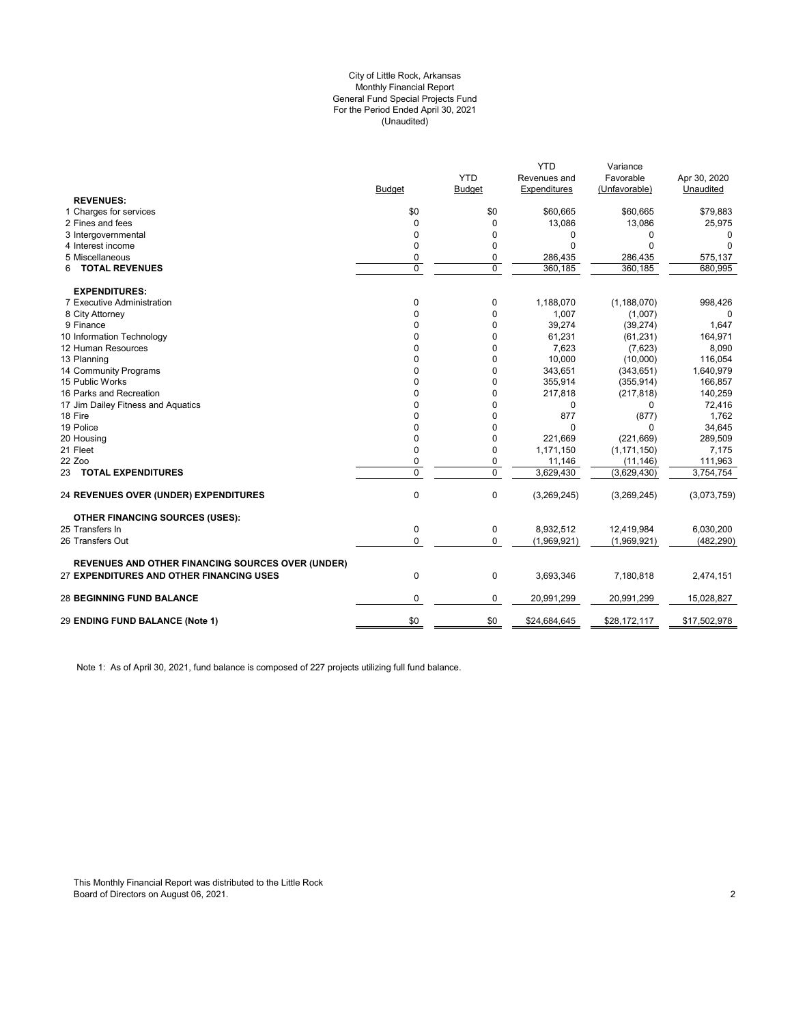#### (Unaudited) City of Little Rock, Arkansas Monthly Financial Report General Fund Special Projects Fund For the Period Ended April 30, 2021

|                                                          |               | <b>YTD</b>    | <b>YTD</b><br>Revenues and | Variance<br>Favorable | Apr 30, 2020 |
|----------------------------------------------------------|---------------|---------------|----------------------------|-----------------------|--------------|
|                                                          | <b>Budget</b> | <b>Budget</b> | Expenditures               | (Unfavorable)         | Unaudited    |
| <b>REVENUES:</b>                                         |               |               |                            |                       |              |
| 1 Charges for services                                   | \$0           | \$0           | \$60,665                   | \$60,665              | \$79,883     |
| 2 Fines and fees                                         | $\Omega$      | $\mathbf 0$   | 13,086                     | 13,086                | 25,975       |
| 3 Intergovernmental                                      | 0             | 0             | 0                          | 0                     | 0            |
| 4 Interest income                                        | 0             | 0             | $\Omega$                   | $\Omega$              | $\Omega$     |
| 5 Miscellaneous                                          | 0             | 0             | 286,435                    | 286,435               | 575,137      |
| <b>TOTAL REVENUES</b><br>6                               | 0             | $\mathbf 0$   | 360,185                    | 360,185               | 680,995      |
| <b>EXPENDITURES:</b>                                     |               |               |                            |                       |              |
| 7 Executive Administration                               | 0             | 0             | 1,188,070                  | (1, 188, 070)         | 998,426      |
| 8 City Attorney                                          | 0             | 0             | 1,007                      | (1,007)               | $\Omega$     |
| 9 Finance                                                | 0             | 0             | 39,274                     | (39, 274)             | 1,647        |
| 10 Information Technology                                | 0             | 0             | 61,231                     | (61, 231)             | 164,971      |
| 12 Human Resources                                       | 0             | $\mathbf 0$   | 7,623                      | (7,623)               | 8,090        |
| 13 Planning                                              | 0             | $\Omega$      | 10,000                     | (10,000)              | 116,054      |
| 14 Community Programs                                    | 0             | 0             | 343,651                    | (343, 651)            | 1,640,979    |
| 15 Public Works                                          | 0             | 0             | 355,914                    | (355, 914)            | 166,857      |
| 16 Parks and Recreation                                  | 0             | $\mathbf 0$   | 217,818                    | (217, 818)            | 140,259      |
| 17 Jim Dailey Fitness and Aquatics                       | 0             | 0             | $\mathbf 0$                | 0                     | 72,416       |
| 18 Fire                                                  | 0             | 0             | 877                        | (877)                 | 1,762        |
| 19 Police                                                | 0             | 0             | $\Omega$                   | 0                     | 34,645       |
| 20 Housing                                               | 0             | 0             | 221,669                    | (221, 669)            | 289,509      |
| 21 Fleet                                                 | 0             | 0             | 1,171,150                  | (1, 171, 150)         | 7,175        |
| 22 Zoo                                                   | 0             | 0             | 11,146                     | (11, 146)             | 111,963      |
| 23 TOTAL EXPENDITURES                                    | $\Omega$      | $\mathbf 0$   | 3,629,430                  | (3,629,430)           | 3,754,754    |
| <b>24 REVENUES OVER (UNDER) EXPENDITURES</b>             | 0             | 0             | (3,269,245)                | (3,269,245)           | (3,073,759)  |
| <b>OTHER FINANCING SOURCES (USES):</b>                   |               |               |                            |                       |              |
| 25 Transfers In                                          | 0             | 0             | 8,932,512                  | 12,419,984            | 6,030,200    |
| 26 Transfers Out                                         | 0             | 0             | (1,969,921)                | (1,969,921)           | (482, 290)   |
| <b>REVENUES AND OTHER FINANCING SOURCES OVER (UNDER)</b> |               |               |                            |                       |              |
| 27 EXPENDITURES AND OTHER FINANCING USES                 | 0             | $\mathbf 0$   | 3,693,346                  | 7,180,818             | 2,474,151    |
| <b>28 BEGINNING FUND BALANCE</b>                         | 0             | 0             | 20,991,299                 | 20,991,299            | 15,028,827   |
| 29 ENDING FUND BALANCE (Note 1)                          | \$0           | \$0           | \$24,684,645               | \$28,172,117          | \$17,502,978 |
|                                                          |               |               |                            |                       |              |

Note 1: As of April 30, 2021, fund balance is composed of 227 projects utilizing full fund balance.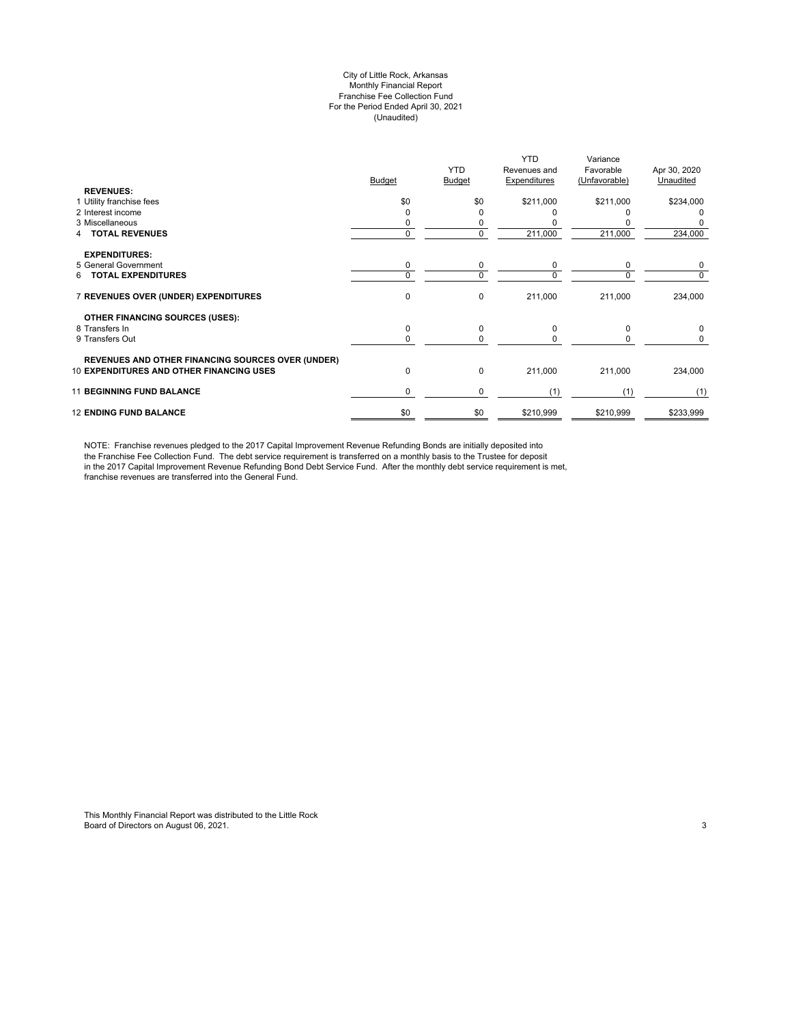#### City of Little Rock, Arkansas Monthly Financial Report Franchise Fee Collection Fund For the Period Ended April 30, 2021 (Unaudited)

| <b>REVENUES:</b>                                                                                            | Budget   | <b>YTD</b><br><b>Budget</b> | <b>YTD</b><br>Revenues and<br>Expenditures | Variance<br>Favorable<br>(Unfavorable) | Apr 30, 2020<br>Unaudited |
|-------------------------------------------------------------------------------------------------------------|----------|-----------------------------|--------------------------------------------|----------------------------------------|---------------------------|
| 1 Utility franchise fees                                                                                    | \$0      | \$0                         | \$211,000                                  | \$211,000                              | \$234,000                 |
| 2 Interest income                                                                                           |          | ი                           |                                            |                                        | 0                         |
| 3 Miscellaneous                                                                                             |          | 0                           |                                            |                                        |                           |
| <b>TOTAL REVENUES</b>                                                                                       | $\Omega$ | 0                           | 211,000                                    | 211,000                                | 234,000                   |
| <b>EXPENDITURES:</b>                                                                                        |          |                             |                                            |                                        |                           |
| 5 General Government                                                                                        | 0        | 0                           | 0                                          | 0                                      | 0                         |
| <b>TOTAL EXPENDITURES</b><br>6.                                                                             | $\Omega$ | 0                           | $\Omega$                                   | $\Omega$                               | 0                         |
| 7 REVENUES OVER (UNDER) EXPENDITURES                                                                        | 0        | 0                           | 211,000                                    | 211,000                                | 234,000                   |
| OTHER FINANCING SOURCES (USES):                                                                             |          |                             |                                            |                                        |                           |
| 8 Transfers In                                                                                              | 0        | 0                           | $\Omega$                                   | $\Omega$                               | 0                         |
| 9 Transfers Out                                                                                             | $\Omega$ | 0                           | $\Omega$                                   | <sup>0</sup>                           | 0                         |
|                                                                                                             |          |                             |                                            |                                        |                           |
| <b>REVENUES AND OTHER FINANCING SOURCES OVER (UNDER)</b><br><b>10 EXPENDITURES AND OTHER FINANCING USES</b> | 0        | 0                           | 211,000                                    | 211,000                                | 234,000                   |
| <b>11 BEGINNING FUND BALANCE</b>                                                                            | 0        | 0                           | (1)                                        | (1)                                    | (1)                       |
| <b>12 ENDING FUND BALANCE</b>                                                                               | \$0      | \$0                         | \$210,999                                  | \$210,999                              | \$233,999                 |

NOTE: Franchise revenues pledged to the 2017 Capital Improvement Revenue Refunding Bonds are initially deposited into the Franchise Fee Collection Fund. The debt service requirement is transferred on a monthly basis to the Trustee for deposit in the 2017 Capital Improvement Revenue Refunding Bond Debt Service Fund. After the monthly debt service requirement is met, franchise revenues are transferred into the General Fund.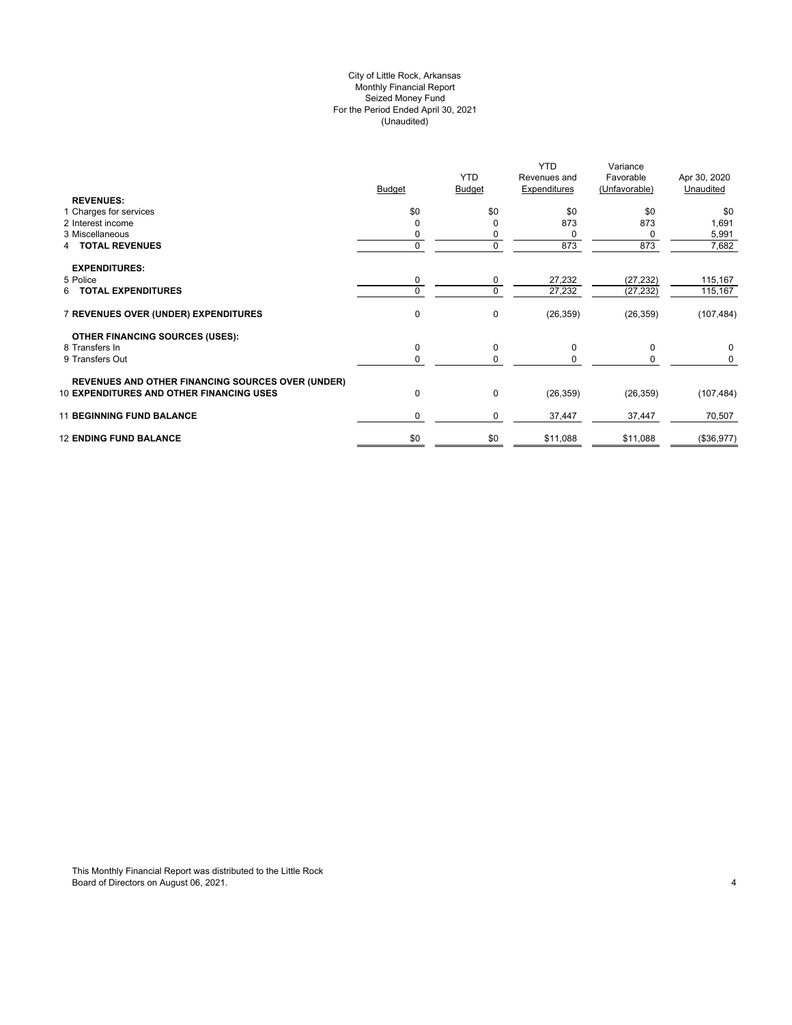## City of Little Rock, Arkansas (Unaudited) For the Period Ended April 30, 2021 Seized Money Fund Monthly Financial Report

| <b>REVENUES:</b>                                                                                            | <b>Budget</b> | <b>YTD</b><br><b>Budget</b> | <b>YTD</b><br>Revenues and<br>Expenditures | Variance<br>Favorable<br>(Unfavorable) | Apr 30, 2020<br>Unaudited |
|-------------------------------------------------------------------------------------------------------------|---------------|-----------------------------|--------------------------------------------|----------------------------------------|---------------------------|
| 1 Charges for services                                                                                      | \$0           | \$0                         | \$0                                        | \$0                                    | \$0                       |
| 2 Interest income                                                                                           |               | 0                           | 873                                        | 873                                    | 1,691                     |
| 3 Miscellaneous                                                                                             |               | 0                           | 0                                          | 0                                      | 5,991                     |
| <b>4 TOTAL REVENUES</b>                                                                                     | 0             | 0                           | 873                                        | 873                                    | 7,682                     |
| <b>EXPENDITURES:</b>                                                                                        |               |                             |                                            |                                        |                           |
| 5 Police                                                                                                    | 0             | 0                           | 27,232                                     | (27, 232)                              | 115,167                   |
| <b>6 TOTAL EXPENDITURES</b>                                                                                 |               | 0                           | 27,232                                     | (27, 232)                              | 115,167                   |
| 7 REVENUES OVER (UNDER) EXPENDITURES                                                                        | $\mathbf 0$   | 0                           | (26, 359)                                  | (26, 359)                              | (107, 484)                |
| <b>OTHER FINANCING SOURCES (USES):</b>                                                                      |               |                             |                                            |                                        |                           |
| 8 Transfers In                                                                                              | $\mathbf 0$   | 0                           | 0                                          | $\mathbf 0$                            | 0                         |
| 9 Transfers Out                                                                                             |               | 0                           | 0                                          | 0                                      | 0                         |
| <b>REVENUES AND OTHER FINANCING SOURCES OVER (UNDER)</b><br><b>10 EXPENDITURES AND OTHER FINANCING USES</b> | $\mathbf{0}$  | 0                           | (26, 359)                                  | (26, 359)                              | (107, 484)                |
|                                                                                                             |               |                             |                                            |                                        |                           |
| <b>11 BEGINNING FUND BALANCE</b>                                                                            | $\Omega$      | 0                           | 37,447                                     | 37,447                                 | 70,507                    |
| <b>12 ENDING FUND BALANCE</b>                                                                               | \$0           | \$0                         | \$11,088                                   | \$11,088                               | (\$36,977)                |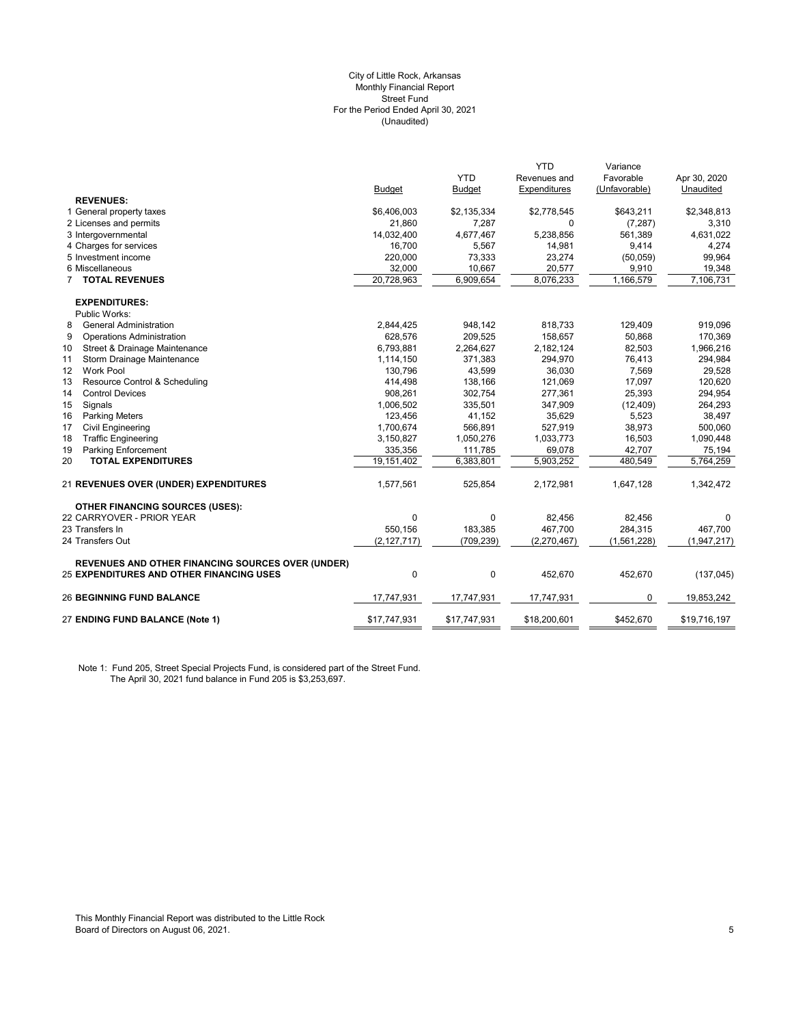#### (Unaudited) City of Little Rock, Arkansas Monthly Financial Report Street Fund For the Period Ended April 30, 2021

|                                                          |               |               | <b>YTD</b>   | Variance      |              |
|----------------------------------------------------------|---------------|---------------|--------------|---------------|--------------|
|                                                          |               | <b>YTD</b>    | Revenues and | Favorable     | Apr 30, 2020 |
|                                                          | <b>Budget</b> | <b>Budget</b> | Expenditures | (Unfavorable) | Unaudited    |
| <b>REVENUES:</b>                                         |               |               |              |               |              |
| 1 General property taxes                                 | \$6,406,003   | \$2,135,334   | \$2,778,545  | \$643,211     | \$2,348,813  |
| 2 Licenses and permits                                   | 21,860        | 7,287         | $\mathbf 0$  | (7, 287)      | 3,310        |
| 3 Intergovernmental                                      | 14,032,400    | 4,677,467     | 5,238,856    | 561,389       | 4,631,022    |
| 4 Charges for services                                   | 16.700        | 5,567         | 14,981       | 9,414         | 4,274        |
| 5 Investment income                                      | 220,000       | 73,333        | 23,274       | (50,059)      | 99,964       |
| 6 Miscellaneous                                          | 32,000        | 10,667        | 20,577       | 9,910         | 19,348       |
| <b>TOTAL REVENUES</b>                                    | 20,728,963    | 6,909,654     | 8,076,233    | 1,166,579     | 7,106,731    |
| <b>EXPENDITURES:</b>                                     |               |               |              |               |              |
| Public Works:                                            |               |               |              |               |              |
| <b>General Administration</b><br>8                       | 2,844,425     | 948,142       | 818,733      | 129,409       | 919,096      |
| 9<br><b>Operations Administration</b>                    | 628,576       | 209,525       | 158,657      | 50,868        | 170,369      |
| 10<br>Street & Drainage Maintenance                      | 6,793,881     | 2,264,627     | 2,182,124    | 82,503        | 1,966,216    |
| 11<br>Storm Drainage Maintenance                         | 1,114,150     | 371,383       | 294,970      | 76,413        | 294,984      |
| 12<br><b>Work Pool</b>                                   | 130.796       | 43,599        | 36.030       | 7,569         | 29,528       |
| 13<br>Resource Control & Scheduling                      | 414,498       | 138,166       | 121,069      | 17,097        | 120,620      |
| 14<br><b>Control Devices</b>                             | 908,261       | 302,754       | 277,361      | 25,393        | 294,954      |
| 15<br>Signals                                            | 1,006,502     | 335,501       | 347,909      | (12, 409)     | 264,293      |
| 16<br><b>Parking Meters</b>                              | 123,456       | 41,152        | 35,629       | 5,523         | 38,497       |
| 17<br><b>Civil Engineering</b>                           | 1,700,674     | 566,891       | 527,919      | 38,973        | 500,060      |
| <b>Traffic Engineering</b><br>18                         | 3,150,827     | 1,050,276     | 1,033,773    | 16,503        | 1,090,448    |
| <b>Parking Enforcement</b><br>19                         | 335,356       | 111,785       | 69,078       | 42,707        | 75,194       |
| 20<br><b>TOTAL EXPENDITURES</b>                          | 19,151,402    | 6,383,801     | 5,903,252    | 480,549       | 5,764,259    |
| 21 REVENUES OVER (UNDER) EXPENDITURES                    | 1,577,561     | 525,854       | 2,172,981    | 1,647,128     | 1,342,472    |
| <b>OTHER FINANCING SOURCES (USES):</b>                   |               |               |              |               |              |
| 22 CARRYOVER - PRIOR YEAR                                | 0             | 0             | 82,456       | 82,456        | 0            |
| 23 Transfers In                                          | 550,156       | 183,385       | 467,700      | 284,315       | 467,700      |
| 24 Transfers Out                                         | (2, 127, 717) | (709, 239)    | (2,270,467)  | (1, 561, 228) | (1,947,217)  |
| <b>REVENUES AND OTHER FINANCING SOURCES OVER (UNDER)</b> |               |               |              |               |              |
| 25 EXPENDITURES AND OTHER FINANCING USES                 | 0             | $\mathbf 0$   | 452,670      | 452,670       | (137, 045)   |
| <b>26 BEGINNING FUND BALANCE</b>                         | 17,747,931    | 17,747,931    | 17,747,931   | 0             | 19,853,242   |
| 27 ENDING FUND BALANCE (Note 1)                          | \$17,747,931  | \$17,747,931  | \$18,200,601 | \$452,670     | \$19,716,197 |
|                                                          |               |               |              |               |              |

Note 1: Fund 205, Street Special Projects Fund, is considered part of the Street Fund. The April 30, 2021 fund balance in Fund 205 is \$3,253,697.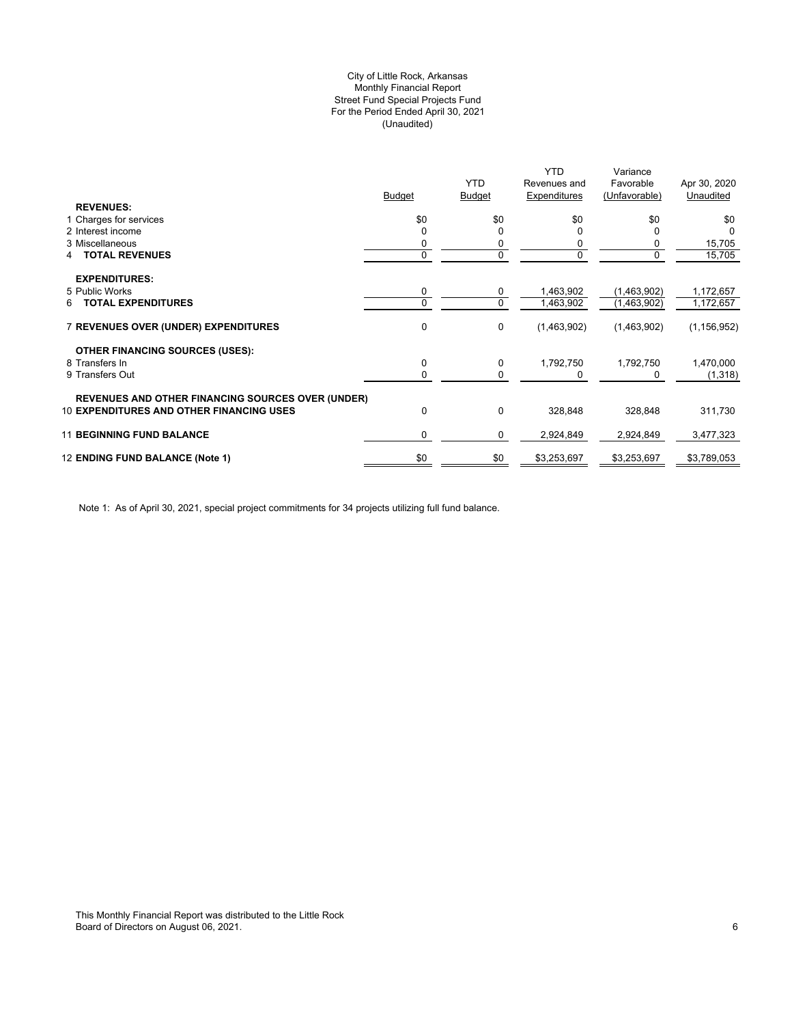## (Unaudited) City of Little Rock, Arkansas Monthly Financial Report Street Fund Special Projects Fund For the Period Ended April 30, 2021

|                                                          |             |                             | <b>YTD</b>                   | Variance                   |                           |
|----------------------------------------------------------|-------------|-----------------------------|------------------------------|----------------------------|---------------------------|
|                                                          | Budget      | <b>YTD</b><br><b>Budget</b> | Revenues and<br>Expenditures | Favorable<br>(Unfavorable) | Apr 30, 2020<br>Unaudited |
| <b>REVENUES:</b>                                         |             |                             |                              |                            |                           |
| 1 Charges for services                                   | \$0         | \$0                         | \$0                          | \$0                        | \$0                       |
| 2 Interest income                                        |             | 0                           |                              | 0                          |                           |
| 3 Miscellaneous                                          |             | 0                           |                              | 0                          | 15,705                    |
| <b>TOTAL REVENUES</b><br>4                               | 0           | 0                           | 0                            | 0                          | 15,705                    |
|                                                          |             |                             |                              |                            |                           |
| <b>EXPENDITURES:</b><br>5 Public Works                   | 0           | 0                           | 1,463,902                    | (1,463,902)                | 1,172,657                 |
| <b>TOTAL EXPENDITURES</b><br>6                           | 0           | 0                           | 1,463,902                    | (1,463,902)                | 1,172,657                 |
|                                                          |             |                             |                              |                            |                           |
| <b>7 REVENUES OVER (UNDER) EXPENDITURES</b>              | 0           | 0                           | (1,463,902)                  | (1,463,902)                | (1, 156, 952)             |
| <b>OTHER FINANCING SOURCES (USES):</b>                   |             |                             |                              |                            |                           |
| 8 Transfers In                                           | 0           | 0                           | 1,792,750                    | 1,792,750                  | 1,470,000                 |
| 9 Transfers Out                                          | 0           | 0                           | 0                            | 0                          | (1,318)                   |
| <b>REVENUES AND OTHER FINANCING SOURCES OVER (UNDER)</b> |             |                             |                              |                            |                           |
| <b>10 EXPENDITURES AND OTHER FINANCING USES</b>          | $\mathbf 0$ | 0                           | 328,848                      | 328,848                    | 311,730                   |
| <b>11 BEGINNING FUND BALANCE</b>                         | $\Omega$    | 0                           | 2,924,849                    | 2,924,849                  | 3,477,323                 |
| 12 ENDING FUND BALANCE (Note 1)                          | \$0         | \$0                         | \$3,253,697                  | \$3,253,697                | \$3,789,053               |
|                                                          |             |                             |                              |                            |                           |

Note 1: As of April 30, 2021, special project commitments for 34 projects utilizing full fund balance.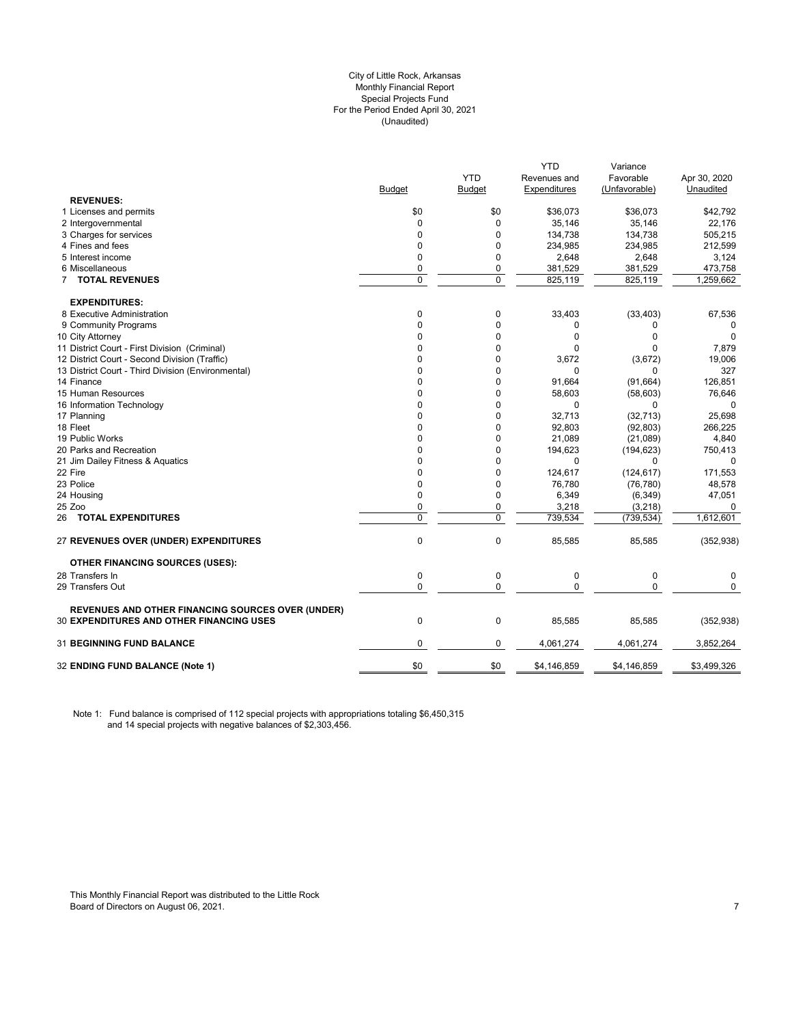#### City of Little Rock, Arkansas (Unaudited) For the Period Ended April 30, 2021 Special Projects Fund Monthly Financial Report

|                                                          |                |             | YTD          | Variance      |              |
|----------------------------------------------------------|----------------|-------------|--------------|---------------|--------------|
|                                                          |                | <b>YTD</b>  | Revenues and | Favorable     | Apr 30, 2020 |
|                                                          | Budget         | Budget      | Expenditures | (Unfavorable) | Unaudited    |
| <b>REVENUES:</b>                                         |                |             |              |               |              |
| 1 Licenses and permits                                   | \$0            | \$0         | \$36,073     | \$36,073      | \$42,792     |
| 2 Intergovernmental                                      | 0              | 0           | 35,146       | 35,146        | 22,176       |
| 3 Charges for services                                   | $\mathbf 0$    | 0           | 134,738      | 134.738       | 505,215      |
| 4 Fines and fees                                         | $\mathbf 0$    | $\Omega$    | 234,985      | 234,985       | 212,599      |
| 5 Interest income                                        | $\mathbf 0$    | $\Omega$    | 2,648        | 2,648         | 3,124        |
| 6 Miscellaneous                                          | 0              | 0           | 381,529      | 381,529       | 473,758      |
| 7 TOTAL REVENUES                                         | $\overline{0}$ | $\mathbf 0$ | 825,119      | 825,119       | 1,259,662    |
| <b>EXPENDITURES:</b>                                     |                |             |              |               |              |
| 8 Executive Administration                               | 0              | 0           | 33,403       | (33, 403)     | 67,536       |
| 9 Community Programs                                     | $\mathbf{0}$   | 0           | 0            | 0             | 0            |
| 10 City Attorney                                         | $\Omega$       | 0           | $\Omega$     | 0             | $\Omega$     |
| 11 District Court - First Division (Criminal)            | 0              | 0           | $\Omega$     | 0             | 7,879        |
| 12 District Court - Second Division (Traffic)            | $\mathbf 0$    | 0           | 3,672        | (3,672)       | 19,006       |
| 13 District Court - Third Division (Environmental)       | $\Omega$       | $\mathbf 0$ | $\Omega$     | 0             | 327          |
| 14 Finance                                               | 0              | 0           | 91,664       | (91, 664)     | 126,851      |
| 15 Human Resources                                       | $\Omega$       | 0           | 58,603       | (58, 603)     | 76,646       |
| 16 Information Technology                                | $\Omega$       | 0           | $\Omega$     | 0             |              |
| 17 Planning                                              | 0              | 0           | 32,713       | (32, 713)     | 25,698       |
| 18 Fleet                                                 | 0              | 0           | 92,803       | (92, 803)     | 266,225      |
| 19 Public Works                                          | $\mathbf{0}$   | 0           | 21,089       | (21,089)      | 4,840        |
| 20 Parks and Recreation                                  | $\mathbf 0$    | 0           | 194,623      | (194, 623)    | 750,413      |
| 21 Jim Dailey Fitness & Aquatics                         | $\Omega$       | 0           | $\Omega$     | $\Omega$      | $\Omega$     |
| 22 Fire                                                  | $\Omega$       | 0           | 124,617      | (124, 617)    | 171,553      |
| 23 Police                                                | $\mathbf 0$    | 0           | 76,780       | (76, 780)     | 48,578       |
| 24 Housing                                               | 0              | 0           | 6,349        | (6, 349)      | 47,051       |
| 25 Zoo                                                   | $\mathbf 0$    | 0           | 3,218        | (3,218)       | 0            |
| 26 TOTAL EXPENDITURES                                    | $\mathbf 0$    | $\mathbf 0$ | 739,534      | (739, 534)    | 1,612,601    |
| 27 REVENUES OVER (UNDER) EXPENDITURES                    | $\mathbf{0}$   | $\pmb{0}$   | 85,585       | 85,585        | (352, 938)   |
| <b>OTHER FINANCING SOURCES (USES):</b>                   |                |             |              |               |              |
| 28 Transfers In                                          | $\mathbf 0$    | $\pmb{0}$   | $\mathbf 0$  | $\mathbf 0$   | 0            |
| 29 Transfers Out                                         | $\mathbf 0$    | $\mathbf 0$ | $\Omega$     | 0             | $\Omega$     |
| <b>REVENUES AND OTHER FINANCING SOURCES OVER (UNDER)</b> |                |             |              |               |              |
| 30 EXPENDITURES AND OTHER FINANCING USES                 | $\mathbf 0$    | $\pmb{0}$   | 85,585       | 85,585        | (352, 938)   |
| <b>31 BEGINNING FUND BALANCE</b>                         | $\mathbf 0$    | 0           | 4,061,274    | 4,061,274     | 3,852,264    |
| 32 ENDING FUND BALANCE (Note 1)                          | \$0            | \$0         | \$4,146,859  | \$4,146,859   | \$3,499,326  |
|                                                          |                |             |              |               |              |

Note 1: Fund balance is comprised of 112 special projects with appropriations totaling \$6,450,315 and 14 special projects with negative balances of \$2,303,456.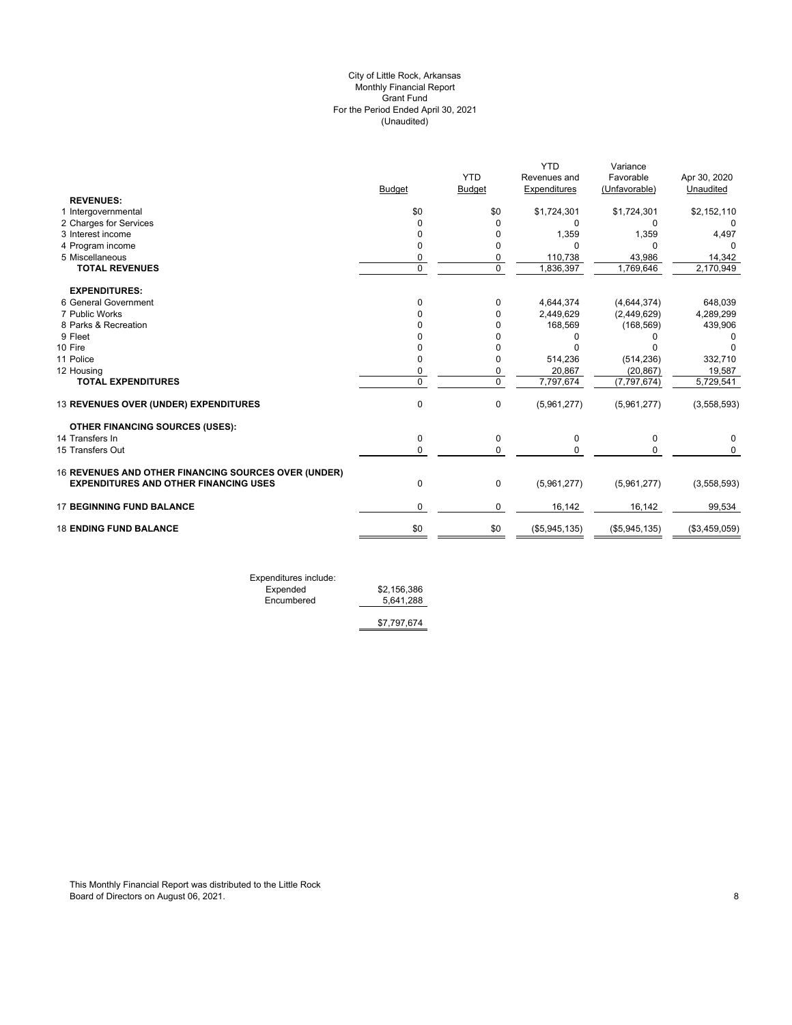## (Unaudited) City of Little Rock, Arkansas Monthly Financial Report Grant Fund For the Period Ended April 30, 2021

|                                                      |               | <b>YTD</b>    | <b>YTD</b><br>Revenues and | Variance<br>Favorable | Apr 30, 2020  |
|------------------------------------------------------|---------------|---------------|----------------------------|-----------------------|---------------|
|                                                      | <b>Budget</b> | <b>Budget</b> | Expenditures               | (Unfavorable)         | Unaudited     |
| <b>REVENUES:</b>                                     |               |               |                            |                       |               |
| 1 Intergovernmental                                  | \$0           | \$0           | \$1,724,301                | \$1,724,301           | \$2,152,110   |
| 2 Charges for Services                               | $\Omega$      | $\Omega$      | 0                          | $\Omega$              | 0             |
| 3 Interest income                                    | $\Omega$      | 0             | 1,359                      | 1,359                 | 4,497         |
| 4 Program income                                     | $\Omega$      | 0             | U                          | $\Omega$              |               |
| 5 Miscellaneous                                      | 0             | 0             | 110,738                    | 43,986                | 14,342        |
| <b>TOTAL REVENUES</b>                                | $\Omega$      | $\mathbf 0$   | 1,836,397                  | 1,769,646             | 2,170,949     |
| <b>EXPENDITURES:</b>                                 |               |               |                            |                       |               |
| 6 General Government                                 | $\Omega$      | $\Omega$      | 4,644,374                  | (4,644,374)           | 648,039       |
| 7 Public Works                                       |               | $\Omega$      | 2,449,629                  | (2,449,629)           | 4,289,299     |
| 8 Parks & Recreation                                 |               | $\Omega$      | 168,569                    | (168, 569)            | 439,906       |
| 9 Fleet                                              |               | $\Omega$      | O                          | n                     |               |
| 10 Fire                                              |               |               |                            |                       |               |
| 11 Police                                            | $\Omega$      | 0             | 514,236                    | (514, 236)            | 332,710       |
| 12 Housing                                           | 0             | 0             | 20,867                     | (20, 867)             | 19,587        |
| <b>TOTAL EXPENDITURES</b>                            | $\Omega$      | $\Omega$      | 7,797,674                  | (7, 797, 674)         | 5,729,541     |
| 13 REVENUES OVER (UNDER) EXPENDITURES                | $\mathbf 0$   | 0             | (5,961,277)                | (5,961,277)           | (3,558,593)   |
| <b>OTHER FINANCING SOURCES (USES):</b>               |               |               |                            |                       |               |
| 14 Transfers In                                      | 0             | 0             | 0                          | $\mathbf 0$           | 0             |
| 15 Transfers Out                                     | $\mathbf 0$   | $\mathbf 0$   | $\Omega$                   | 0                     | 0             |
| 16 REVENUES AND OTHER FINANCING SOURCES OVER (UNDER) |               |               |                            |                       |               |
| <b>EXPENDITURES AND OTHER FINANCING USES</b>         | 0             | $\mathbf 0$   | (5,961,277)                | (5,961,277)           | (3,558,593)   |
| <b>17 BEGINNING FUND BALANCE</b>                     | $\Omega$      | 0             | 16,142                     | 16,142                | 99,534        |
| <b>18 ENDING FUND BALANCE</b>                        | \$0           | \$0           | (\$5,945,135)              | (\$5,945,135)         | (\$3,459,059) |
|                                                      |               |               |                            |                       |               |

Expenditures include: Expended \$2,156,386 Expended \$2,156,386<br>Encumbered 5,641,288

\$7,797,674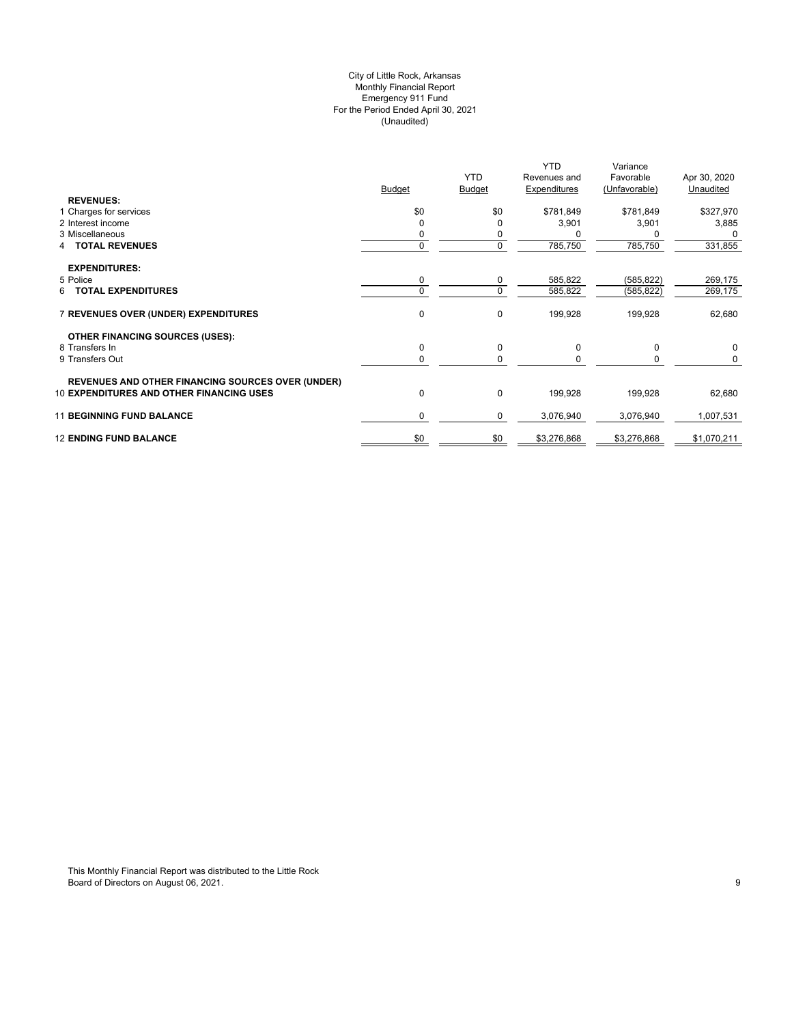## (Unaudited) City of Little Rock, Arkansas Monthly Financial Report Emergency 911 Fund For the Period Ended April 30, 2021

|                                                          | <b>Budget</b> | <b>YTD</b><br><b>Budget</b> | <b>YTD</b><br>Revenues and<br>Expenditures | Variance<br>Favorable<br>(Unfavorable) | Apr 30, 2020<br>Unaudited |
|----------------------------------------------------------|---------------|-----------------------------|--------------------------------------------|----------------------------------------|---------------------------|
| <b>REVENUES:</b><br>1 Charges for services               | \$0           | \$0                         | \$781,849                                  | \$781,849                              | \$327,970                 |
| 2 Interest income                                        | $\Omega$      |                             | 3,901                                      | 3,901                                  | 3,885                     |
| 3 Miscellaneous                                          |               | 0                           |                                            |                                        | 0                         |
| <b>TOTAL REVENUES</b><br>4                               | 0             | 0                           | 785,750                                    | 785,750                                | 331,855                   |
| <b>EXPENDITURES:</b>                                     |               |                             |                                            |                                        |                           |
| 5 Police                                                 | 0             | 0                           | 585,822                                    | (585, 822)                             | 269,175                   |
| <b>TOTAL EXPENDITURES</b><br>6                           | $\Omega$      | $\mathbf 0$                 | 585,822                                    | (585, 822)                             | 269,175                   |
| 7 REVENUES OVER (UNDER) EXPENDITURES                     | 0             | 0                           | 199,928                                    | 199,928                                | 62,680                    |
| <b>OTHER FINANCING SOURCES (USES):</b>                   |               |                             |                                            |                                        |                           |
| 8 Transfers In                                           | 0             | 0                           | 0                                          | 0                                      | $\mathbf 0$               |
| 9 Transfers Out                                          | 0             | $\mathbf 0$                 |                                            |                                        | 0                         |
| <b>REVENUES AND OTHER FINANCING SOURCES OVER (UNDER)</b> |               |                             |                                            |                                        |                           |
| <b>10 EXPENDITURES AND OTHER FINANCING USES</b>          | 0             | 0                           | 199,928                                    | 199,928                                | 62,680                    |
| <b>11 BEGINNING FUND BALANCE</b>                         | 0             | 0                           | 3,076,940                                  | 3,076,940                              | 1,007,531                 |
| <b>12 ENDING FUND BALANCE</b>                            | \$0           | \$0                         | \$3,276,868                                | \$3,276,868                            | \$1,070,211               |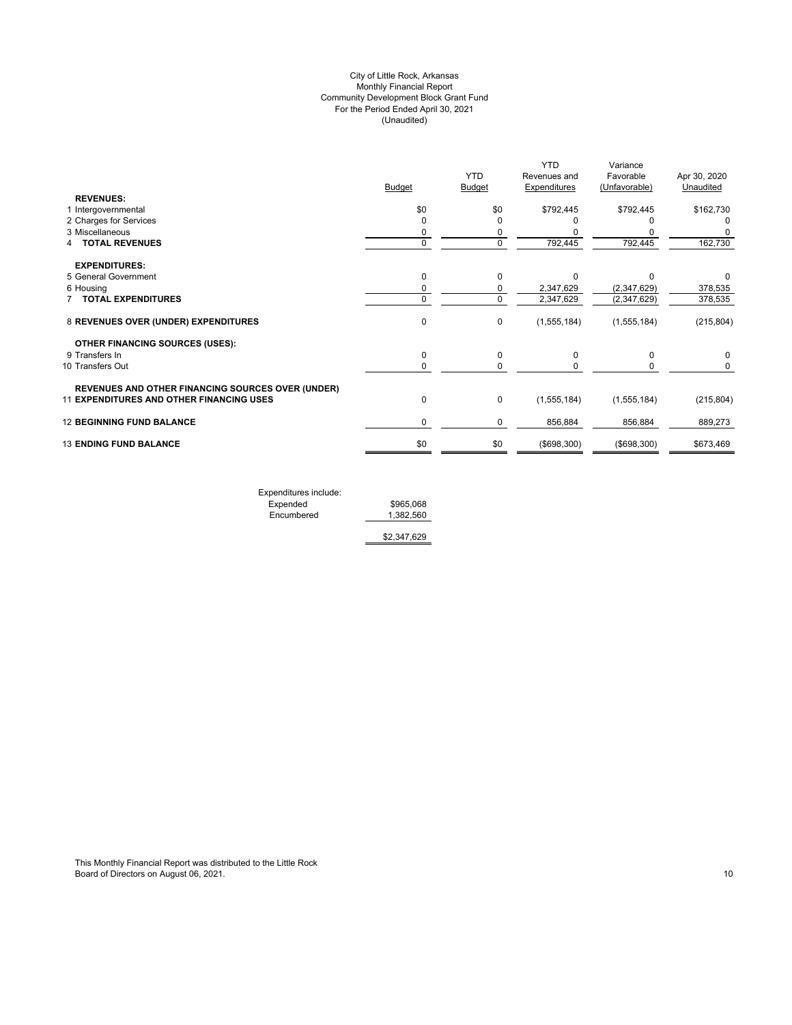## (Unaudited) City of Little Rock, Arkansas Monthly Financial Report Community Development Block Grant Fund For the Period Ended April 30, 2021

|                                                                                                      | Budget      | <b>YTD</b><br><b>Budget</b> | <b>YTD</b><br>Revenues and<br>Expenditures | Variance<br>Favorable<br>(Unfavorable) | Apr 30, 2020<br>Unaudited |
|------------------------------------------------------------------------------------------------------|-------------|-----------------------------|--------------------------------------------|----------------------------------------|---------------------------|
| <b>REVENUES:</b>                                                                                     |             |                             |                                            |                                        |                           |
| 1 Intergovernmental<br>2 Charges for Services                                                        | \$0<br>0    | \$0<br>$\Omega$             | \$792,445                                  | \$792,445                              | \$162,730<br>0            |
| 3 Miscellaneous                                                                                      | 0           | 0                           |                                            |                                        |                           |
| <b>TOTAL REVENUES</b>                                                                                | $\mathbf 0$ | $\mathbf 0$                 | 792,445                                    | 792,445                                | 162,730                   |
| <b>EXPENDITURES:</b>                                                                                 |             |                             |                                            |                                        |                           |
| 5 General Government                                                                                 | $\mathbf 0$ | $\Omega$                    | $\Omega$                                   | O                                      | O                         |
| 6 Housing                                                                                            | 0           | 0                           | 2,347,629                                  | (2, 347, 629)                          | 378,535                   |
| <b>7 TOTAL EXPENDITURES</b>                                                                          | $\mathbf 0$ | $\Omega$                    | 2,347,629                                  | (2,347,629)                            | 378,535                   |
| 8 REVENUES OVER (UNDER) EXPENDITURES                                                                 | 0           | 0                           | (1,555,184)                                | (1, 555, 184)                          | (215, 804)                |
| <b>OTHER FINANCING SOURCES (USES):</b>                                                               |             |                             |                                            |                                        |                           |
| 9 Transfers In                                                                                       | 0           | 0                           | $\Omega$                                   | 0                                      | 0                         |
| 10 Transfers Out                                                                                     | 0           | $\Omega$                    |                                            |                                        | 0                         |
| <b>REVENUES AND OTHER FINANCING SOURCES OVER (UNDER)</b><br>11 EXPENDITURES AND OTHER FINANCING USES | 0           | 0                           | (1,555,184)                                | (1,555,184)                            | (215, 804)                |
| <b>12 BEGINNING FUND BALANCE</b>                                                                     | 0           | 0                           | 856,884                                    | 856,884                                | 889,273                   |
| <b>13 ENDING FUND BALANCE</b>                                                                        | \$0         | \$0                         | (\$698,300)                                | (\$698,300)                            | \$673,469                 |

Expenditures include: Expended \$965,068 Encumbered 1,382,560

\$2,347,629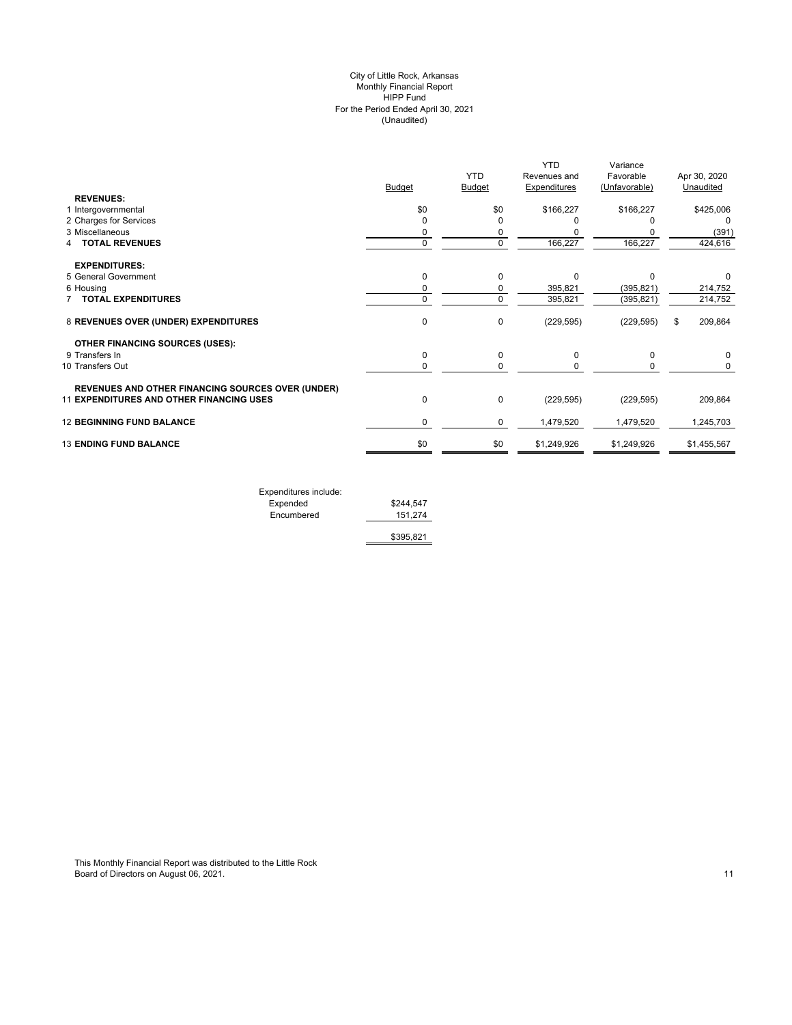## (Unaudited) City of Little Rock, Arkansas Monthly Financial Report HIPP Fund For the Period Ended April 30, 2021

|                                                          |               |            | <b>YTD</b>   | Variance      |               |
|----------------------------------------------------------|---------------|------------|--------------|---------------|---------------|
|                                                          |               | <b>YTD</b> | Revenues and | Favorable     | Apr 30, 2020  |
|                                                          | <b>Budget</b> | Budget     | Expenditures | (Unfavorable) | Unaudited     |
| <b>REVENUES:</b>                                         |               |            |              |               |               |
| 1 Intergovernmental                                      | \$0           | \$0        | \$166,227    | \$166,227     | \$425,006     |
| 2 Charges for Services                                   | $\Omega$      | 0          |              |               | $\Omega$      |
| 3 Miscellaneous                                          | 0             | 0          |              |               | (391)         |
| <b>TOTAL REVENUES</b>                                    | $\mathbf 0$   | 0          | 166,227      | 166,227       | 424,616       |
| <b>EXPENDITURES:</b>                                     |               |            |              |               |               |
| 5 General Government                                     | $\mathbf 0$   | $\Omega$   | $\Omega$     | $\Omega$      | 0             |
| 6 Housing                                                | 0             | 0          | 395,821      | (395, 821)    | 214,752       |
| <b>TOTAL EXPENDITURES</b>                                | 0             | $\Omega$   | 395,821      | (395, 821)    | 214,752       |
| 8 REVENUES OVER (UNDER) EXPENDITURES                     | $\mathbf 0$   | 0          | (229, 595)   | (229, 595)    | 209,864<br>\$ |
| <b>OTHER FINANCING SOURCES (USES):</b>                   |               |            |              |               |               |
| 9 Transfers In                                           | $\mathbf 0$   | 0          | 0            | $\Omega$      | 0             |
| 10 Transfers Out                                         | $\mathbf 0$   | 0          |              | 0             | 0             |
| <b>REVENUES AND OTHER FINANCING SOURCES OVER (UNDER)</b> |               |            |              |               |               |
| <b>11 EXPENDITURES AND OTHER FINANCING USES</b>          | $\mathbf 0$   | 0          | (229, 595)   | (229, 595)    | 209,864       |
| <b>12 BEGINNING FUND BALANCE</b>                         | 0             | 0          | 1,479,520    | 1,479,520     | 1,245,703     |
| <b>13 ENDING FUND BALANCE</b>                            | \$0           | \$0        | \$1,249,926  | \$1,249,926   | \$1,455,567   |
|                                                          |               |            |              |               |               |

| Expenditures include: |           |
|-----------------------|-----------|
| Expended              | \$244.547 |
| Encumbered            | 151.274   |
|                       | \$395,821 |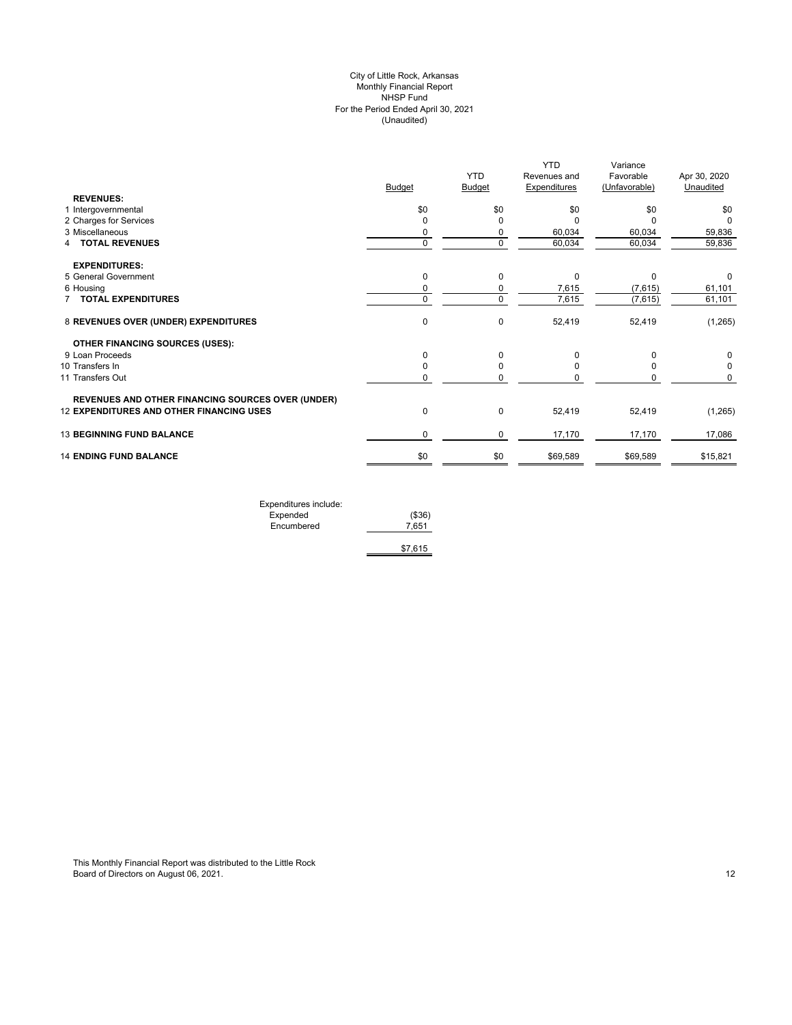## (Unaudited) City of Little Rock, Arkansas Monthly Financial Report NHSP Fund For the Period Ended April 30, 2021

|                                                          | Budget      | <b>YTD</b><br><b>Budget</b> | <b>YTD</b><br>Revenues and<br><b>Expenditures</b> | Variance<br>Favorable<br>(Unfavorable) | Apr 30, 2020<br>Unaudited |
|----------------------------------------------------------|-------------|-----------------------------|---------------------------------------------------|----------------------------------------|---------------------------|
| <b>REVENUES:</b>                                         |             |                             |                                                   |                                        |                           |
| 1 Intergovernmental                                      | \$0         | \$0                         | \$0                                               | \$0                                    | \$0                       |
| 2 Charges for Services                                   | 0           |                             | ŋ                                                 |                                        |                           |
| 3 Miscellaneous                                          | 0           |                             | 60,034                                            | 60,034                                 | 59,836                    |
| 4 TOTAL REVENUES                                         | $\mathbf 0$ | $\mathbf 0$                 | 60,034                                            | 60,034                                 | 59,836                    |
| <b>EXPENDITURES:</b>                                     |             |                             |                                                   |                                        |                           |
| 5 General Government                                     | 0           | 0                           | 0                                                 | $\Omega$                               | 0                         |
| 6 Housing                                                | 0           | 0                           | 7,615                                             | (7,615)                                | 61,101                    |
| <b>7 TOTAL EXPENDITURES</b>                              | $\mathbf 0$ | $\mathbf 0$                 | 7,615                                             | (7,615)                                | 61,101                    |
| 8 REVENUES OVER (UNDER) EXPENDITURES                     | $\mathbf 0$ | 0                           | 52,419                                            | 52,419                                 | (1,265)                   |
| <b>OTHER FINANCING SOURCES (USES):</b>                   |             |                             |                                                   |                                        |                           |
| 9 Loan Proceeds                                          | 0           | $\Omega$                    | 0                                                 |                                        | 0                         |
| 10 Transfers In                                          | 0           | $\Omega$                    |                                                   |                                        | $\Omega$                  |
| 11 Transfers Out                                         | 0           |                             |                                                   |                                        | 0                         |
| <b>REVENUES AND OTHER FINANCING SOURCES OVER (UNDER)</b> |             |                             |                                                   |                                        |                           |
| <b>12 EXPENDITURES AND OTHER FINANCING USES</b>          | 0           | $\Omega$                    | 52,419                                            | 52,419                                 | (1,265)                   |
| <b>13 BEGINNING FUND BALANCE</b>                         | 0           | $\mathbf 0$                 | 17,170                                            | 17,170                                 | 17,086                    |
| <b>14 ENDING FUND BALANCE</b>                            | \$0         | \$0                         | \$69,589                                          | \$69,589                               | \$15,821                  |

| Expenditures include: |         |
|-----------------------|---------|
| Expended              | (\$36)  |
| Encumbered            | 7.651   |
|                       |         |
|                       | \$7.615 |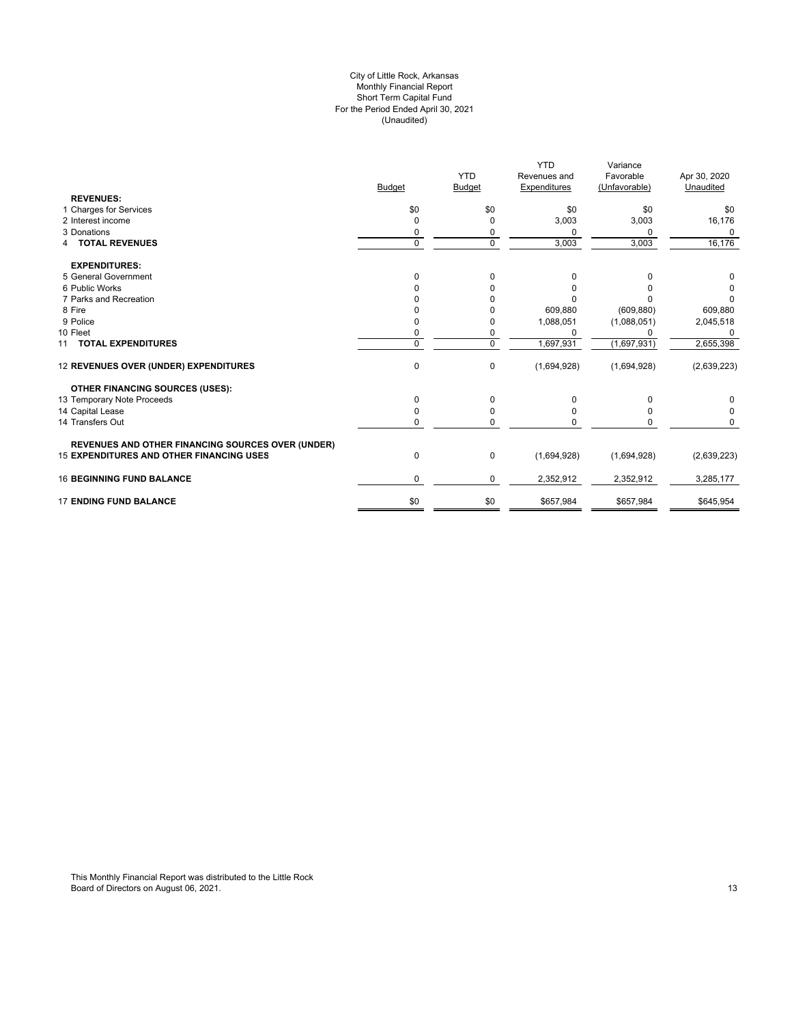#### For the Period Ended April 30, 2021 (Unaudited) City of Little Rock, Arkansas Monthly Financial Report Short Term Capital Fund

|                                                          |               |                             | <b>YTD</b>                          | Variance                   |                           |
|----------------------------------------------------------|---------------|-----------------------------|-------------------------------------|----------------------------|---------------------------|
|                                                          | <b>Budget</b> | <b>YTD</b><br><b>Budget</b> | Revenues and<br><b>Expenditures</b> | Favorable<br>(Unfavorable) | Apr 30, 2020<br>Unaudited |
| <b>REVENUES:</b>                                         |               |                             |                                     |                            |                           |
| 1 Charges for Services                                   | \$0           | \$0                         | \$0                                 | \$0                        | \$0                       |
| 2 Interest income                                        |               | $\mathbf 0$                 | 3,003                               | 3,003                      | 16,176                    |
| 3 Donations                                              |               | 0                           | $\Omega$                            | 0                          | $\Omega$                  |
| <b>4 TOTAL REVENUES</b>                                  | 0             | $\mathbf 0$                 | 3,003                               | 3,003                      | 16,176                    |
| <b>EXPENDITURES:</b>                                     |               |                             |                                     |                            |                           |
| 5 General Government                                     | $\Omega$      | $\mathbf 0$                 | 0                                   | 0                          | 0                         |
| 6 Public Works                                           |               | O                           | 0                                   | o                          |                           |
| 7 Parks and Recreation                                   |               |                             |                                     |                            | 0                         |
| 8 Fire                                                   |               |                             | 609,880                             | (609, 880)                 | 609,880                   |
| 9 Police                                                 |               | 0                           | 1,088,051                           | (1,088,051)                | 2,045,518                 |
| 10 Fleet                                                 |               | $\mathbf 0$                 | $\Omega$                            | <sup>0</sup>               | $\Omega$                  |
| 11 TOTAL EXPENDITURES                                    | 0             | $\mathbf 0$                 | 1,697,931                           | (1,697,931)                | 2,655,398                 |
| 12 REVENUES OVER (UNDER) EXPENDITURES                    | $\mathbf 0$   | $\pmb{0}$                   | (1,694,928)                         | (1,694,928)                | (2,639,223)               |
| <b>OTHER FINANCING SOURCES (USES):</b>                   |               |                             |                                     |                            |                           |
| 13 Temporary Note Proceeds                               | 0             | $\Omega$                    | $\Omega$                            | 0                          | 0                         |
| 14 Capital Lease                                         |               | 0                           | 0                                   | ŋ                          | 0                         |
| 14 Transfers Out                                         | $\Omega$      | $\mathbf 0$                 | $\Omega$                            |                            | $\Omega$                  |
| <b>REVENUES AND OTHER FINANCING SOURCES OVER (UNDER)</b> |               |                             |                                     |                            |                           |
| <b>15 EXPENDITURES AND OTHER FINANCING USES</b>          | 0             | 0                           | (1,694,928)                         | (1,694,928)                | (2,639,223)               |
| <b>16 BEGINNING FUND BALANCE</b>                         | 0             | $\mathbf 0$                 | 2,352,912                           | 2,352,912                  | 3,285,177                 |
| <b>17 ENDING FUND BALANCE</b>                            | \$0           | \$0                         | \$657,984                           | \$657,984                  | \$645,954                 |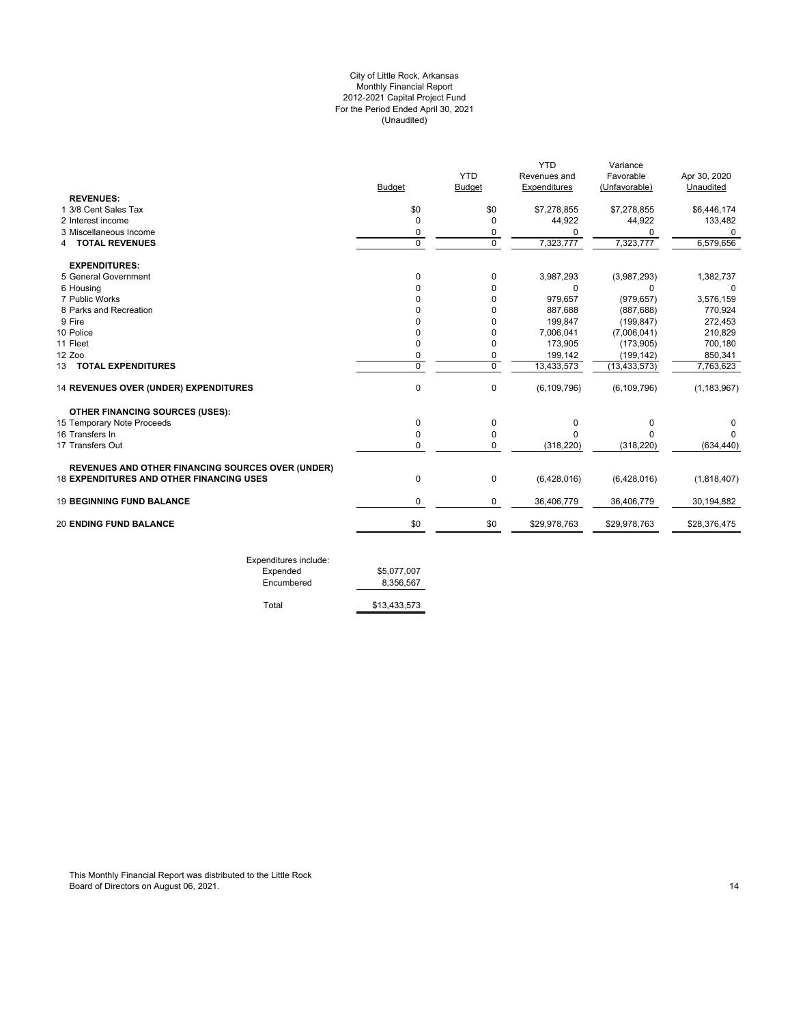## For the Period Ended April 30, 2021 (Unaudited) City of Little Rock, Arkansas Monthly Financial Report 2012-2021 Capital Project Fund

|                                                          |               |               | <b>YTD</b>    | Variance       |               |
|----------------------------------------------------------|---------------|---------------|---------------|----------------|---------------|
|                                                          |               | <b>YTD</b>    | Revenues and  | Favorable      | Apr 30, 2020  |
|                                                          | <b>Budget</b> | <b>Budget</b> | Expenditures  | (Unfavorable)  | Unaudited     |
| <b>REVENUES:</b>                                         |               |               |               |                |               |
| 1 3/8 Cent Sales Tax                                     | \$0           | \$0           | \$7,278,855   | \$7,278,855    | \$6,446,174   |
| 2 Interest income                                        | $\mathbf 0$   | 0             | 44,922        | 44,922         | 133,482       |
| 3 Miscellaneous Income                                   | 0             | 0             | 0             | $\Omega$       | $\Omega$      |
| <b>TOTAL REVENUES</b><br>4                               | $\Omega$      | $\mathbf 0$   | 7,323,777     | 7,323,777      | 6,579,656     |
| <b>EXPENDITURES:</b>                                     |               |               |               |                |               |
| 5 General Government                                     | 0             | 0             | 3,987,293     | (3,987,293)    | 1,382,737     |
| 6 Housing                                                | <sup>0</sup>  | $\Omega$      | 0             | 0              | $\Omega$      |
| 7 Public Works                                           | $\Omega$      | $\Omega$      | 979,657       | (979, 657)     | 3,576,159     |
| 8 Parks and Recreation                                   | U             | $\Omega$      | 887,688       | (887, 688)     | 770,924       |
| 9 Fire                                                   |               | $\Omega$      | 199,847       | (199.847)      | 272,453       |
| 10 Police                                                | 0             | 0             | 7,006,041     | (7,006,041)    | 210,829       |
| 11 Fleet                                                 | 0             | 0             | 173,905       | (173, 905)     | 700,180       |
| 12 Zoo                                                   | 0             | 0             | 199,142       | (199, 142)     | 850,341       |
| 13 TOTAL EXPENDITURES                                    | $\mathbf 0$   | $\mathbf 0$   | 13,433,573    | (13, 433, 573) | 7,763,623     |
| 14 REVENUES OVER (UNDER) EXPENDITURES                    | 0             | $\mathbf 0$   | (6, 109, 796) | (6, 109, 796)  | (1, 183, 967) |
| <b>OTHER FINANCING SOURCES (USES):</b>                   |               |               |               |                |               |
| 15 Temporary Note Proceeds                               | 0             | 0             | $\mathbf 0$   | $\Omega$       | 0             |
| 16 Transfers In                                          | $\Omega$      | 0             | O             | U              |               |
| 17 Transfers Out                                         | 0             | $\Omega$      | (318, 220)    | (318, 220)     | (634, 440)    |
| <b>REVENUES AND OTHER FINANCING SOURCES OVER (UNDER)</b> |               |               |               |                |               |
| <b>18 EXPENDITURES AND OTHER FINANCING USES</b>          | 0             | 0             | (6,428,016)   | (6,428,016)    | (1,818,407)   |
| <b>19 BEGINNING FUND BALANCE</b>                         | 0             | 0             | 36,406,779    | 36,406,779     | 30,194,882    |
| <b>20 ENDING FUND BALANCE</b>                            | \$0           | \$0           | \$29,978,763  | \$29,978,763   | \$28,376,475  |

| Expended   | \$5,077,007  |
|------------|--------------|
| Encumbered | 8,356,567    |
|            |              |
| Total      | \$13,433,573 |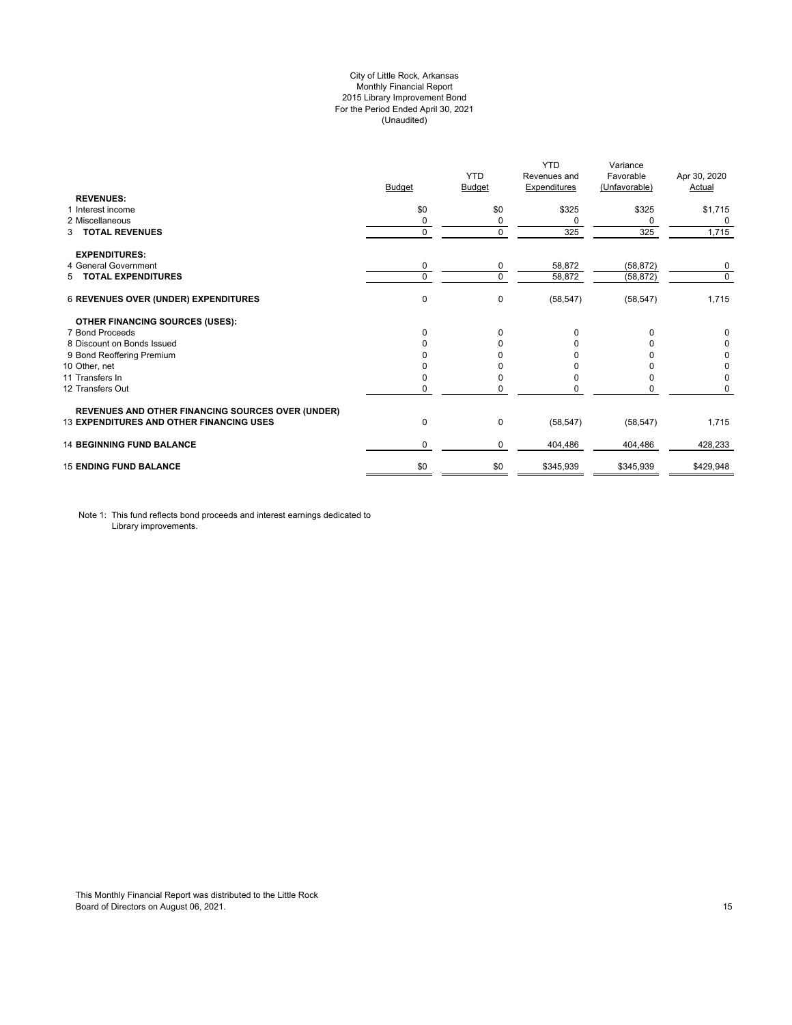## City of Little Rock, Arkansas Monthly Financial Report 2015 Library Improvement Bond For the Period Ended April 30, 2021 (Unaudited)

| <b>REVENUES:</b>                                         | <b>Budget</b> | <b>YTD</b><br>Budget | <b>YTD</b><br>Revenues and<br><b>Expenditures</b> | Variance<br>Favorable<br>(Unfavorable) | Apr 30, 2020<br>Actual |
|----------------------------------------------------------|---------------|----------------------|---------------------------------------------------|----------------------------------------|------------------------|
| 1 Interest income                                        | \$0           | \$0                  | \$325                                             | \$325                                  | \$1,715                |
| 2 Miscellaneous                                          | 0             | 0                    | 0                                                 | 0                                      | 0                      |
| <b>TOTAL REVENUES</b><br>3                               | $\mathbf 0$   | $\Omega$             | 325                                               | 325                                    | 1,715                  |
| <b>EXPENDITURES:</b>                                     |               |                      |                                                   |                                        |                        |
| 4 General Government                                     | 0             | 0                    | 58,872                                            | (58, 872)                              | 0                      |
| 5 TOTAL EXPENDITURES                                     | 0             | $\Omega$             | 58,872                                            | (58, 872)                              | $\mathbf 0$            |
| <b>6 REVENUES OVER (UNDER) EXPENDITURES</b>              | 0             | 0                    | (58, 547)                                         | (58, 547)                              | 1,715                  |
| <b>OTHER FINANCING SOURCES (USES):</b>                   |               |                      |                                                   |                                        |                        |
| 7 Bond Proceeds                                          | $\Omega$      | $\Omega$             | 0                                                 | $\Omega$                               | 0                      |
| 8 Discount on Bonds Issued                               | $\Omega$      | <sup>0</sup>         | <sup>0</sup>                                      |                                        | 0                      |
| 9 Bond Reoffering Premium                                |               |                      |                                                   |                                        | 0                      |
| 10 Other, net                                            |               |                      |                                                   |                                        | 0                      |
| 11 Transfers In                                          | 0             |                      | <sup>0</sup>                                      | <sup>0</sup>                           | 0                      |
| 12 Transfers Out                                         | 0             |                      |                                                   | 0                                      | 0                      |
| <b>REVENUES AND OTHER FINANCING SOURCES OVER (UNDER)</b> |               |                      |                                                   |                                        |                        |
| <b>13 EXPENDITURES AND OTHER FINANCING USES</b>          | 0             | 0                    | (58, 547)                                         | (58, 547)                              | 1,715                  |
| <b>14 BEGINNING FUND BALANCE</b>                         | $\Omega$      | 0                    | 404,486                                           | 404,486                                | 428.233                |
| <b>15 ENDING FUND BALANCE</b>                            | \$0           | \$0                  | \$345,939                                         | \$345,939                              | \$429,948              |

Note 1: This fund reflects bond proceeds and interest earnings dedicated to Library improvements.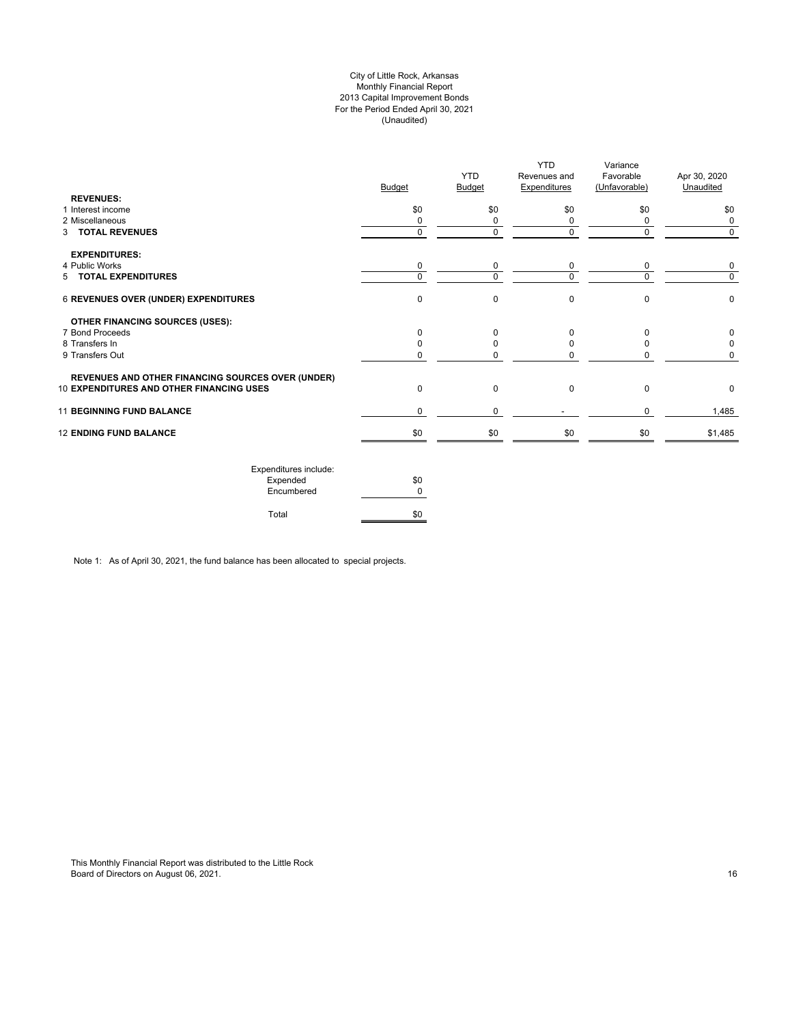## City of Little Rock, Arkansas Monthly Financial Report 2013 Capital Improvement Bonds For the Period Ended April 30, 2021 (Unaudited)

| <b>REVENUES:</b>                                         | <b>Budget</b> | <b>YTD</b><br><b>Budget</b> | <b>YTD</b><br>Revenues and<br><b>Expenditures</b> | Variance<br>Favorable<br>(Unfavorable) | Apr 30, 2020<br>Unaudited |
|----------------------------------------------------------|---------------|-----------------------------|---------------------------------------------------|----------------------------------------|---------------------------|
| 1 Interest income                                        | \$0           | \$0                         | \$0                                               | \$0                                    | \$0                       |
| 2 Miscellaneous                                          | $\Omega$      | 0                           | 0                                                 | $\Omega$                               | 0                         |
| 3 TOTAL REVENUES                                         | $\Omega$      | 0                           | $\mathbf 0$                                       | $\Omega$                               | $\Omega$                  |
| <b>EXPENDITURES:</b>                                     |               |                             |                                                   |                                        |                           |
| 4 Public Works                                           | 0             | 0                           | 0                                                 | 0                                      | 0                         |
| 5 TOTAL EXPENDITURES                                     | $\Omega$      | $\Omega$                    | $\Omega$                                          |                                        | $\Omega$                  |
| 6 REVENUES OVER (UNDER) EXPENDITURES                     | $\mathbf 0$   | 0                           | $\mathbf 0$                                       | $\Omega$                               | 0                         |
| <b>OTHER FINANCING SOURCES (USES):</b>                   |               |                             |                                                   |                                        |                           |
| 7 Bond Proceeds                                          | $\Omega$      | $\Omega$                    | $\mathbf 0$                                       | $\Omega$                               | 0                         |
| 8 Transfers In                                           | <sup>0</sup>  | $\Omega$                    | $\Omega$                                          |                                        | 0                         |
| 9 Transfers Out                                          | 0             | O                           | $\Omega$                                          |                                        | 0                         |
| <b>REVENUES AND OTHER FINANCING SOURCES OVER (UNDER)</b> |               |                             |                                                   |                                        |                           |
| 10 EXPENDITURES AND OTHER FINANCING USES                 | $\mathbf 0$   | 0                           | $\mathbf 0$                                       | $\Omega$                               | 0                         |
| <b>11 BEGINNING FUND BALANCE</b>                         | 0             | 0                           |                                                   | 0                                      | 1,485                     |
| <b>12 ENDING FUND BALANCE</b>                            | \$0           | \$0                         | \$0                                               | \$0                                    | \$1,485                   |
| Expenditures include:                                    |               |                             |                                                   |                                        |                           |

| Expenditures include: |     |
|-----------------------|-----|
| Expended              | \$0 |
| Encumbered            |     |
|                       |     |
| Total                 | \$0 |

Note 1: As of April 30, 2021, the fund balance has been allocated to special projects.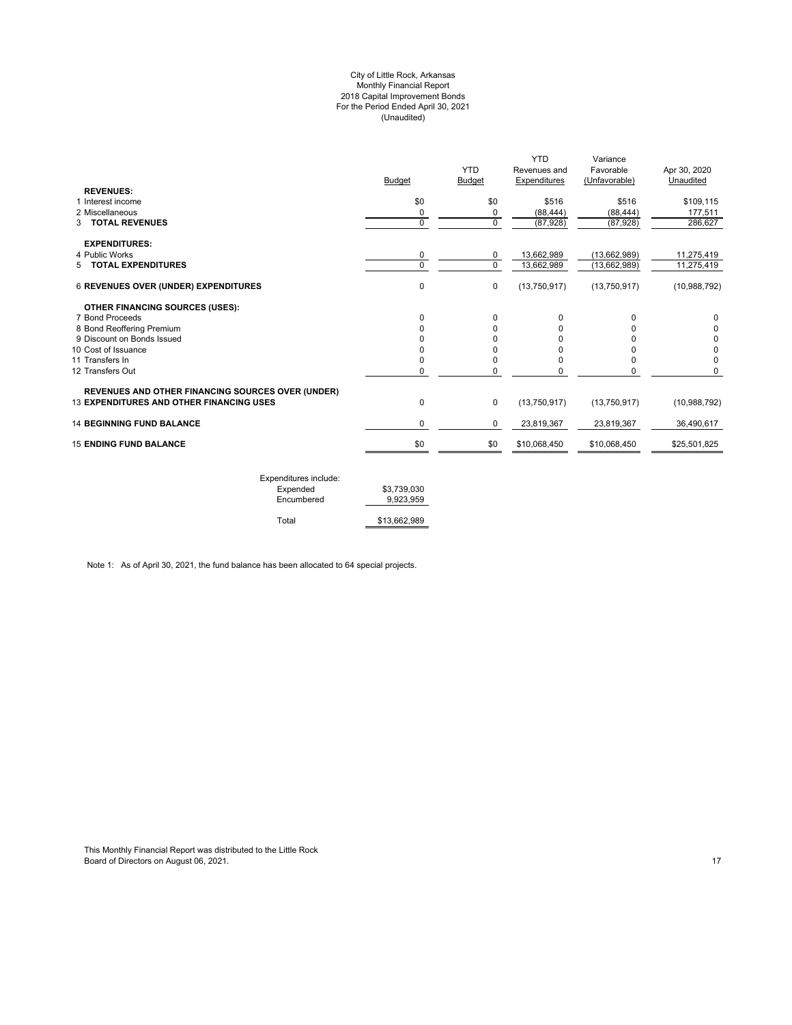#### City of Little Rock, Arkansas Monthly Financial Report 2018 Capital Improvement Bonds For the Period Ended April 30, 2021 (Unaudited)

| \$0      |             |              |                     |                |
|----------|-------------|--------------|---------------------|----------------|
|          | \$0         | \$516        | \$516               | \$109,115      |
|          |             |              |                     | 177,511        |
| 0        | $\mathbf 0$ | (87, 928)    | (87, 928)           | 286,627        |
|          |             |              |                     |                |
| 0        | 0           | 13,662,989   | (13,662,989)        | 11,275,419     |
| $\Omega$ | $\Omega$    | 13,662,989   | (13,662,989)        | 11,275,419     |
| 0        | 0           | (13,750,917) | (13,750,917)        | (10,988,792)   |
|          |             |              |                     |                |
| $\Omega$ | $\Omega$    | 0            | 0                   | 0              |
|          | 0           | 0            |                     |                |
|          | ŋ           | U            |                     | 0              |
| ŋ        | ŋ           | ŋ            |                     | 0              |
|          |             |              | 0                   | $\Omega$       |
|          |             |              |                     | $\Omega$       |
| 0        | $\mathbf 0$ | (13,750,917) | (13,750,917)        | (10,988,792)   |
| 0        | 0           | 23,819,367   | 23,819,367          | 36.490.617     |
| \$0      | \$0         | \$10,068,450 | \$10,068,450        | \$25,501,825   |
|          | 0<br>0<br>0 | 0<br>0<br>0  | (88, 444)<br>0<br>0 | (88, 444)<br>0 |

| Expenditures include: |              |
|-----------------------|--------------|
| Expended              | \$3.739.030  |
| Encumbered            | 9.923.959    |
| Total                 | \$13,662,989 |

Note 1: As of April 30, 2021, the fund balance has been allocated to 64 special projects.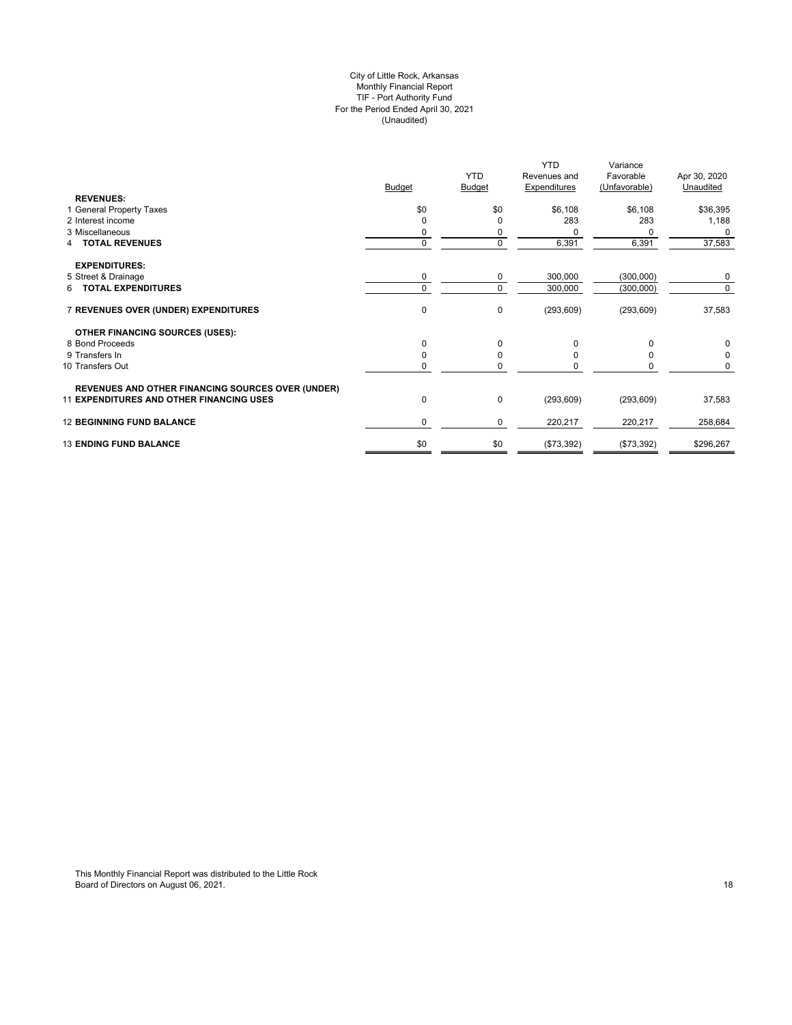## City of Little Rock, Arkansas Monthly Financial Report TIF - Port Authority Fund For the Period Ended April 30, 2021 (Unaudited)

| <b>REVENUES:</b>                                         | <b>Budget</b> | <b>YTD</b><br>Budget | <b>YTD</b><br>Revenues and<br><b>Expenditures</b> | Variance<br>Favorable<br>(Unfavorable) | Apr 30, 2020<br>Unaudited |
|----------------------------------------------------------|---------------|----------------------|---------------------------------------------------|----------------------------------------|---------------------------|
| 1 General Property Taxes                                 | \$0           | \$0                  | \$6,108                                           | \$6,108                                | \$36,395                  |
| 2 Interest income                                        | $\Omega$      | O                    | 283                                               | 283                                    | 1,188                     |
| 3 Miscellaneous                                          | 0             | 0                    |                                                   | 0                                      | 0                         |
| 4 TOTAL REVENUES                                         | $\mathbf 0$   | $\mathbf 0$          | 6,391                                             | 6,391                                  | 37,583                    |
| <b>EXPENDITURES:</b>                                     |               |                      |                                                   |                                        |                           |
| 5 Street & Drainage                                      | 0             | 0                    | 300,000                                           | (300, 000)                             | 0                         |
| 6 TOTAL EXPENDITURES                                     | $\Omega$      | $\Omega$             | 300,000                                           | (300,000)                              | 0                         |
| 7 REVENUES OVER (UNDER) EXPENDITURES                     | $\pmb{0}$     | 0                    | (293, 609)                                        | (293, 609)                             | 37,583                    |
| <b>OTHER FINANCING SOURCES (USES):</b>                   |               |                      |                                                   |                                        |                           |
| 8 Bond Proceeds                                          | $\mathbf 0$   | $\Omega$             | 0                                                 | O                                      | 0                         |
| 9 Transfers In                                           | $\mathbf 0$   |                      |                                                   |                                        | 0                         |
| 10 Transfers Out                                         | 0             | O                    |                                                   | 0                                      | 0                         |
| <b>REVENUES AND OTHER FINANCING SOURCES OVER (UNDER)</b> |               |                      |                                                   |                                        |                           |
| <b>11 EXPENDITURES AND OTHER FINANCING USES</b>          | 0             | $\mathbf 0$          | (293, 609)                                        | (293, 609)                             | 37,583                    |
| <b>12 BEGINNING FUND BALANCE</b>                         | 0             | 0                    | 220,217                                           | 220,217                                | 258,684                   |
| <b>13 ENDING FUND BALANCE</b>                            | \$0           | \$0                  | (\$73,392)                                        | (\$73,392)                             | \$296,267                 |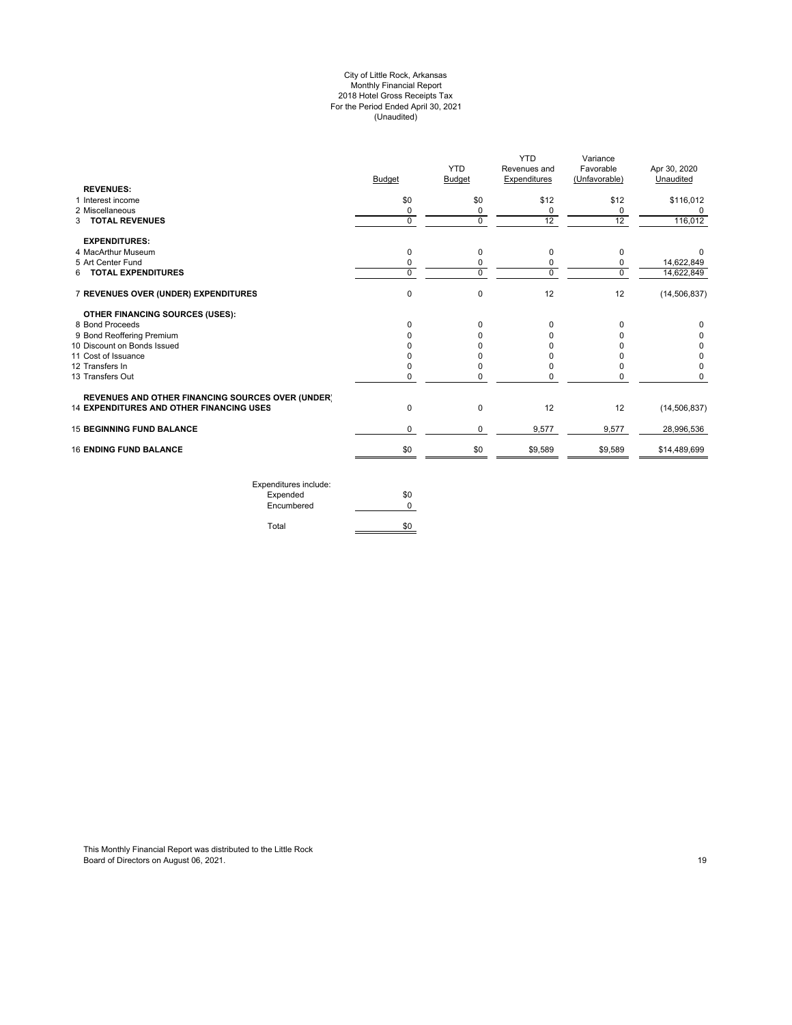#### City of Little Rock, Arkansas Monthly Financial Report 2018 Hotel Gross Receipts Tax For the Period Ended April 30, 2021 (Unaudited)

|                                                          | <b>Budget</b> | <b>YTD</b><br><b>Budget</b> | YTD<br>Revenues and<br>Expenditures | Variance<br>Favorable<br>(Unfavorable) | Apr 30, 2020<br>Unaudited |
|----------------------------------------------------------|---------------|-----------------------------|-------------------------------------|----------------------------------------|---------------------------|
| <b>REVENUES:</b>                                         |               |                             |                                     |                                        |                           |
| 1 Interest income                                        | \$0           | \$0                         | \$12                                | \$12                                   | \$116,012                 |
| 2 Miscellaneous                                          | 0             | 0                           | 0                                   | 0                                      | 0                         |
| 3 TOTAL REVENUES                                         | $\Omega$      | $\mathbf 0$                 | 12                                  | 12                                     | 116,012                   |
| <b>EXPENDITURES:</b>                                     |               |                             |                                     |                                        |                           |
| 4 MacArthur Museum                                       | $\Omega$      | 0                           | 0                                   | $\Omega$                               | $^{\circ}$                |
| 5 Art Center Fund                                        | 0             | 0                           | 0                                   | 0                                      | 14.622.849                |
| 6 TOTAL EXPENDITURES                                     | $\Omega$      | $\Omega$                    | $\mathbf 0$                         | $\Omega$                               | 14,622,849                |
| 7 REVENUES OVER (UNDER) EXPENDITURES                     | 0             | 0                           | 12                                  | 12                                     | (14, 506, 837)            |
| OTHER FINANCING SOURCES (USES):                          |               |                             |                                     |                                        |                           |
| 8 Bond Proceeds                                          | $\Omega$      | 0                           | 0                                   | 0                                      | 0                         |
| 9 Bond Reoffering Premium                                |               | $\Omega$                    | 0                                   |                                        | 0                         |
| 10 Discount on Bonds Issued                              |               | 0                           |                                     |                                        | 0                         |
| 11 Cost of Issuance                                      |               | <sup>0</sup>                |                                     |                                        | 0                         |
| 12 Transfers In                                          |               | 0                           | O                                   |                                        | 0                         |
| 13 Transfers Out                                         | 0             | 0                           | 0                                   |                                        | 0                         |
| <b>REVENUES AND OTHER FINANCING SOURCES OVER (UNDER)</b> |               |                             |                                     |                                        |                           |
| <b>14 EXPENDITURES AND OTHER FINANCING USES</b>          | 0             | 0                           | 12                                  | 12                                     | (14, 506, 837)            |
| <b>15 BEGINNING FUND BALANCE</b>                         | $\mathbf 0$   | 0                           | 9,577                               | 9,577                                  | 28,996,536                |
| <b>16 ENDING FUND BALANCE</b>                            | \$0           | \$0                         | \$9,589                             | \$9,589                                | \$14,489,699              |

Expenditures include: Expended \$0 Encumbered 0 Total \$0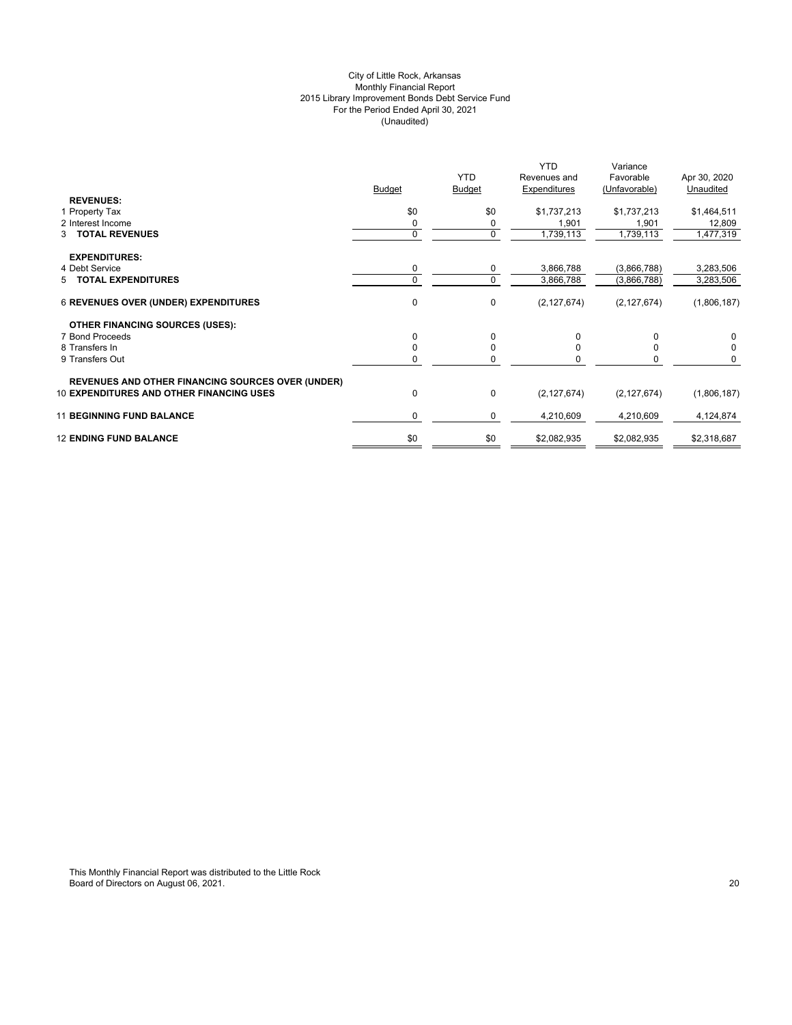## City of Little Rock, Arkansas Monthly Financial Report 2015 Library Improvement Bonds Debt Service Fund For the Period Ended April 30, 2021 (Unaudited)

|                                                                                                             | <b>Budget</b> | <b>YTD</b><br><b>Budget</b> | <b>YTD</b><br>Revenues and<br>Expenditures | Variance<br>Favorable<br>(Unfavorable) | Apr 30, 2020<br>Unaudited |
|-------------------------------------------------------------------------------------------------------------|---------------|-----------------------------|--------------------------------------------|----------------------------------------|---------------------------|
| <b>REVENUES:</b><br>1 Property Tax                                                                          | \$0           | \$0                         | \$1,737,213                                | \$1,737,213                            | \$1,464,511               |
| 2 Interest Income                                                                                           |               |                             | 1,901                                      | 1,901                                  | 12,809                    |
| 3 TOTAL REVENUES                                                                                            | $\Omega$      | $\mathbf 0$                 | 1,739,113                                  | 1,739,113                              | 1,477,319                 |
|                                                                                                             |               |                             |                                            |                                        |                           |
| <b>EXPENDITURES:</b>                                                                                        |               |                             |                                            |                                        |                           |
| 4 Debt Service                                                                                              | 0             | 0                           | 3,866,788                                  | (3,866,788)                            | 3,283,506                 |
| 5 TOTAL EXPENDITURES                                                                                        | $\Omega$      | 0                           | 3,866,788                                  | (3,866,788)                            | 3,283,506                 |
| <b>6 REVENUES OVER (UNDER) EXPENDITURES</b>                                                                 | 0             | $\mathbf 0$                 | (2, 127, 674)                              | (2, 127, 674)                          | (1,806,187)               |
| <b>OTHER FINANCING SOURCES (USES):</b>                                                                      |               |                             |                                            |                                        |                           |
| 7 Bond Proceeds                                                                                             | 0             | $\Omega$                    | $\Omega$                                   | 0                                      |                           |
| 8 Transfers In                                                                                              |               |                             |                                            |                                        |                           |
| 9 Transfers Out                                                                                             |               |                             |                                            |                                        |                           |
|                                                                                                             |               |                             |                                            |                                        |                           |
| <b>REVENUES AND OTHER FINANCING SOURCES OVER (UNDER)</b><br><b>10 EXPENDITURES AND OTHER FINANCING USES</b> | $\Omega$      | 0                           | (2, 127, 674)                              | (2, 127, 674)                          | (1,806,187)               |
| <b>11 BEGINNING FUND BALANCE</b>                                                                            | 0             | 0                           | 4,210,609                                  | 4,210,609                              | 4,124,874                 |
| <b>12 ENDING FUND BALANCE</b>                                                                               | \$0           | \$0                         | \$2,082,935                                | \$2,082,935                            | \$2,318,687               |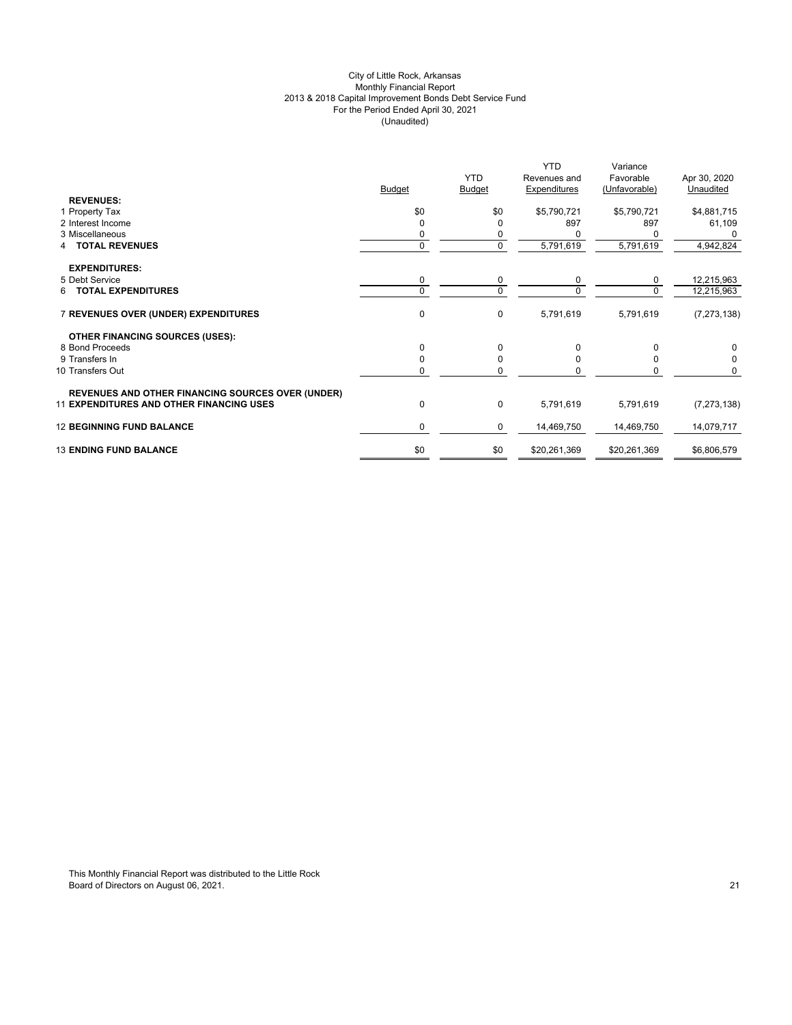## City of Little Rock, Arkansas Monthly Financial Report 2013 & 2018 Capital Improvement Bonds Debt Service Fund For the Period Ended April 30, 2021 (Unaudited)

|                                                          |               | <b>YTD</b>    | <b>YTD</b><br>Revenues and | Variance<br>Favorable | Apr 30, 2020  |
|----------------------------------------------------------|---------------|---------------|----------------------------|-----------------------|---------------|
| <b>REVENUES:</b>                                         | <b>Budget</b> | <b>Budget</b> | Expenditures               | (Unfavorable)         | Unaudited     |
| 1 Property Tax                                           | \$0           | \$0           | \$5,790,721                | \$5,790,721           | \$4,881,715   |
| 2 Interest Income                                        | O             | $\Omega$      | 897                        | 897                   | 61,109        |
| 3 Miscellaneous                                          | 0             | 0             |                            |                       |               |
| <b>TOTAL REVENUES</b><br>4                               | $\mathbf{0}$  | 0             | 5,791,619                  | 5,791,619             | 4,942,824     |
| <b>EXPENDITURES:</b>                                     |               |               |                            |                       |               |
| 5 Debt Service                                           | $\mathbf 0$   | 0             | 0                          | $\mathbf 0$           | 12,215,963    |
| <b>TOTAL EXPENDITURES</b><br>6.                          | $\Omega$      | $\mathbf 0$   | $\Omega$                   | $\Omega$              | 12,215,963    |
| 7 REVENUES OVER (UNDER) EXPENDITURES                     | $\mathbf 0$   | 0             | 5,791,619                  | 5,791,619             | (7, 273, 138) |
| <b>OTHER FINANCING SOURCES (USES):</b>                   |               |               |                            |                       |               |
| 8 Bond Proceeds                                          | $\Omega$      | $\mathbf 0$   | $\Omega$                   | $\Omega$              | 0             |
| 9 Transfers In                                           | $\Omega$      | 0             | 0                          | 0                     | 0             |
| 10 Transfers Out                                         | 0             | 0             | 0                          | 0                     | $\mathbf 0$   |
| <b>REVENUES AND OTHER FINANCING SOURCES OVER (UNDER)</b> |               |               |                            |                       |               |
| <b>11 EXPENDITURES AND OTHER FINANCING USES</b>          | 0             | $\pmb{0}$     | 5,791,619                  | 5,791,619             | (7, 273, 138) |
| <b>12 BEGINNING FUND BALANCE</b>                         | $\mathbf 0$   | 0             | 14,469,750                 | 14,469,750            | 14,079,717    |
| <b>13 ENDING FUND BALANCE</b>                            | \$0           | \$0           | \$20,261,369               | \$20,261,369          | \$6,806,579   |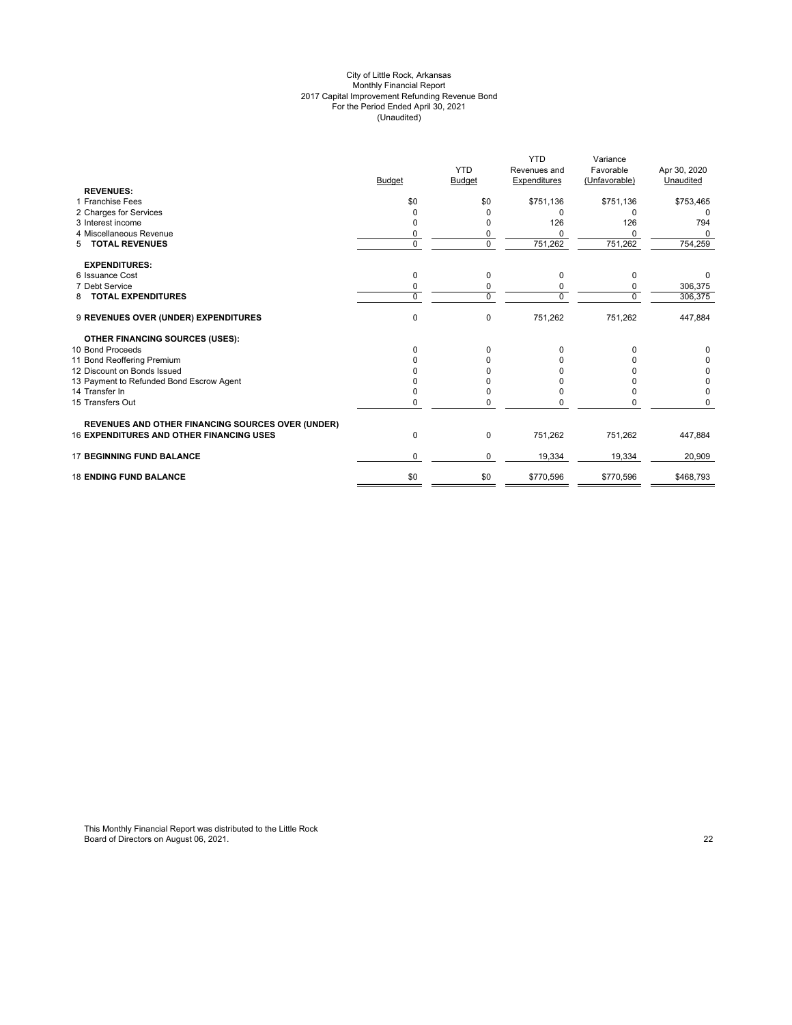#### City of Little Rock, Arkansas Monthly Financial Report 2017 Capital Improvement Refunding Revenue Bond For the Period Ended April 30, 2021 (Unaudited)

|                                                          |               |               | <b>YTD</b>   | Variance      |              |
|----------------------------------------------------------|---------------|---------------|--------------|---------------|--------------|
|                                                          |               | <b>YTD</b>    | Revenues and | Favorable     | Apr 30, 2020 |
|                                                          | <b>Budget</b> | <b>Budget</b> | Expenditures | (Unfavorable) | Unaudited    |
| <b>REVENUES:</b>                                         |               |               |              |               |              |
| 1 Franchise Fees                                         | \$0           | \$0           | \$751,136    | \$751,136     | \$753,465    |
| 2 Charges for Services                                   |               | 0             | 0            | 0             | <sup>0</sup> |
| 3 Interest income                                        |               | 0             | 126          | 126           | 794          |
| 4 Miscellaneous Revenue                                  | 0             | 0             |              | O             | $\Omega$     |
| <b>TOTAL REVENUES</b><br>5                               | $\mathbf 0$   | $\mathbf 0$   | 751,262      | 751,262       | 754,259      |
| <b>EXPENDITURES:</b>                                     |               |               |              |               |              |
| 6 Issuance Cost                                          | 0             | 0             | 0            | 0             |              |
| 7 Debt Service                                           | 0             | 0             |              | 0             | 306,375      |
| <b>TOTAL EXPENDITURES</b><br>8                           | $\Omega$      | $\Omega$      | 0            | $\Omega$      | 306,375      |
| 9 REVENUES OVER (UNDER) EXPENDITURES                     | 0             | $\pmb{0}$     | 751,262      | 751,262       | 447,884      |
| <b>OTHER FINANCING SOURCES (USES):</b>                   |               |               |              |               |              |
| 10 Bond Proceeds                                         | 0             | 0             | 0            | 0             | 0            |
| 11 Bond Reoffering Premium                               |               | 0             |              |               | 0            |
| 12 Discount on Bonds Issued                              |               |               |              |               | 0            |
| 13 Payment to Refunded Bond Escrow Agent                 |               |               |              |               | 0            |
| 14 Transfer In                                           |               | 0             |              | ი             | 0            |
| 15 Transfers Out                                         | 0             | 0             |              | 0             | 0            |
| <b>REVENUES AND OTHER FINANCING SOURCES OVER (UNDER)</b> |               |               |              |               |              |
| <b>16 EXPENDITURES AND OTHER FINANCING USES</b>          | 0             | 0             | 751,262      | 751,262       | 447,884      |
| <b>17 BEGINNING FUND BALANCE</b>                         | $\Omega$      | $\mathbf 0$   | 19,334       | 19,334        | 20,909       |
| <b>18 ENDING FUND BALANCE</b>                            | \$0           | \$0           | \$770,596    | \$770,596     | \$468,793    |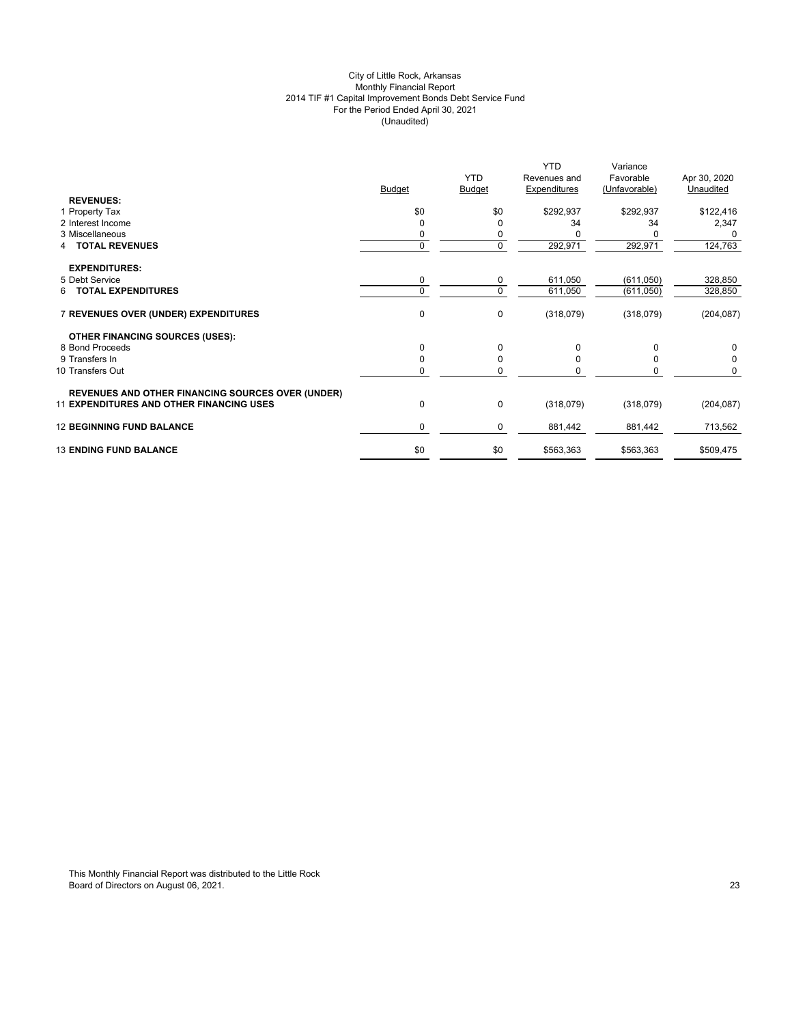## City of Little Rock, Arkansas Monthly Financial Report 2014 TIF #1 Capital Improvement Bonds Debt Service Fund For the Period Ended April 30, 2021 (Unaudited)

| <b>REVENUES:</b><br>\$0<br>\$0<br>\$292,937<br>\$292,937<br>1 Property Tax<br>2 Interest Income<br>34<br>0<br>34<br>O<br>3 Miscellaneous<br>0<br>0<br>0<br>292,971<br><b>TOTAL REVENUES</b><br>$\mathbf{0}$<br>292,971<br><b>EXPENDITURES:</b><br>5 Debt Service<br>0<br>611,050<br>(611,050)<br>0<br>$\mathbf 0$<br><b>6 TOTAL EXPENDITURES</b><br>$\Omega$<br>611,050<br>(611, 050)<br>0<br>7 REVENUES OVER (UNDER) EXPENDITURES<br>0<br>(318,079)<br>(318,079)<br><b>OTHER FINANCING SOURCES (USES):</b><br>8 Bond Proceeds<br>0<br>$\Omega$<br>$\Omega$<br>$\Omega$<br>0<br>9 Transfers In<br>$\Omega$<br><sup>0</sup><br>$\Omega$<br>0<br>10 Transfers Out<br>$\mathbf 0$<br>$\Omega$<br><b>REVENUES AND OTHER FINANCING SOURCES OVER (UNDER)</b><br>$\pmb{0}$<br><b>11 EXPENDITURES AND OTHER FINANCING USES</b><br>0<br>(318,079)<br>(318,079) |                                  | <b>Budget</b> | <b>YTD</b><br><b>Budget</b> | <b>YTD</b><br>Revenues and<br>Expenditures | Variance<br>Favorable<br>(Unfavorable) | Apr 30, 2020<br>Unaudited |
|-------------------------------------------------------------------------------------------------------------------------------------------------------------------------------------------------------------------------------------------------------------------------------------------------------------------------------------------------------------------------------------------------------------------------------------------------------------------------------------------------------------------------------------------------------------------------------------------------------------------------------------------------------------------------------------------------------------------------------------------------------------------------------------------------------------------------------------------------------|----------------------------------|---------------|-----------------------------|--------------------------------------------|----------------------------------------|---------------------------|
|                                                                                                                                                                                                                                                                                                                                                                                                                                                                                                                                                                                                                                                                                                                                                                                                                                                       |                                  |               |                             |                                            |                                        |                           |
|                                                                                                                                                                                                                                                                                                                                                                                                                                                                                                                                                                                                                                                                                                                                                                                                                                                       |                                  |               |                             |                                            |                                        | \$122,416                 |
|                                                                                                                                                                                                                                                                                                                                                                                                                                                                                                                                                                                                                                                                                                                                                                                                                                                       |                                  |               |                             |                                            |                                        | 2,347                     |
|                                                                                                                                                                                                                                                                                                                                                                                                                                                                                                                                                                                                                                                                                                                                                                                                                                                       |                                  |               |                             |                                            |                                        |                           |
|                                                                                                                                                                                                                                                                                                                                                                                                                                                                                                                                                                                                                                                                                                                                                                                                                                                       |                                  |               |                             |                                            |                                        | 124,763                   |
|                                                                                                                                                                                                                                                                                                                                                                                                                                                                                                                                                                                                                                                                                                                                                                                                                                                       |                                  |               |                             |                                            |                                        |                           |
|                                                                                                                                                                                                                                                                                                                                                                                                                                                                                                                                                                                                                                                                                                                                                                                                                                                       |                                  |               |                             |                                            |                                        | 328,850                   |
|                                                                                                                                                                                                                                                                                                                                                                                                                                                                                                                                                                                                                                                                                                                                                                                                                                                       |                                  |               |                             |                                            |                                        | 328,850                   |
|                                                                                                                                                                                                                                                                                                                                                                                                                                                                                                                                                                                                                                                                                                                                                                                                                                                       |                                  |               |                             |                                            |                                        | (204, 087)                |
|                                                                                                                                                                                                                                                                                                                                                                                                                                                                                                                                                                                                                                                                                                                                                                                                                                                       |                                  |               |                             |                                            |                                        |                           |
|                                                                                                                                                                                                                                                                                                                                                                                                                                                                                                                                                                                                                                                                                                                                                                                                                                                       |                                  |               |                             |                                            |                                        | 0                         |
|                                                                                                                                                                                                                                                                                                                                                                                                                                                                                                                                                                                                                                                                                                                                                                                                                                                       |                                  |               |                             |                                            |                                        | 0                         |
|                                                                                                                                                                                                                                                                                                                                                                                                                                                                                                                                                                                                                                                                                                                                                                                                                                                       |                                  |               |                             |                                            |                                        | 0                         |
|                                                                                                                                                                                                                                                                                                                                                                                                                                                                                                                                                                                                                                                                                                                                                                                                                                                       |                                  |               |                             |                                            |                                        |                           |
|                                                                                                                                                                                                                                                                                                                                                                                                                                                                                                                                                                                                                                                                                                                                                                                                                                                       |                                  |               |                             |                                            |                                        | (204, 087)                |
|                                                                                                                                                                                                                                                                                                                                                                                                                                                                                                                                                                                                                                                                                                                                                                                                                                                       | <b>12 BEGINNING FUND BALANCE</b> | $\mathbf 0$   | 0                           | 881,442                                    | 881,442                                | 713,562                   |
| \$0<br>\$0<br><b>13 ENDING FUND BALANCE</b><br>\$563,363<br>\$563,363                                                                                                                                                                                                                                                                                                                                                                                                                                                                                                                                                                                                                                                                                                                                                                                 |                                  |               |                             |                                            |                                        | \$509,475                 |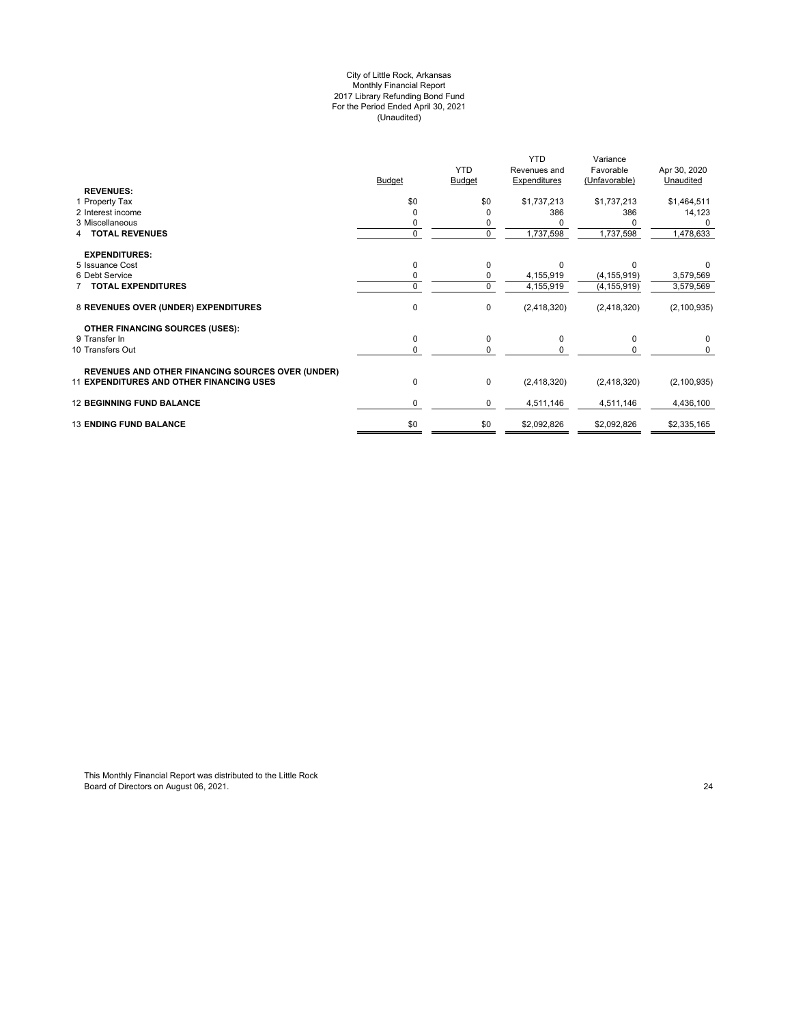#### City of Little Rock, Arkansas Monthly Financial Report 2017 Library Refunding Bond Fund For the Period Ended April 30, 2021 (Unaudited)

|                                                          |               | <b>YTD</b>    | <b>YTD</b><br>Revenues and | Variance<br>Favorable | Apr 30, 2020  |
|----------------------------------------------------------|---------------|---------------|----------------------------|-----------------------|---------------|
|                                                          | <b>Budget</b> | <b>Budget</b> | <b>Expenditures</b>        | (Unfavorable)         | Unaudited     |
| <b>REVENUES:</b>                                         |               |               |                            |                       |               |
| 1 Property Tax                                           | \$0           | \$0           | \$1,737,213                | \$1,737,213           | \$1,464,511   |
| 2 Interest income                                        |               | 0             | 386                        | 386                   | 14,123        |
| 3 Miscellaneous                                          |               |               |                            |                       |               |
| <b>TOTAL REVENUES</b>                                    | $\Omega$      | $\mathbf 0$   | 1,737,598                  | 1,737,598             | 1,478,633     |
| <b>EXPENDITURES:</b>                                     |               |               |                            |                       |               |
| 5 Issuance Cost                                          |               | $\mathbf 0$   | $\Omega$                   | $\Omega$              |               |
| 6 Debt Service                                           |               | 0             | 4,155,919                  | (4, 155, 919)         | 3,579,569     |
| <b>7 TOTAL EXPENDITURES</b>                              | $\Omega$      | $\mathbf 0$   | 4,155,919                  | (4, 155, 919)         | 3,579,569     |
| 8 REVENUES OVER (UNDER) EXPENDITURES                     | $\mathbf 0$   | 0             | (2, 418, 320)              | (2,418,320)           | (2, 100, 935) |
| <b>OTHER FINANCING SOURCES (USES):</b>                   |               |               |                            |                       |               |
| 9 Transfer In                                            | $\mathbf 0$   | $\mathbf 0$   | $\Omega$                   | 0                     | $\mathbf 0$   |
| 10 Transfers Out                                         |               | $\Omega$      |                            |                       | $\Omega$      |
| <b>REVENUES AND OTHER FINANCING SOURCES OVER (UNDER)</b> |               |               |                            |                       |               |
| <b>11 EXPENDITURES AND OTHER FINANCING USES</b>          | $\mathbf 0$   | 0             | (2, 418, 320)              | (2,418,320)           | (2,100,935)   |
| <b>12 BEGINNING FUND BALANCE</b>                         | 0             | 0             | 4,511,146                  | 4,511,146             | 4,436,100     |
| <b>13 ENDING FUND BALANCE</b>                            | \$0           | \$0           | \$2,092,826                | \$2,092,826           | \$2,335,165   |
|                                                          |               |               |                            |                       |               |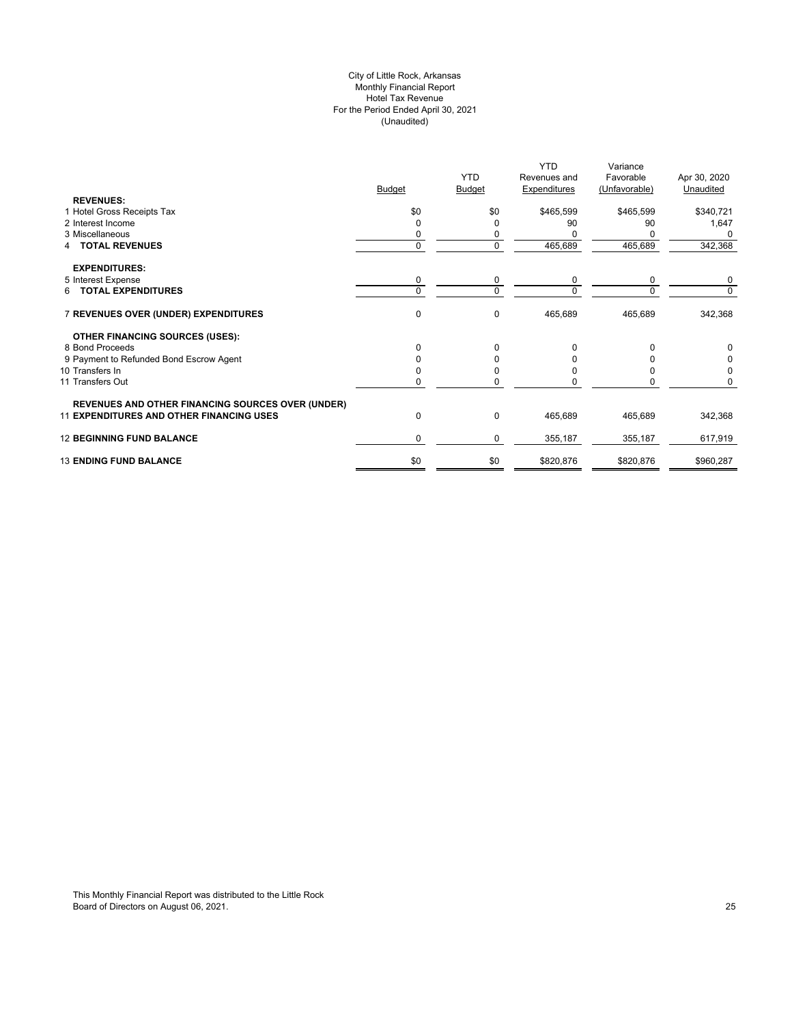## City of Little Rock, Arkansas Monthly Financial Report Hotel Tax Revenue For the Period Ended April 30, 2021 (Unaudited)

|                                                          |               |               | <b>YTD</b>   | Variance      |              |
|----------------------------------------------------------|---------------|---------------|--------------|---------------|--------------|
|                                                          |               | <b>YTD</b>    | Revenues and | Favorable     | Apr 30, 2020 |
|                                                          | <b>Budget</b> | <b>Budget</b> | Expenditures | (Unfavorable) | Unaudited    |
| <b>REVENUES:</b>                                         |               |               |              |               |              |
| 1 Hotel Gross Receipts Tax                               | \$0           | \$0           | \$465,599    | \$465,599     | \$340,721    |
| 2 Interest Income                                        | $\Omega$      |               | 90           | 90            | 1,647        |
| 3 Miscellaneous                                          | 0             |               |              |               |              |
| <b>TOTAL REVENUES</b><br>4                               | $\mathbf 0$   | $\Omega$      | 465,689      | 465,689       | 342,368      |
| <b>EXPENDITURES:</b>                                     |               |               |              |               |              |
| 5 Interest Expense                                       | 0             | 0             | 0            | 0             | 0            |
| 6 TOTAL EXPENDITURES                                     | $\Omega$      | $\Omega$      | $\Omega$     |               | $\Omega$     |
| 7 REVENUES OVER (UNDER) EXPENDITURES                     | $\mathbf 0$   | 0             | 465,689      | 465,689       | 342,368      |
|                                                          |               |               |              |               |              |
| <b>OTHER FINANCING SOURCES (USES):</b>                   |               |               |              |               |              |
| 8 Bond Proceeds                                          | $\Omega$      | 0             | $\Omega$     | 0             | 0            |
| 9 Payment to Refunded Bond Escrow Agent                  | O             |               |              |               |              |
| 10 Transfers In                                          |               |               |              |               |              |
| 11 Transfers Out                                         |               |               |              |               | O            |
| <b>REVENUES AND OTHER FINANCING SOURCES OVER (UNDER)</b> |               |               |              |               |              |
| <b>11 EXPENDITURES AND OTHER FINANCING USES</b>          | $\mathbf 0$   | 0             | 465,689      | 465,689       | 342,368      |
|                                                          |               |               |              |               |              |
| <b>12 BEGINNING FUND BALANCE</b>                         | $\Omega$      | 0             | 355,187      | 355,187       | 617,919      |
| <b>13 ENDING FUND BALANCE</b>                            | \$0           | \$0           | \$820,876    | \$820,876     | \$960,287    |
|                                                          |               |               |              |               |              |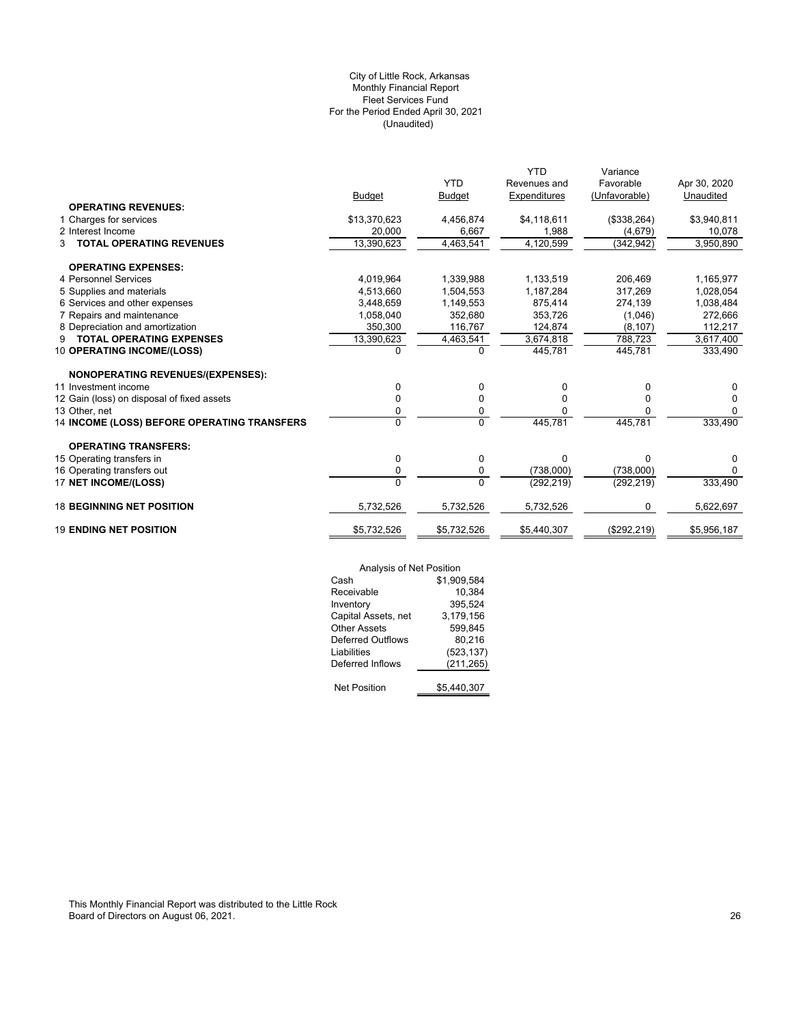## (Unaudited) City of Little Rock, Arkansas Monthly Financial Report Fleet Services Fund For the Period Ended April 30, 2021

|                                             |                |                | <b>YTD</b>   | Variance      |              |
|---------------------------------------------|----------------|----------------|--------------|---------------|--------------|
|                                             |                | <b>YTD</b>     | Revenues and | Favorable     | Apr 30, 2020 |
|                                             | <b>Budget</b>  | <b>Budget</b>  | Expenditures | (Unfavorable) | Unaudited    |
| <b>OPERATING REVENUES:</b>                  |                |                |              |               |              |
| 1 Charges for services                      | \$13,370,623   | 4,456,874      | \$4,118,611  | (\$338,264)   | \$3,940,811  |
| 2 Interest Income                           | 20,000         | 6,667          | 1,988        | (4,679)       | 10,078       |
| <b>TOTAL OPERATING REVENUES</b><br>3        | 13,390,623     | 4,463,541      | 4,120,599    | (342, 942)    | 3,950,890    |
| <b>OPERATING EXPENSES:</b>                  |                |                |              |               |              |
| 4 Personnel Services                        | 4,019,964      | 1,339,988      | 1,133,519    | 206,469       | 1,165,977    |
| 5 Supplies and materials                    | 4,513,660      | 1,504,553      | 1,187,284    | 317,269       | 1,028,054    |
| 6 Services and other expenses               | 3,448,659      | 1,149,553      | 875,414      | 274,139       | 1,038,484    |
| 7 Repairs and maintenance                   | 1,058,040      | 352,680        | 353,726      | (1,046)       | 272,666      |
| 8 Depreciation and amortization             | 350,300        | 116,767        | 124,874      | (8, 107)      | 112,217      |
| <b>TOTAL OPERATING EXPENSES</b><br>9        | 13,390,623     | 4,463,541      | 3,674,818    | 788.723       | 3,617,400    |
| 10 OPERATING INCOME/(LOSS)                  | 0              | 0              | 445,781      | 445,781       | 333,490      |
| <b>NONOPERATING REVENUES/(EXPENSES):</b>    |                |                |              |               |              |
| 11 Investment income                        | 0              | 0              | 0            | 0             | $\Omega$     |
| 12 Gain (loss) on disposal of fixed assets  | 0              | 0              | 0            | 0             | 0            |
| 13 Other, net                               | 0              | 0              |              |               | 0            |
| 14 INCOME (LOSS) BEFORE OPERATING TRANSFERS | $\overline{0}$ | $\overline{0}$ | 445,781      | 445.781       | 333,490      |
| <b>OPERATING TRANSFERS:</b>                 |                |                |              |               |              |
| 15 Operating transfers in                   | 0              | $\mathbf 0$    | $\Omega$     | $\Omega$      | 0            |
| 16 Operating transfers out                  | 0              | 0              | (738,000)    | (738,000)     | $\Omega$     |
| 17 NET INCOME/(LOSS)                        | $\Omega$       | $\Omega$       | (292, 219)   | (292, 219)    | 333,490      |
| <b>18 BEGINNING NET POSITION</b>            | 5,732,526      | 5,732,526      | 5,732,526    | 0             | 5,622,697    |
| <b>19 ENDING NET POSITION</b>               | \$5,732,526    | \$5,732,526    | \$5,440,307  | (\$292, 219)  | \$5,956,187  |
|                                             |                |                |              |               |              |

|                          | Analysis of Net Position |  |  |
|--------------------------|--------------------------|--|--|
| Cash                     | \$1,909,584              |  |  |
| Receivable               | 10,384                   |  |  |
| Inventory                | 395,524                  |  |  |
| Capital Assets, net      | 3,179,156                |  |  |
| <b>Other Assets</b>      | 599,845                  |  |  |
| <b>Deferred Outflows</b> | 80,216                   |  |  |
| Liabilities              | (523, 137)               |  |  |
| Deferred Inflows         | (211,265)                |  |  |
|                          |                          |  |  |
| <b>Net Position</b>      | \$5,440,307              |  |  |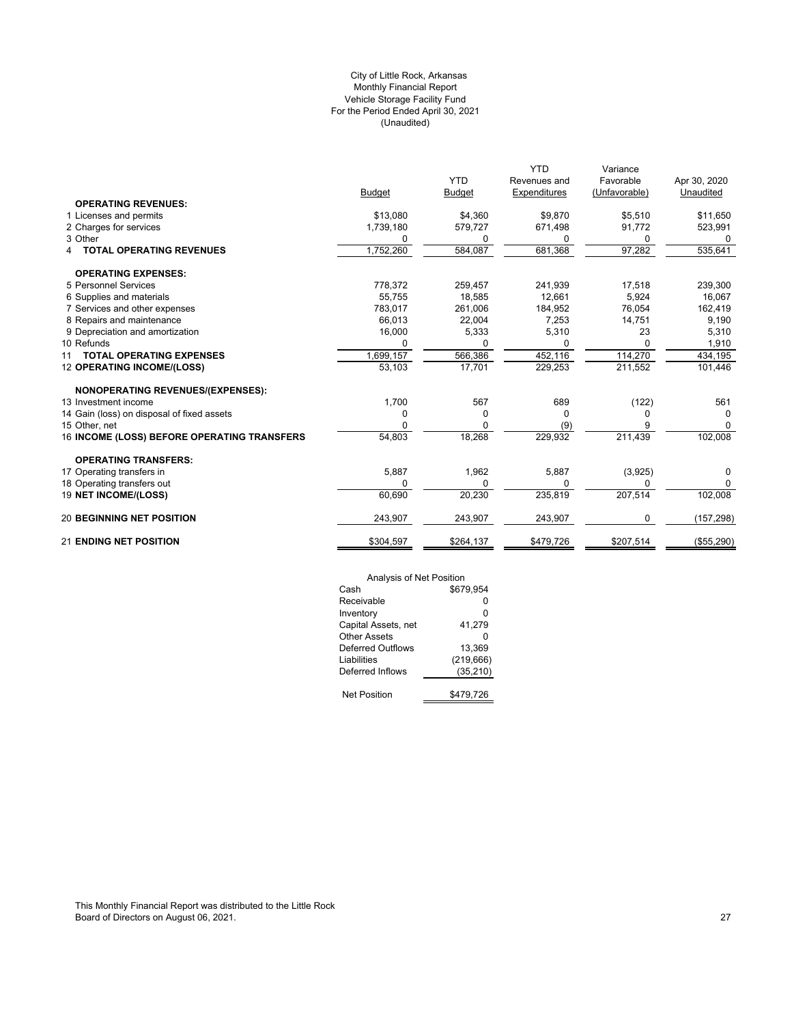## (Unaudited) City of Little Rock, Arkansas Monthly Financial Report Vehicle Storage Facility Fund For the Period Ended April 30, 2021

|                                             |               |               | <b>YTD</b>   | Variance      |              |
|---------------------------------------------|---------------|---------------|--------------|---------------|--------------|
|                                             |               | <b>YTD</b>    | Revenues and | Favorable     | Apr 30, 2020 |
|                                             | <b>Budget</b> | <b>Budget</b> | Expenditures | (Unfavorable) | Unaudited    |
| <b>OPERATING REVENUES:</b>                  |               |               |              |               |              |
| 1 Licenses and permits                      | \$13,080      | \$4,360       | \$9,870      | \$5,510       | \$11,650     |
| 2 Charges for services                      | 1,739,180     | 579,727       | 671,498      | 91,772        | 523,991      |
| 3 Other                                     | 0             | 0             | <sup>0</sup> | 0             | 0            |
| <b>TOTAL OPERATING REVENUES</b>             | 1,752,260     | 584,087       | 681,368      | 97,282        | 535,641      |
| <b>OPERATING EXPENSES:</b>                  |               |               |              |               |              |
| 5 Personnel Services                        | 778,372       | 259,457       | 241,939      | 17,518        | 239,300      |
| 6 Supplies and materials                    | 55,755        | 18,585        | 12,661       | 5,924         | 16,067       |
| 7 Services and other expenses               | 783.017       | 261,006       | 184,952      | 76,054        | 162,419      |
| 8 Repairs and maintenance                   | 66,013        | 22,004        | 7,253        | 14,751        | 9,190        |
| 9 Depreciation and amortization             | 16,000        | 5,333         | 5,310        | 23            | 5,310        |
| 10 Refunds                                  |               | 0             | <sup>0</sup> | 0             | 1,910        |
| <b>TOTAL OPERATING EXPENSES</b><br>11       | 1,699,157     | 566,386       | 452,116      | 114,270       | 434,195      |
| <b>12 OPERATING INCOME/(LOSS)</b>           | 53,103        | 17,701        | 229,253      | 211,552       | 101,446      |
| <b>NONOPERATING REVENUES/(EXPENSES):</b>    |               |               |              |               |              |
| 13 Investment income                        | 1,700         | 567           | 689          | (122)         | 561          |
| 14 Gain (loss) on disposal of fixed assets  | 0             | 0             | <sup>0</sup> | O             | 0            |
| 15 Other, net                               | O             | <sup>0</sup>  | (9)          |               | $\Omega$     |
| 16 INCOME (LOSS) BEFORE OPERATING TRANSFERS | 54,803        | 18,268        | 229,932      | 211,439       | 102,008      |
| <b>OPERATING TRANSFERS:</b>                 |               |               |              |               |              |
| 17 Operating transfers in                   | 5,887         | 1,962         | 5,887        | (3,925)       | 0            |
| 18 Operating transfers out                  | $\Omega$      | 0             | $\Omega$     | U             | 0            |
| 19 NET INCOME/(LOSS)                        | 60,690        | 20,230        | 235,819      | 207,514       | 102,008      |
| <b>20 BEGINNING NET POSITION</b>            | 243,907       | 243,907       | 243,907      | 0             | (157, 298)   |
| <b>21 ENDING NET POSITION</b>               | \$304,597     | \$264,137     | \$479,726    | \$207,514     | (\$55,290)   |

| Analysis of Net Position |            |
|--------------------------|------------|
| Cash                     | \$679.954  |
| Receivable               | ŋ          |
| Inventory                | 0          |
| Capital Assets, net      | 41,279     |
| Other Assets             | ŋ          |
| Deferred Outflows        | 13.369     |
| Liabilities              | (219, 666) |
| Deferred Inflows         | (35, 210)  |
|                          |            |
| <b>Net Position</b>      | \$479,726  |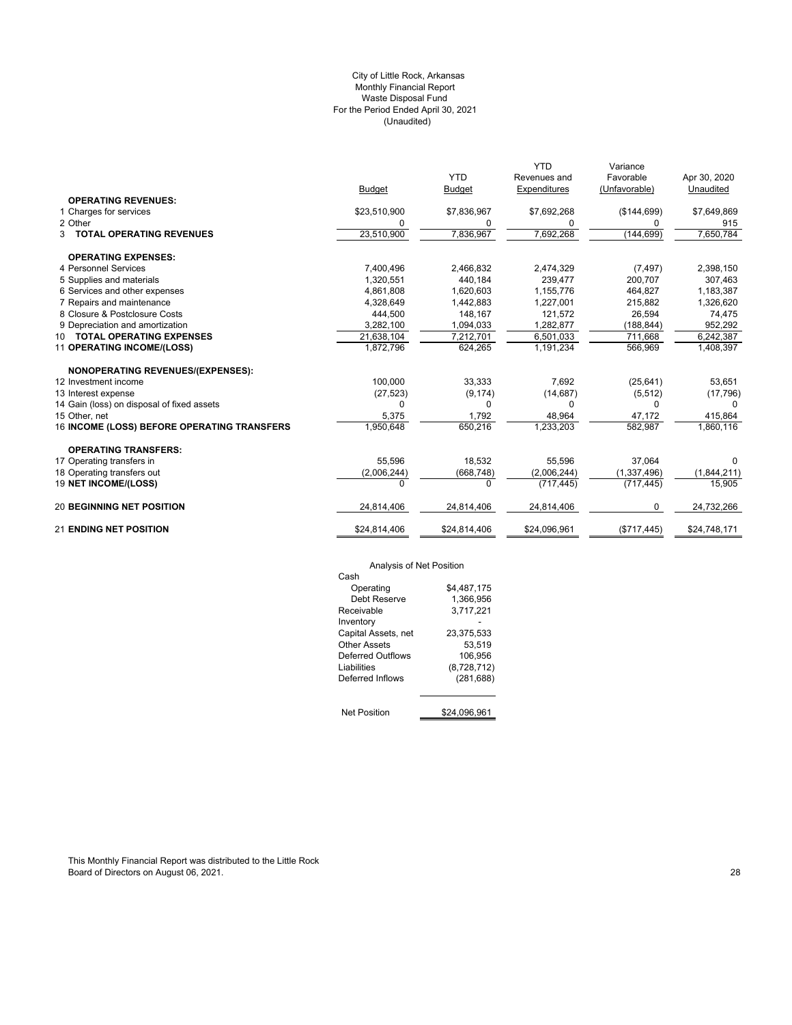## (Unaudited) City of Little Rock, Arkansas Monthly Financial Report Waste Disposal Fund For the Period Ended April 30, 2021

|                                             |               |               | <b>YTD</b>   | Variance      |              |
|---------------------------------------------|---------------|---------------|--------------|---------------|--------------|
|                                             |               | <b>YTD</b>    | Revenues and | Favorable     | Apr 30, 2020 |
|                                             | <b>Budget</b> | <b>Budget</b> | Expenditures | (Unfavorable) | Unaudited    |
| <b>OPERATING REVENUES:</b>                  |               |               |              |               |              |
| 1 Charges for services                      | \$23,510,900  | \$7,836,967   | \$7,692,268  | (\$144,699)   | \$7,649,869  |
| 2 Other                                     | 0             | 0             | 0            | 0             | 915          |
| 3 TOTAL OPERATING REVENUES                  | 23,510,900    | 7,836,967     | 7,692,268    | (144, 699)    | 7,650,784    |
| <b>OPERATING EXPENSES:</b>                  |               |               |              |               |              |
| 4 Personnel Services                        | 7,400,496     | 2.466.832     | 2,474,329    | (7, 497)      | 2,398,150    |
| 5 Supplies and materials                    | 1,320,551     | 440,184       | 239,477      | 200,707       | 307,463      |
| 6 Services and other expenses               | 4,861,808     | 1,620,603     | 1,155,776    | 464,827       | 1,183,387    |
| 7 Repairs and maintenance                   | 4,328,649     | 1,442,883     | 1,227,001    | 215,882       | 1,326,620    |
| 8 Closure & Postclosure Costs               | 444,500       | 148,167       | 121,572      | 26,594        | 74,475       |
| 9 Depreciation and amortization             | 3,282,100     | 1,094,033     | 1,282,877    | (188, 844)    | 952,292      |
| 10 TOTAL OPERATING EXPENSES                 | 21,638,104    | 7,212,701     | 6,501,033    | 711,668       | 6,242,387    |
| 11 OPERATING INCOME/(LOSS)                  | 1,872,796     | 624,265       | 1,191,234    | 566,969       | 1,408,397    |
| <b>NONOPERATING REVENUES/(EXPENSES):</b>    |               |               |              |               |              |
| 12 Investment income                        | 100,000       | 33,333        | 7,692        | (25, 641)     | 53,651       |
| 13 Interest expense                         | (27, 523)     | (9, 174)      | (14, 687)    | (5, 512)      | (17, 796)    |
| 14 Gain (loss) on disposal of fixed assets  | $\Omega$      | 0             | 0            | $\Omega$      | $\Omega$     |
| 15 Other, net                               | 5,375         | 1,792         | 48,964       | 47,172        | 415,864      |
| 16 INCOME (LOSS) BEFORE OPERATING TRANSFERS | 1,950,648     | 650,216       | 1,233,203    | 582,987       | 1,860,116    |
| <b>OPERATING TRANSFERS:</b>                 |               |               |              |               |              |
| 17 Operating transfers in                   | 55.596        | 18,532        | 55,596       | 37.064        | 0            |
| 18 Operating transfers out                  | (2,006,244)   | (668, 748)    | (2,006,244)  | (1, 337, 496) | (1,844,211)  |
| 19 NET INCOME/(LOSS)                        | $\Omega$      | $\Omega$      | (717, 445)   | (717, 445)    | 15,905       |
| <b>20 BEGINNING NET POSITION</b>            | 24,814,406    | 24,814,406    | 24,814,406   | $\mathbf 0$   | 24,732,266   |
| <b>21 ENDING NET POSITION</b>               | \$24,814,406  | \$24,814,406  | \$24,096,961 | (\$717,445)   | \$24,748,171 |

# Analysis of Net Position

| Analysis of Net Position |              |
|--------------------------|--------------|
| Cash                     |              |
| Operating                | \$4,487,175  |
| Debt Reserve             | 1.366.956    |
| Receivable               | 3,717,221    |
| Inventory                |              |
| Capital Assets, net      | 23,375,533   |
| Other Assets             | 53.519       |
| Deferred Outflows        | 106.956      |
| I iabilities             | (8,728,712)  |
| Deferred Inflows         | (281, 688)   |
|                          |              |
| <b>Net Position</b>      | \$24.096.961 |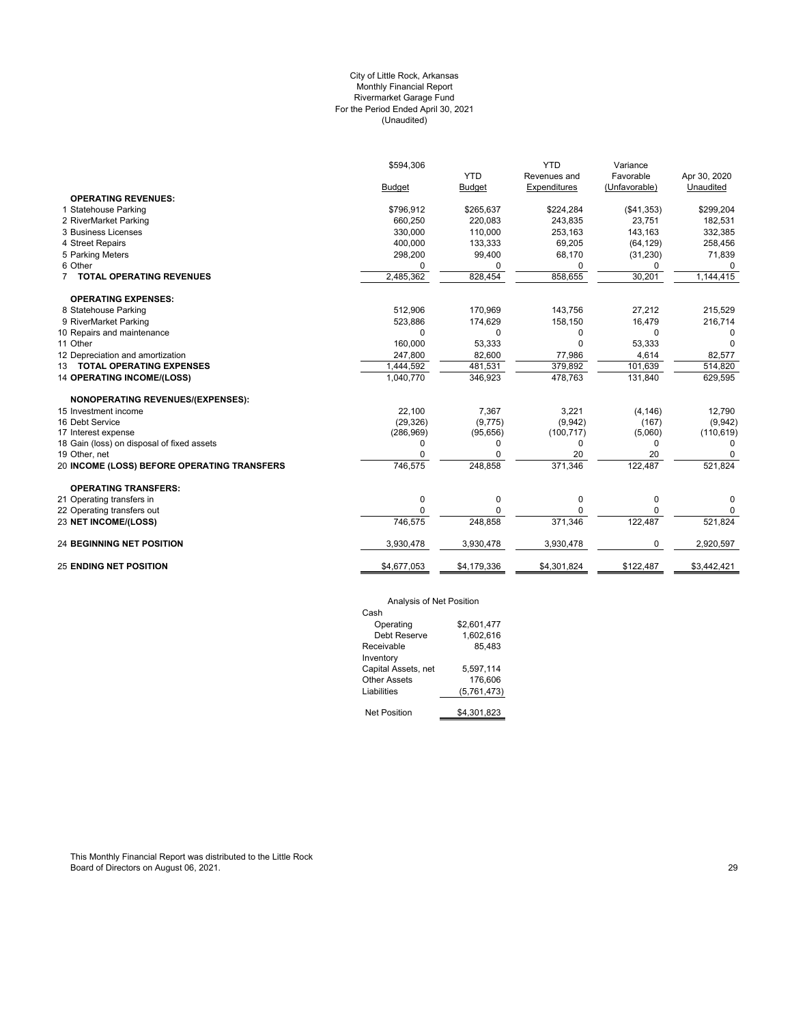## (Unaudited) City of Little Rock, Arkansas Monthly Financial Report Rivermarket Garage Fund For the Period Ended April 30, 2021

|                                             | \$594,306   |               | <b>YTD</b>   | Variance      |              |
|---------------------------------------------|-------------|---------------|--------------|---------------|--------------|
|                                             |             | <b>YTD</b>    | Revenues and | Favorable     | Apr 30, 2020 |
|                                             | Budget      | <b>Budget</b> | Expenditures | (Unfavorable) | Unaudited    |
| <b>OPERATING REVENUES:</b>                  |             |               |              |               |              |
| 1 Statehouse Parking                        | \$796,912   | \$265,637     | \$224,284    | (\$41,353)    | \$299,204    |
| 2 RiverMarket Parking                       | 660,250     | 220,083       | 243,835      | 23,751        | 182,531      |
| 3 Business Licenses                         | 330,000     | 110,000       | 253,163      | 143,163       | 332,385      |
| 4 Street Repairs                            | 400,000     | 133,333       | 69,205       | (64, 129)     | 258,456      |
| 5 Parking Meters                            | 298,200     | 99,400        | 68,170       | (31, 230)     | 71,839       |
| 6 Other                                     | $\Omega$    | 0             | 0            | 0             | $\Omega$     |
| 7 TOTAL OPERATING REVENUES                  | 2,485,362   | 828,454       | 858,655      | 30,201        | 1,144,415    |
| <b>OPERATING EXPENSES:</b>                  |             |               |              |               |              |
| 8 Statehouse Parking                        | 512,906     | 170,969       | 143,756      | 27,212        | 215,529      |
| 9 RiverMarket Parking                       | 523,886     | 174,629       | 158,150      | 16,479        | 216,714      |
| 10 Repairs and maintenance                  | $\Omega$    | 0             | 0            | 0             | $\Omega$     |
| 11 Other                                    | 160,000     | 53,333        | $\Omega$     | 53,333        | $\Omega$     |
| 12 Depreciation and amortization            | 247,800     | 82,600        | 77,986       | 4,614         | 82,577       |
| 13 TOTAL OPERATING EXPENSES                 | 1,444,592   | 481,531       | 379,892      | 101,639       | 514,820      |
| <b>14 OPERATING INCOME/(LOSS)</b>           | 1,040,770   | 346,923       | 478,763      | 131,840       | 629,595      |
| <b>NONOPERATING REVENUES/(EXPENSES):</b>    |             |               |              |               |              |
| 15 Investment income                        | 22,100      | 7,367         | 3,221        | (4, 146)      | 12,790       |
| 16 Debt Service                             | (29, 326)   | (9,775)       | (9,942)      | (167)         | (9,942)      |
| 17 Interest expense                         | (286, 969)  | (95, 656)     | (100, 717)   | (5,060)       | (110, 619)   |
| 18 Gain (loss) on disposal of fixed assets  | 0           | 0             | 0            | 0             | $\Omega$     |
| 19 Other, net                               | $\Omega$    | $\Omega$      | 20           | 20            | <sup>0</sup> |
| 20 INCOME (LOSS) BEFORE OPERATING TRANSFERS | 746,575     | 248,858       | 371,346      | 122,487       | 521,824      |
| <b>OPERATING TRANSFERS:</b>                 |             |               |              |               |              |
| 21 Operating transfers in                   | 0           | 0             | 0            | $\mathbf 0$   | 0            |
| 22 Operating transfers out                  | $\Omega$    | U             |              | $\Omega$      | 0            |
| 23 NET INCOME/(LOSS)                        | 746,575     | 248,858       | 371,346      | 122,487       | 521,824      |
| <b>24 BEGINNING NET POSITION</b>            | 3,930,478   | 3,930,478     | 3,930,478    | 0             | 2,920,597    |
| <b>25 ENDING NET POSITION</b>               | \$4,677,053 | \$4,179,336   | \$4,301,824  | \$122,487     | \$3,442,421  |
|                                             |             |               |              |               |              |

## Analysis of Net Position

| Cash                |             |
|---------------------|-------------|
| Operating           | \$2.601.477 |
| Debt Reserve        | 1.602.616   |
| Receivable          | 85.483      |
| Inventory           |             |
| Capital Assets, net | 5,597,114   |
| <b>Other Assets</b> | 176.606     |
| Liabilities         | (5,761,473) |
|                     |             |
| Net Position        | \$4,301,823 |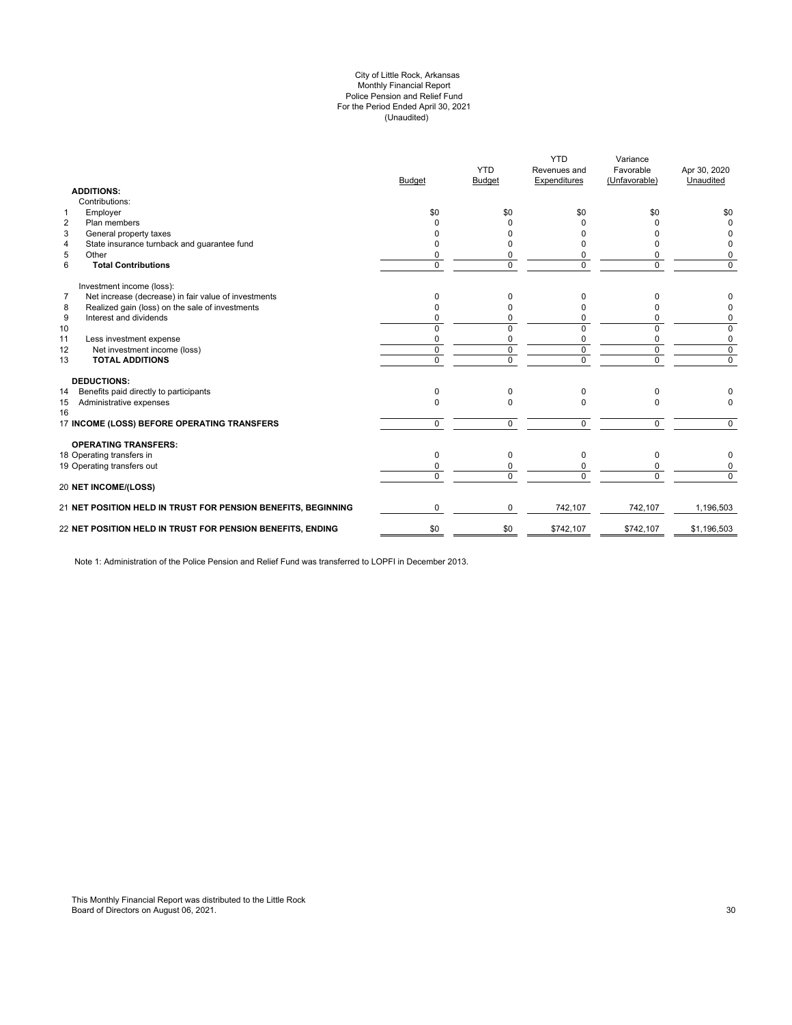#### (Unaudited) City of Little Rock, Arkansas Monthly Financial Report Police Pension and Relief Fund For the Period Ended April 30, 2021

| <b>ADDITIONS:</b>                                                      | <b>Budget</b>  | <b>YTD</b><br>Budget | <b>YTD</b><br>Revenues and<br>Expenditures | Variance<br>Favorable<br>(Unfavorable) | Apr 30, 2020<br>Unaudited |
|------------------------------------------------------------------------|----------------|----------------------|--------------------------------------------|----------------------------------------|---------------------------|
| Contributions:                                                         |                |                      |                                            |                                        |                           |
| Employer<br>1                                                          | \$0            | \$0                  | \$0                                        | \$0                                    | \$0                       |
| Plan members<br>$\overline{2}$                                         | <sup>0</sup>   | <sup>0</sup>         | ŋ                                          | o                                      | $\Omega$                  |
| 3<br>General property taxes                                            | n              | 0                    |                                            |                                        | <sup>0</sup>              |
| State insurance turnback and guarantee fund<br>4                       | n              | U                    |                                            |                                        | 0                         |
| 5<br>Other                                                             | 0              | 0                    |                                            | 0                                      | 0                         |
| 6<br><b>Total Contributions</b>                                        | $\Omega$       | $\Omega$             | $\Omega$                                   | 0                                      | $\mathbf 0$               |
| Investment income (loss):                                              |                |                      |                                            |                                        |                           |
| $\overline{7}$<br>Net increase (decrease) in fair value of investments | $\Omega$       | 0                    | 0                                          | 0                                      | 0                         |
| Realized gain (loss) on the sale of investments<br>8                   | $\Omega$       | 0                    |                                            | n                                      | 0                         |
| 9<br>Interest and dividends                                            | $\Omega$       | 0                    | 0                                          | 0                                      | 0                         |
| 10                                                                     | $\Omega$       | $\Omega$             | $\Omega$                                   | 0                                      | 0                         |
| 11<br>Less investment expense                                          | 0              | 0                    | 0                                          | 0                                      | 0                         |
| 12<br>Net investment income (loss)                                     | $\Omega$       | $\Omega$             | $\Omega$                                   | $\mathbf 0$                            | $\mathbf 0$               |
| <b>TOTAL ADDITIONS</b><br>13                                           | $\overline{0}$ | $\Omega$             | $\overline{0}$                             | $\overline{0}$                         | $\overline{0}$            |
| <b>DEDUCTIONS:</b>                                                     |                |                      |                                            |                                        |                           |
| Benefits paid directly to participants<br>14                           | $\Omega$       | $\Omega$             | $\Omega$                                   | 0                                      |                           |
| Administrative expenses<br>15<br>16                                    | $\Omega$       | $\Omega$             | $\Omega$                                   | $\Omega$                               | $\Omega$                  |
| 17 INCOME (LOSS) BEFORE OPERATING TRANSFERS                            | $\Omega$       | $\Omega$             | $\Omega$                                   | 0                                      | $\Omega$                  |
| <b>OPERATING TRANSFERS:</b>                                            |                |                      |                                            |                                        |                           |
| 18 Operating transfers in                                              | $\Omega$       | $\Omega$             | $\Omega$                                   | 0                                      | 0                         |
| 19 Operating transfers out                                             | 0              | 0                    |                                            | 0                                      | 0                         |
| <b>20 NET INCOME/(LOSS)</b>                                            | $\Omega$       | $\Omega$             | $\Omega$                                   | $\Omega$                               | $\Omega$                  |
|                                                                        |                |                      |                                            |                                        |                           |
| 21 NET POSITION HELD IN TRUST FOR PENSION BENEFITS, BEGINNING          | $\Omega$       | 0                    | 742,107                                    | 742,107                                | 1,196,503                 |
| 22 NET POSITION HELD IN TRUST FOR PENSION BENEFITS, ENDING             | \$0            | \$0                  | \$742,107                                  | \$742,107                              | \$1,196,503               |

Note 1: Administration of the Police Pension and Relief Fund was transferred to LOPFI in December 2013.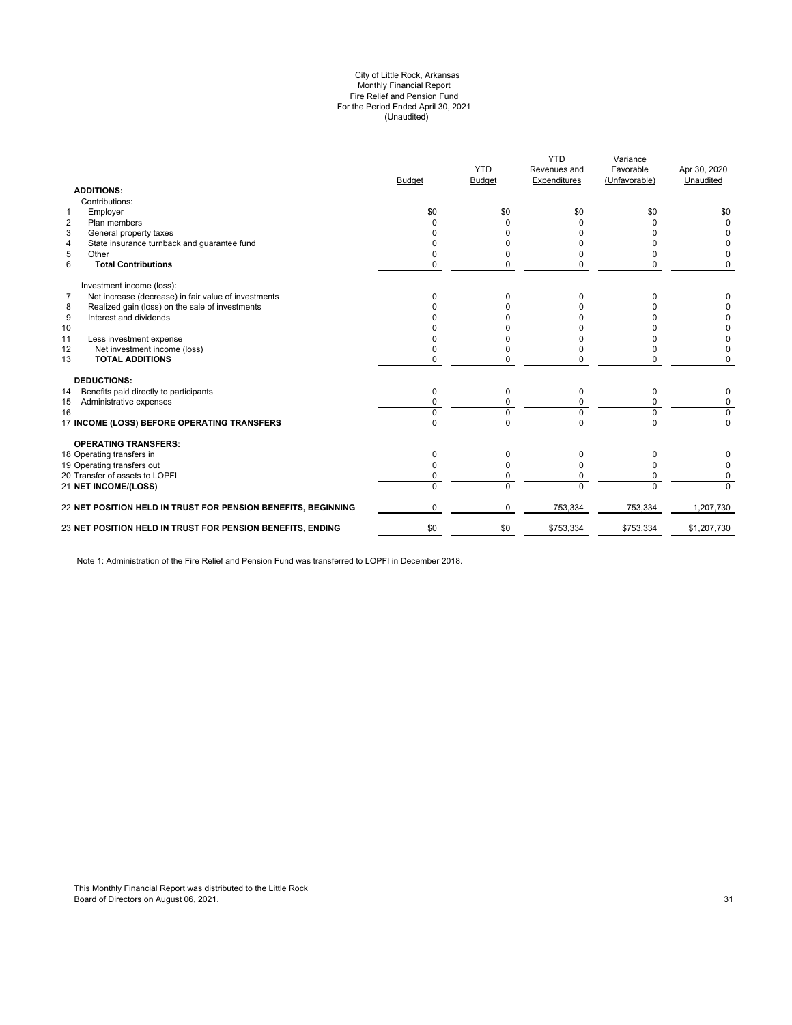#### (Unaudited) City of Little Rock, Arkansas Monthly Financial Report Fire Relief and Pension Fund For the Period Ended April 30, 2021

| <b>ADDITIONS:</b>                                                      | <b>Budget</b> | <b>YTD</b><br><b>Budget</b> | <b>YTD</b><br>Revenues and<br>Expenditures | Variance<br>Favorable<br>(Unfavorable) | Apr 30, 2020<br>Unaudited |
|------------------------------------------------------------------------|---------------|-----------------------------|--------------------------------------------|----------------------------------------|---------------------------|
| Contributions:                                                         |               |                             |                                            |                                        |                           |
| Employer<br>$\mathbf{1}$                                               | \$0           | \$0                         | \$0                                        | \$0                                    | \$0                       |
| $\overline{2}$<br>Plan members                                         |               |                             | <sup>0</sup>                               | ŋ                                      | $\Omega$                  |
| 3<br>General property taxes                                            |               |                             |                                            |                                        |                           |
| State insurance turnback and guarantee fund<br>4                       |               |                             |                                            | o                                      | <sup>0</sup>              |
| 5<br>Other                                                             |               | 0                           | 0                                          | 0                                      | 0                         |
| 6<br><b>Total Contributions</b>                                        | $\Omega$      | $\Omega$                    | $\Omega$                                   | $\Omega$                               | $\Omega$                  |
| Investment income (loss):                                              |               |                             |                                            |                                        |                           |
| $\overline{7}$<br>Net increase (decrease) in fair value of investments | $\Omega$      | 0                           | 0                                          | n                                      | 0                         |
| Realized gain (loss) on the sale of investments<br>8                   |               | n                           |                                            |                                        | 0                         |
| 9<br>Interest and dividends                                            |               | 0                           | 0                                          | 0                                      | 0                         |
| 10                                                                     | $\Omega$      | $\Omega$                    | $\Omega$                                   | 0                                      | 0                         |
| 11<br>Less investment expense                                          | $\Omega$      | $\Omega$                    | $\Omega$                                   | $\Omega$                               | 0                         |
| 12<br>Net investment income (loss)                                     | $\mathbf 0$   | 0                           | 0                                          | $\mathbf 0$                            | $\mathbf 0$               |
| <b>TOTAL ADDITIONS</b><br>13                                           | $\Omega$      | $\Omega$                    | $\Omega$                                   | $\Omega$                               | $\mathbf 0$               |
| <b>DEDUCTIONS:</b>                                                     |               |                             |                                            |                                        |                           |
| Benefits paid directly to participants<br>14                           | $\mathbf 0$   | 0                           | 0                                          | 0                                      | 0                         |
| Administrative expenses<br>15                                          |               |                             |                                            | 0                                      | 0                         |
| 16                                                                     | $\Omega$      | 0                           | $\Omega$                                   | $\mathbf 0$                            | $\mathbf 0$               |
| 17 INCOME (LOSS) BEFORE OPERATING TRANSFERS                            | $\Omega$      | $\overline{0}$              | $\Omega$                                   | $\overline{0}$                         | $\Omega$                  |
| <b>OPERATING TRANSFERS:</b>                                            |               |                             |                                            |                                        |                           |
| 18 Operating transfers in                                              | $\Omega$      | 0                           | 0                                          | 0                                      |                           |
| 19 Operating transfers out                                             | <sup>0</sup>  | O                           | <sup>0</sup>                               | 0                                      | 0                         |
| 20 Transfer of assets to LOPFI                                         | 0             | 0                           | 0                                          | $\Omega$                               | 0                         |
| 21 NET INCOME/(LOSS)                                                   | $\Omega$      | $\Omega$                    | $\Omega$                                   | $\Omega$                               | $\Omega$                  |
| 22 NET POSITION HELD IN TRUST FOR PENSION BENEFITS, BEGINNING          | $\Omega$      | $\Omega$                    | 753,334                                    | 753,334                                | 1,207,730                 |
| 23 NET POSITION HELD IN TRUST FOR PENSION BENEFITS, ENDING             | \$0           | \$0                         | \$753,334                                  | \$753,334                              | \$1,207,730               |
|                                                                        |               |                             |                                            |                                        |                           |

Note 1: Administration of the Fire Relief and Pension Fund was transferred to LOPFI in December 2018.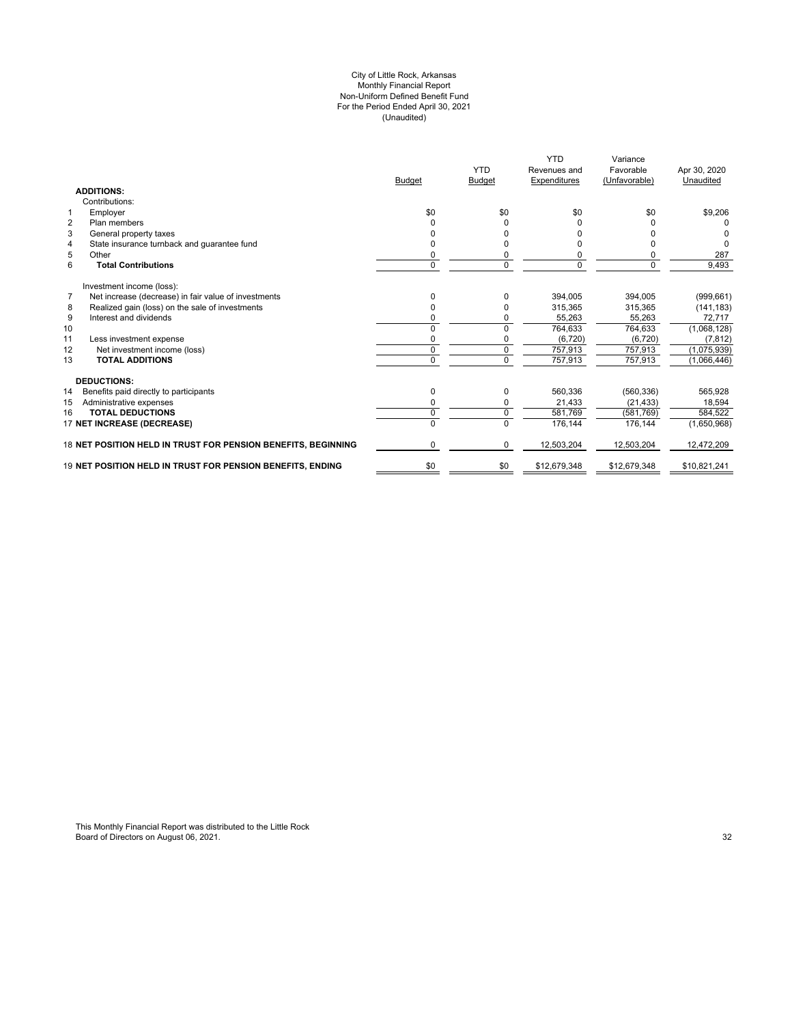#### (Unaudited) For the Period Ended April 30, 2021 City of Little Rock, Arkansas Monthly Financial Report Non-Uniform Defined Benefit Fund

|                                                                        | <b>Budget</b> | <b>YTD</b><br><b>Budget</b> | <b>YTD</b><br>Revenues and<br>Expenditures | Variance<br>Favorable<br>(Unfavorable) | Apr 30, 2020<br>Unaudited |
|------------------------------------------------------------------------|---------------|-----------------------------|--------------------------------------------|----------------------------------------|---------------------------|
| <b>ADDITIONS:</b>                                                      |               |                             |                                            |                                        |                           |
| Contributions:                                                         |               |                             |                                            |                                        |                           |
| Employer<br>$\mathbf 1$                                                | \$0           | \$0                         | \$0                                        | \$0                                    | \$9,206                   |
| $\overline{2}$<br>Plan members                                         | $\Omega$      | 0                           |                                            |                                        |                           |
| 3<br>General property taxes                                            |               |                             |                                            |                                        |                           |
| State insurance turnback and guarantee fund<br>4                       |               | ŋ                           |                                            |                                        | $\Omega$                  |
| 5<br>Other                                                             | 0             | 0                           | 0                                          |                                        | 287                       |
| 6<br><b>Total Contributions</b>                                        | $\mathbf 0$   | 0                           | $\mathbf 0$                                | $\Omega$                               | 9,493                     |
| Investment income (loss):                                              |               |                             |                                            |                                        |                           |
| $\overline{7}$<br>Net increase (decrease) in fair value of investments | 0             | 0                           | 394.005                                    | 394.005                                | (999, 661)                |
| Realized gain (loss) on the sale of investments<br>8                   | 0             |                             | 315.365                                    | 315.365                                | (141, 183)                |
| 9<br>Interest and dividends                                            | 0             |                             | 55,263                                     | 55,263                                 | 72,717                    |
| 10                                                                     | $\Omega$      | 0                           | 764,633                                    | 764,633                                | (1,068,128)               |
| 11<br>Less investment expense                                          | 0             |                             | (6, 720)                                   | (6,720)                                | (7, 812)                  |
| Net investment income (loss)<br>12                                     | 0             | 0                           | 757,913                                    | 757,913                                | (1,075,939)               |
| <b>TOTAL ADDITIONS</b><br>13                                           | $\Omega$      | $\Omega$                    | 757,913                                    | 757,913                                | (1,066,446)               |
| <b>DEDUCTIONS:</b>                                                     |               |                             |                                            |                                        |                           |
| 14<br>Benefits paid directly to participants                           | 0             | 0                           | 560,336                                    | (560, 336)                             | 565,928                   |
| Administrative expenses<br>15                                          | 0             | 0                           | 21,433                                     | (21, 433)                              | 18.594                    |
| <b>TOTAL DEDUCTIONS</b><br>16                                          | 0             | 0                           | 581.769                                    | (581, 769)                             | 584,522                   |
| 17 NET INCREASE (DECREASE)                                             |               | $\Omega$                    | 176,144                                    | 176,144                                | (1,650,968)               |
| 18 NET POSITION HELD IN TRUST FOR PENSION BENEFITS, BEGINNING          | $\Omega$      | $\Omega$                    | 12,503,204                                 | 12,503,204                             | 12,472,209                |
| 19 NET POSITION HELD IN TRUST FOR PENSION BENEFITS. ENDING             | \$0           | \$0                         | \$12,679,348                               | \$12,679,348                           | \$10,821,241              |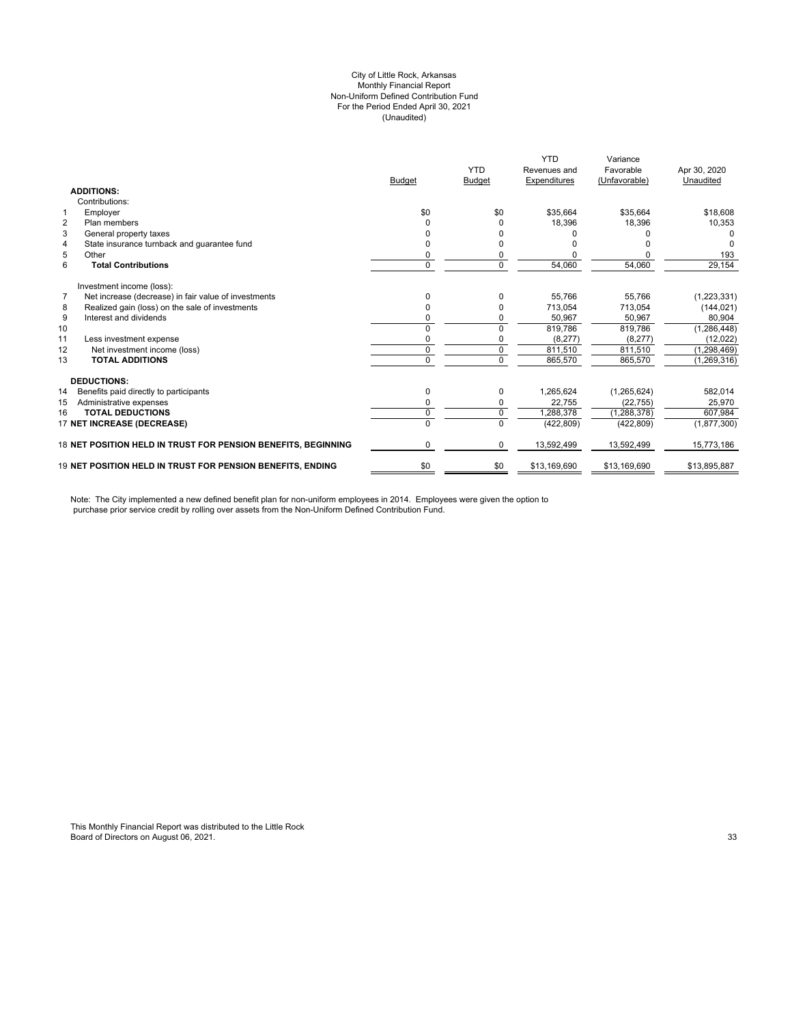#### City of Little Rock, Arkansas (Unaudited) For the Period Ended April 30, 2021 Non-Uniform Defined Contribution Fund Monthly Financial Report

|                |                                                                   | <b>Budget</b> | <b>YTD</b><br><b>Budget</b> | <b>YTD</b><br>Revenues and<br>Expenditures | Variance<br>Favorable<br>(Unfavorable) | Apr 30, 2020<br>Unaudited |
|----------------|-------------------------------------------------------------------|---------------|-----------------------------|--------------------------------------------|----------------------------------------|---------------------------|
|                | <b>ADDITIONS:</b>                                                 |               |                             |                                            |                                        |                           |
|                | Contributions:                                                    |               |                             |                                            |                                        |                           |
|                | Employer                                                          | \$0           | \$0                         | \$35,664                                   | \$35.664                               | \$18,608                  |
| $\overline{2}$ | Plan members                                                      |               |                             | 18,396                                     | 18,396                                 | 10,353                    |
| 3              | General property taxes                                            |               |                             |                                            |                                        |                           |
| $\overline{4}$ | State insurance turnback and guarantee fund                       |               |                             |                                            |                                        |                           |
| 5              | Other                                                             | 0             |                             |                                            |                                        | 193                       |
| 6              | <b>Total Contributions</b>                                        | 0             | $\Omega$                    | 54,060                                     | 54,060                                 | 29,154                    |
|                | Investment income (loss):                                         |               |                             |                                            |                                        |                           |
| $\overline{7}$ | Net increase (decrease) in fair value of investments              |               |                             | 55,766                                     | 55,766                                 | (1, 223, 331)             |
| 8              | Realized gain (loss) on the sale of investments                   | 0             |                             | 713,054                                    | 713,054                                | (144, 021)                |
| 9              | Interest and dividends                                            |               |                             | 50,967                                     | 50.967                                 | 80.904                    |
| 10             |                                                                   | $\Omega$      | $\Omega$                    | 819,786                                    | 819,786                                | (1, 286, 448)             |
| 11             | Less investment expense                                           | 0             |                             | (8,277)                                    | (8, 277)                               | (12,022)                  |
| 12             | Net investment income (loss)                                      | 0             | 0                           | 811,510                                    | 811,510                                | (1, 298, 469)             |
| 13             | <b>TOTAL ADDITIONS</b>                                            | 0             | $\Omega$                    | 865,570                                    | 865,570                                | (1, 269, 316)             |
|                | <b>DEDUCTIONS:</b>                                                |               |                             |                                            |                                        |                           |
| 14             | Benefits paid directly to participants                            | 0             | 0                           | 1,265,624                                  | (1,265,624)                            | 582,014                   |
| 15             | Administrative expenses                                           | 0             | 0                           | 22,755                                     | (22, 755)                              | 25,970                    |
| 16             | <b>TOTAL DEDUCTIONS</b>                                           | 0             | $\Omega$                    | 1,288,378                                  | (1, 288, 378)                          | 607,984                   |
|                | 17 NET INCREASE (DECREASE)                                        | $\Omega$      | $\Omega$                    | (422, 809)                                 | (422, 809)                             | (1, 877, 300)             |
|                | 18 NET POSITION HELD IN TRUST FOR PENSION BENEFITS, BEGINNING     | 0             | 0                           | 13,592,499                                 | 13,592,499                             | 15,773,186                |
|                | <b>19 NET POSITION HELD IN TRUST FOR PENSION BENEFITS. ENDING</b> | \$0           | \$0                         | \$13,169,690                               | \$13,169,690                           | \$13,895,887              |

Note: The City implemented a new defined benefit plan for non-uniform employees in 2014. Employees were given the option to purchase prior service credit by rolling over assets from the Non-Uniform Defined Contribution Fund.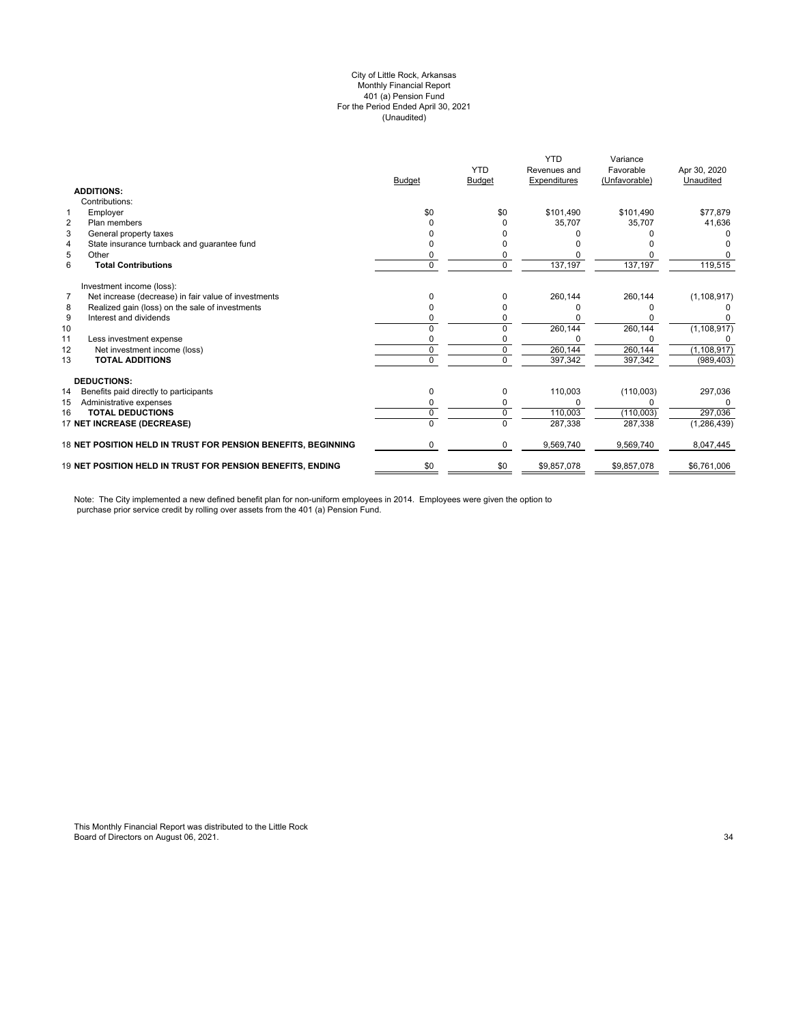#### (Unaudited) City of Little Rock, Arkansas Monthly Financial Report 401 (a) Pension Fund For the Period Ended April 30, 2021

|                                                               |               | <b>YTD</b>    | <b>YTD</b><br>Revenues and | Variance<br>Favorable | Apr 30, 2020  |
|---------------------------------------------------------------|---------------|---------------|----------------------------|-----------------------|---------------|
|                                                               | <b>Budget</b> | <b>Budget</b> | Expenditures               | (Unfavorable)         | Unaudited     |
| <b>ADDITIONS:</b>                                             |               |               |                            |                       |               |
| Contributions:                                                |               |               |                            |                       |               |
| Employer<br>1                                                 | \$0           | \$0           | \$101.490                  | \$101.490             | \$77.879      |
| $\overline{2}$<br>Plan members                                |               |               | 35.707                     | 35.707                | 41,636        |
| 3<br>General property taxes                                   |               |               |                            |                       |               |
| State insurance turnback and quarantee fund<br>4              |               |               |                            |                       |               |
| 5<br>Other                                                    |               |               |                            |                       |               |
| 6<br><b>Total Contributions</b>                               | 0             | 0             | 137,197                    | 137,197               | 119,515       |
| Investment income (loss):                                     |               |               |                            |                       |               |
| Net increase (decrease) in fair value of investments<br>7     |               |               | 260,144                    | 260,144               | (1, 108, 917) |
| Realized gain (loss) on the sale of investments<br>8          |               |               |                            |                       |               |
| 9<br>Interest and dividends                                   |               |               |                            |                       |               |
| 10                                                            |               |               | 260,144                    | 260,144               | (1, 108, 917) |
| 11<br>Less investment expense                                 |               |               |                            |                       |               |
| 12<br>Net investment income (loss)                            | 0             | 0             | 260,144                    | 260,144               | (1, 108, 917) |
| 13<br><b>TOTAL ADDITIONS</b>                                  | U             | $\Omega$      | 397,342                    | 397,342               | (989, 403)    |
| <b>DEDUCTIONS:</b>                                            |               |               |                            |                       |               |
| 14<br>Benefits paid directly to participants                  | 0             | 0             | 110,003                    | (110,003)             | 297,036       |
| Administrative expenses<br>15                                 |               |               |                            |                       | 0             |
| <b>TOTAL DEDUCTIONS</b><br>16                                 | 0             | 0             | 110,003                    | (110,003)             | 297,036       |
| 17 NET INCREASE (DECREASE)                                    | $\Omega$      | 0             | 287,338                    | 287,338               | (1, 286, 439) |
| 18 NET POSITION HELD IN TRUST FOR PENSION BENEFITS, BEGINNING | 0             | 0             | 9,569,740                  | 9,569,740             | 8,047,445     |
| 19 NET POSITION HELD IN TRUST FOR PENSION BENEFITS, ENDING    | \$0           | \$0           | \$9,857,078                | \$9,857,078           | \$6,761,006   |

Note: The City implemented a new defined benefit plan for non-uniform employees in 2014. Employees were given the option to purchase prior service credit by rolling over assets from the 401 (a) Pension Fund.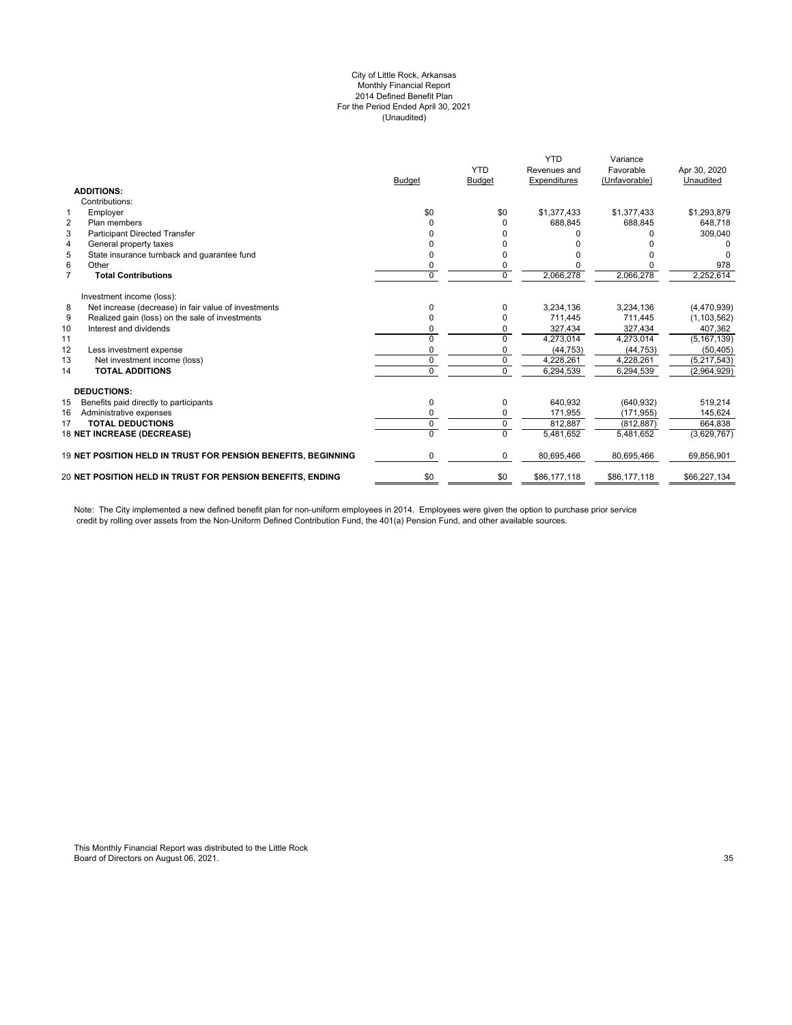#### City of Little Rock, Arkansas Monthly Financial Report 2014 Defined Benefit Plan For the Period Ended April 30, 2021 (Unaudited)

|                | <b>ADDITIONS:</b>                                             | <b>Budget</b> | <b>YTD</b><br><b>Budget</b> | <b>YTD</b><br>Revenues and<br>Expenditures | Variance<br>Favorable<br>(Unfavorable) | Apr 30, 2020<br>Unaudited |
|----------------|---------------------------------------------------------------|---------------|-----------------------------|--------------------------------------------|----------------------------------------|---------------------------|
|                | Contributions:                                                |               |                             |                                            |                                        |                           |
| $\mathbf{1}$   | Employer                                                      | \$0           | \$0                         | \$1,377,433                                | \$1,377,433                            | \$1,293,879               |
| $\overline{2}$ | Plan members                                                  | U             | $\Omega$                    | 688.845                                    | 688.845                                | 648.718                   |
| 3              | <b>Participant Directed Transfer</b>                          |               |                             |                                            |                                        | 309,040                   |
| 4              | General property taxes                                        |               |                             |                                            |                                        |                           |
| 5              | State insurance turnback and quarantee fund                   | o             | <sup>0</sup>                |                                            |                                        |                           |
| 6              | Other                                                         | 0             | 0                           |                                            |                                        | 978                       |
| $\overline{7}$ | <b>Total Contributions</b>                                    | $\Omega$      | $\Omega$                    | 2,066,278                                  | 2,066,278                              | 2,252,614                 |
|                | Investment income (loss):                                     |               |                             |                                            |                                        |                           |
| 8              | Net increase (decrease) in fair value of investments          | 0             | $\Omega$                    | 3,234,136                                  | 3,234,136                              | (4,470,939)               |
| 9              | Realized gain (loss) on the sale of investments               |               | $\Omega$                    | 711,445                                    | 711,445                                | (1, 103, 562)             |
| 10             | Interest and dividends                                        |               | $\Omega$                    | 327,434                                    | 327,434                                | 407,362                   |
| 11             |                                                               | U             | $\Omega$                    | 4,273,014                                  | 4,273,014                              | (5, 167, 139)             |
| 12             | Less investment expense                                       |               |                             | (44, 753)                                  | (44, 753)                              | (50, 405)                 |
| 13             | Net investment income (loss)                                  | $\Omega$      | $\Omega$                    | 4,228,261                                  | 4,228,261                              | (5,217,543)               |
| 14             | <b>TOTAL ADDITIONS</b>                                        | U             | $\Omega$                    | 6,294,539                                  | 6,294,539                              | (2,964,929)               |
|                | <b>DEDUCTIONS:</b>                                            |               |                             |                                            |                                        |                           |
| 15             | Benefits paid directly to participants                        | 0             | 0                           | 640.932                                    | (640, 932)                             | 519,214                   |
| 16             | Administrative expenses                                       | 0             | $\mathbf 0$                 | 171,955                                    | (171, 955)                             | 145,624                   |
| 17             | <b>TOTAL DEDUCTIONS</b>                                       | 0             | $\mathbf 0$                 | 812.887                                    | (812.887)                              | 664.838                   |
|                | 18 NET INCREASE (DECREASE)                                    | 0             | $\Omega$                    | 5,481,652                                  | 5,481,652                              | (3,629,767)               |
|                | 19 NET POSITION HELD IN TRUST FOR PENSION BENEFITS, BEGINNING | 0             | $\mathbf 0$                 | 80,695,466                                 | 80,695,466                             | 69,856,901                |
|                | 20 NET POSITION HELD IN TRUST FOR PENSION BENEFITS, ENDING    | \$0           | \$0                         | \$86,177,118                               | \$86,177,118                           | \$66,227,134              |
|                |                                                               |               |                             |                                            |                                        |                           |

Note: The City implemented a new defined benefit plan for non-uniform employees in 2014. Employees were given the option to purchase prior service credit by rolling over assets from the Non-Uniform Defined Contribution Fund, the 401(a) Pension Fund, and other available sources.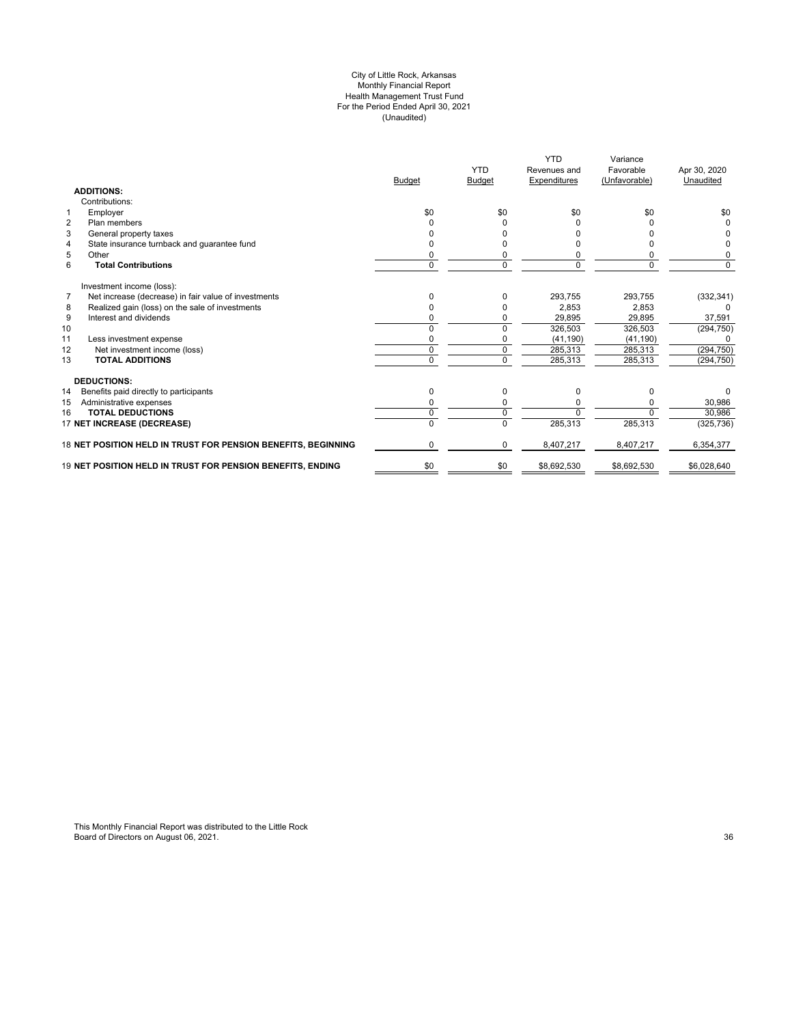#### City of Little Rock, Arkansas Monthly Financial Report Health Management Trust Fund For the Period Ended April 30, 2021 (Unaudited)

|                                                               | <b>Budget</b> | <b>YTD</b><br><b>Budget</b> | <b>YTD</b><br>Revenues and<br>Expenditures | Variance<br>Favorable<br>(Unfavorable) | Apr 30, 2020<br>Unaudited |
|---------------------------------------------------------------|---------------|-----------------------------|--------------------------------------------|----------------------------------------|---------------------------|
| <b>ADDITIONS:</b>                                             |               |                             |                                            |                                        |                           |
| Contributions:                                                |               |                             |                                            |                                        |                           |
| Employer<br>$\mathbf{1}$                                      | \$0           | \$0                         | \$0                                        | \$0                                    | \$0                       |
| $\overline{2}$<br>Plan members                                |               |                             |                                            |                                        |                           |
| 3<br>General property taxes                                   |               |                             |                                            |                                        |                           |
| State insurance turnback and guarantee fund<br>4              |               |                             |                                            |                                        |                           |
| 5<br>Other                                                    |               |                             |                                            |                                        | 0                         |
| 6<br><b>Total Contributions</b>                               | 0             | 0                           |                                            | 0                                      | 0                         |
| Investment income (loss):                                     |               |                             |                                            |                                        |                           |
| Net increase (decrease) in fair value of investments<br>7     | 0             | 0                           | 293.755                                    | 293.755                                | (332, 341)                |
| 8<br>Realized gain (loss) on the sale of investments          | n             |                             | 2.853                                      | 2,853                                  |                           |
| 9<br>Interest and dividends                                   |               |                             | 29,895                                     | 29,895                                 | 37,591                    |
| 10                                                            | U             | $\Omega$                    | 326,503                                    | 326,503                                | (294, 750)                |
| 11<br>Less investment expense                                 |               |                             | (41, 190)                                  | (41, 190)                              |                           |
| 12<br>Net investment income (loss)                            | 0             | 0                           | 285,313                                    | 285,313                                | (294, 750)                |
| <b>TOTAL ADDITIONS</b><br>13                                  | 0             | $\Omega$                    | 285,313                                    | 285,313                                | (294, 750)                |
| <b>DEDUCTIONS:</b>                                            |               |                             |                                            |                                        |                           |
| 14<br>Benefits paid directly to participants                  | 0             | 0                           | O                                          | <sup>0</sup>                           | 0                         |
| 15<br>Administrative expenses                                 |               |                             |                                            |                                        | 30,986                    |
| <b>TOTAL DEDUCTIONS</b><br>16                                 | U             | 0                           |                                            |                                        | 30,986                    |
| 17 NET INCREASE (DECREASE)                                    |               | 0                           | 285,313                                    | 285,313                                | (325, 736)                |
| 18 NET POSITION HELD IN TRUST FOR PENSION BENEFITS, BEGINNING | 0             | 0                           | 8,407,217                                  | 8,407,217                              | 6,354,377                 |
| 19 NET POSITION HELD IN TRUST FOR PENSION BENEFITS, ENDING    | \$0           | \$0                         | \$8,692,530                                | \$8,692,530                            | \$6,028,640               |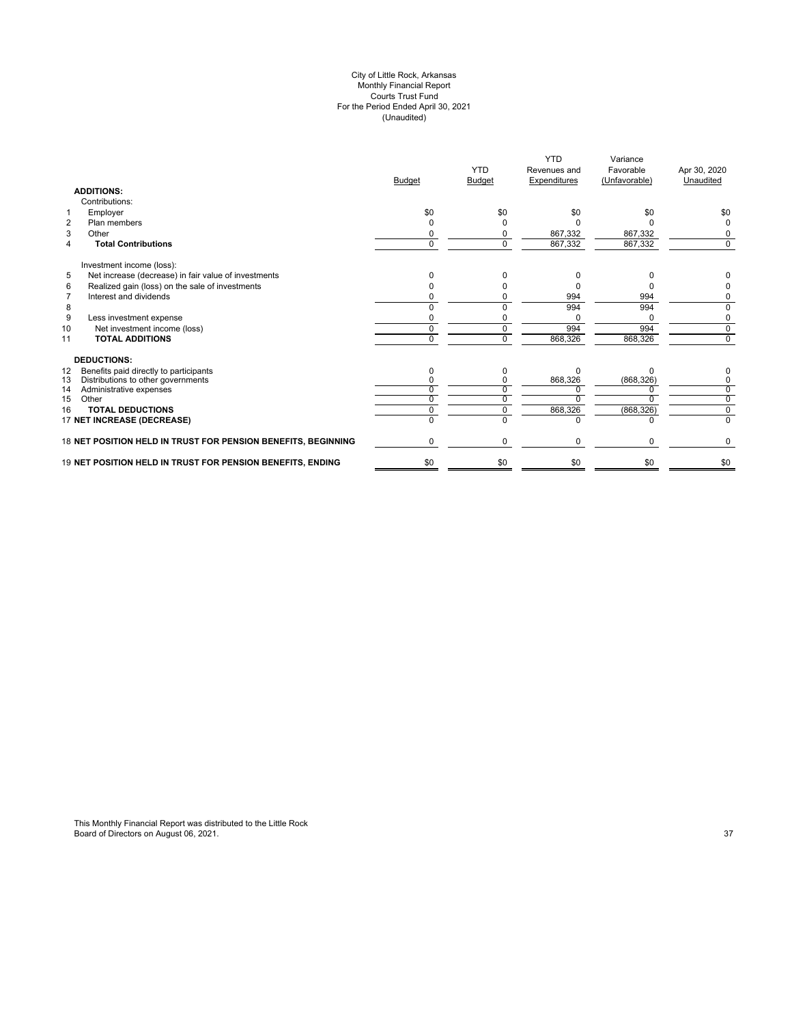#### City of Little Rock, Arkansas Monthly Financial Report Courts Trust Fund For the Period Ended April 30, 2021 (Unaudited)

|                                                               | <b>Budget</b> | <b>YTD</b><br><b>Budget</b> | <b>YTD</b><br>Revenues and<br>Expenditures | Variance<br>Favorable<br>(Unfavorable) | Apr 30, 2020<br>Unaudited |
|---------------------------------------------------------------|---------------|-----------------------------|--------------------------------------------|----------------------------------------|---------------------------|
| <b>ADDITIONS:</b>                                             |               |                             |                                            |                                        |                           |
| Contributions:                                                |               |                             |                                            |                                        |                           |
| Employer<br>1                                                 | \$0           | \$0                         | \$0                                        | \$0                                    | \$0                       |
| $\overline{2}$<br>Plan members                                | ŋ             |                             |                                            |                                        | 0                         |
| 3<br>Other                                                    | ŋ             |                             | 867,332                                    | 867,332                                |                           |
| <b>Total Contributions</b><br>4                               | $\Omega$      | $\Omega$                    | 867,332                                    | 867,332                                | $\Omega$                  |
| Investment income (loss):                                     |               |                             |                                            |                                        |                           |
| 5<br>Net increase (decrease) in fair value of investments     | n             | n                           | n                                          |                                        |                           |
| Realized gain (loss) on the sale of investments<br>6          |               |                             |                                            |                                        |                           |
| Interest and dividends<br>$\overline{7}$                      |               |                             | 994                                        | 994                                    | 0                         |
| 8                                                             |               |                             | 994                                        | 994                                    | $\Omega$                  |
| 9<br>Less investment expense                                  |               |                             | <sup>0</sup>                               |                                        | 0                         |
| Net investment income (loss)<br>10                            | U             | 0                           | 994                                        | 994                                    | $\overline{0}$            |
| <b>TOTAL ADDITIONS</b><br>11                                  | U             | 0                           | 868,326                                    | 868,326                                | $\Omega$                  |
| <b>DEDUCTIONS:</b>                                            |               |                             |                                            |                                        |                           |
| Benefits paid directly to participants<br>12                  | O             | 0                           | $\Omega$                                   | n                                      |                           |
| Distributions to other governments<br>13                      |               |                             | 868,326                                    | (868, 326)                             | 0                         |
| 14<br>Administrative expenses                                 |               |                             |                                            |                                        | 0                         |
| 15<br>Other                                                   |               |                             |                                            |                                        | $\overline{0}$            |
| <b>TOTAL DEDUCTIONS</b><br>16                                 |               |                             | 868,326                                    | (868, 326)                             | 0                         |
| 17 NET INCREASE (DECREASE)                                    |               |                             | U                                          |                                        | $\Omega$                  |
| 18 NET POSITION HELD IN TRUST FOR PENSION BENEFITS, BEGINNING | U             | $\Omega$                    | $\Omega$                                   | $\Omega$                               | 0                         |
| 19 NET POSITION HELD IN TRUST FOR PENSION BENEFITS, ENDING    | \$0           | \$0                         | \$0                                        | \$0                                    | \$0                       |
|                                                               |               |                             |                                            |                                        |                           |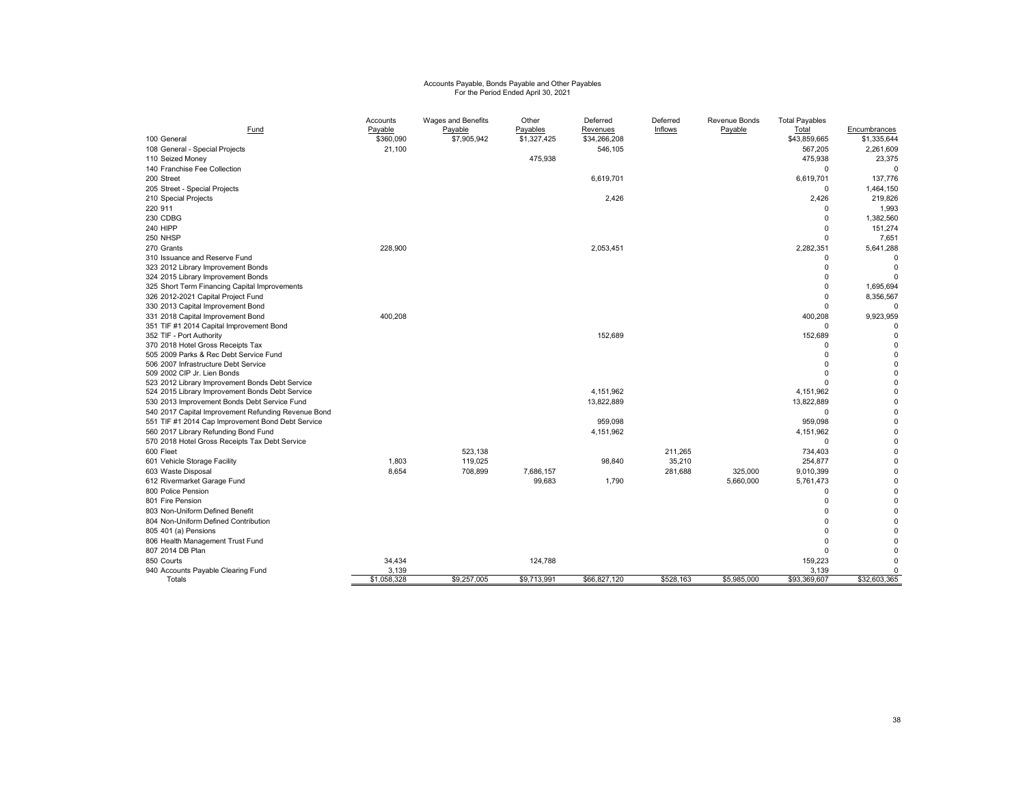# Accounts Payable, Bonds Payable and Other Payables For the Period Ended April 30, 2021

|                                                     | Accounts    | Wages and Benefits | Other       | Deferred     | Deferred       | Revenue Bonds | <b>Total Payables</b> |              |
|-----------------------------------------------------|-------------|--------------------|-------------|--------------|----------------|---------------|-----------------------|--------------|
| Fund                                                | Payable     | Payable            | Payables    | Revenues     | <b>Inflows</b> | Payable       | Total                 | Encumbrances |
| 100 General                                         | \$360,090   | \$7,905,942        | \$1,327,425 | \$34,266,208 |                |               | \$43,859,665          | \$1,335,644  |
| 108 General - Special Projects                      | 21,100      |                    |             | 546,105      |                |               | 567,205               | 2,261,609    |
| 110 Seized Money                                    |             |                    | 475,938     |              |                |               | 475,938               | 23,375       |
| 140 Franchise Fee Collection                        |             |                    |             |              |                |               | $\Omega$              | $\Omega$     |
| 200 Street                                          |             |                    |             | 6,619,701    |                |               | 6,619,701             | 137,776      |
| 205 Street - Special Projects                       |             |                    |             |              |                |               | $\Omega$              | 1,464,150    |
| 210 Special Projects                                |             |                    |             | 2,426        |                |               | 2,426                 | 219,826      |
| 220 911                                             |             |                    |             |              |                |               | $\Omega$              | 1,993        |
| 230 CDBG                                            |             |                    |             |              |                |               | $\Omega$              | 1,382,560    |
| <b>240 HIPP</b>                                     |             |                    |             |              |                |               | $\Omega$              | 151,274      |
| 250 NHSP                                            |             |                    |             |              |                |               | $\Omega$              | 7.651        |
| 270 Grants                                          | 228,900     |                    |             | 2,053,451    |                |               | 2,282,351             | 5,641,288    |
| 310 Issuance and Reserve Fund                       |             |                    |             |              |                |               | $\Omega$              | $\mathbf 0$  |
| 323 2012 Library Improvement Bonds                  |             |                    |             |              |                |               | $\Omega$              | $\Omega$     |
| 324 2015 Library Improvement Bonds                  |             |                    |             |              |                |               | $\Omega$              | $\Omega$     |
| 325 Short Term Financing Capital Improvements       |             |                    |             |              |                |               | $\Omega$              | 1.695.694    |
| 326 2012-2021 Capital Project Fund                  |             |                    |             |              |                |               | $\Omega$              | 8,356,567    |
| 330 2013 Capital Improvement Bond                   |             |                    |             |              |                |               | $\Omega$              | $\Omega$     |
| 331 2018 Capital Improvement Bond                   | 400,208     |                    |             |              |                |               | 400,208               | 9,923,959    |
| 351 TIF #1 2014 Capital Improvement Bond            |             |                    |             |              |                |               |                       | $\Omega$     |
| 352 TIF - Port Authority                            |             |                    |             | 152,689      |                |               | 152,689               | $\mathbf 0$  |
| 370 2018 Hotel Gross Receipts Tax                   |             |                    |             |              |                |               | $\Omega$              | $\mathbf 0$  |
| 505 2009 Parks & Rec Debt Service Fund              |             |                    |             |              |                |               | $\Omega$              | $\mathbf 0$  |
| 506 2007 Infrastructure Debt Service                |             |                    |             |              |                |               | $\Omega$              | $\mathbf 0$  |
| 509 2002 CIP Jr. Lien Bonds                         |             |                    |             |              |                |               | $\Omega$              | $\mathbf 0$  |
| 523 2012 Library Improvement Bonds Debt Service     |             |                    |             |              |                |               | $\Omega$              | $\mathbf 0$  |
| 524 2015 Library Improvement Bonds Debt Service     |             |                    |             | 4,151,962    |                |               | 4,151,962             | $\mathbf 0$  |
| 530 2013 Improvement Bonds Debt Service Fund        |             |                    |             | 13,822,889   |                |               | 13,822,889            | $\mathbf 0$  |
| 540 2017 Capital Improvement Refunding Revenue Bond |             |                    |             |              |                |               | $\Omega$              | $\mathbf 0$  |
| 551 TIF #1 2014 Cap Improvement Bond Debt Service   |             |                    |             | 959,098      |                |               | 959,098               | $\mathbf 0$  |
| 560 2017 Library Refunding Bond Fund                |             |                    |             | 4,151,962    |                |               | 4,151,962             | $\mathbf 0$  |
| 570 2018 Hotel Gross Receipts Tax Debt Service      |             |                    |             |              |                |               | 0                     | $\mathbf 0$  |
| 600 Fleet                                           |             | 523.138            |             |              | 211.265        |               | 734,403               | $\mathbf 0$  |
| 601 Vehicle Storage Facility                        | 1.803       | 119.025            |             | 98,840       | 35,210         |               | 254,877               | $\mathbf 0$  |
| 603 Waste Disposal                                  | 8.654       | 708,899            | 7,686,157   |              | 281,688        | 325,000       | 9,010,399             | $\mathbf 0$  |
| 612 Rivermarket Garage Fund                         |             |                    | 99,683      | 1,790        |                | 5,660,000     | 5,761,473             | $\mathbf 0$  |
| 800 Police Pension                                  |             |                    |             |              |                |               | $\Omega$              | $\mathbf 0$  |
| 801 Fire Pension                                    |             |                    |             |              |                |               | $\Omega$              | $\mathbf 0$  |
| 803 Non-Uniform Defined Benefit                     |             |                    |             |              |                |               | $\Omega$              | $\mathbf 0$  |
| 804 Non-Uniform Defined Contribution                |             |                    |             |              |                |               | $\Omega$              | $\mathbf 0$  |
| 805 401 (a) Pensions                                |             |                    |             |              |                |               | $\Omega$              | $\Omega$     |
| 806 Health Management Trust Fund                    |             |                    |             |              |                |               | $\Omega$              | $\Omega$     |
| 807 2014 DB Plan                                    |             |                    |             |              |                |               | $\Omega$              | $\Omega$     |
| 850 Courts                                          | 34,434      |                    | 124,788     |              |                |               | 159,223               | $\Omega$     |
| 940 Accounts Payable Clearing Fund                  | 3.139       |                    |             |              |                |               | 3.139                 | $\mathbf 0$  |
| Totals                                              | \$1,058,328 | \$9,257,005        | \$9,713,991 | \$66,827,120 | \$528,163      | \$5,985,000   | \$93,369,607          | \$32,603,365 |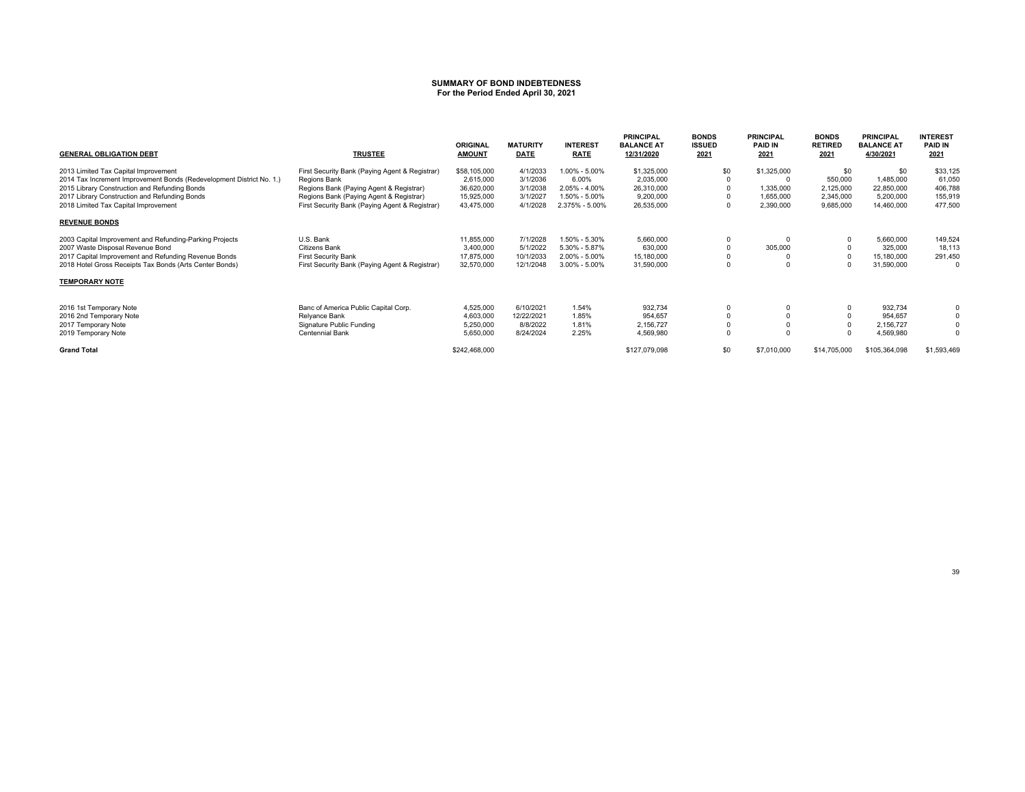#### **SUMMARY OF BOND INDEBTEDNESSFor the Period Ended April 30, 2021**

| <b>GENERAL OBLIGATION DEBT</b>                                       | <b>TRUSTEE</b>                                 | <b>ORIGINAL</b><br><b>AMOUNT</b> | <b>MATURITY</b><br>DATE | <b>INTEREST</b><br><b>RATE</b> | <b>PRINCIPAL</b><br><b>BALANCE AT</b><br>12/31/2020 | <b>BONDS</b><br><b>ISSUED</b><br>2021 | <b>PRINCIPAL</b><br><b>PAID IN</b><br>2021 | <b>BONDS</b><br><b>RETIRED</b><br>2021 | <b>PRINCIPAL</b><br><b>BALANCE AT</b><br>4/30/2021 | <b>INTEREST</b><br><b>PAID IN</b><br>2021 |
|----------------------------------------------------------------------|------------------------------------------------|----------------------------------|-------------------------|--------------------------------|-----------------------------------------------------|---------------------------------------|--------------------------------------------|----------------------------------------|----------------------------------------------------|-------------------------------------------|
| 2013 Limited Tax Capital Improvement                                 | First Security Bank (Paying Agent & Registrar) | \$58,105,000                     | 4/1/2033                | 1.00% - 5.00%                  | \$1,325,000                                         | \$0                                   | \$1,325,000                                | \$0                                    | \$0                                                | \$33,125                                  |
| 2014 Tax Increment Improvement Bonds (Redevelopment District No. 1.) | Regions Bank                                   | 2,615,000                        | 3/1/2036                | 6.00%                          | 2,035,000                                           |                                       |                                            | 550,000                                | 1,485,000                                          | 61,050                                    |
| 2015 Library Construction and Refunding Bonds                        | Regions Bank (Paying Agent & Registrar)        | 36,620,000                       | 3/1/2038                | 2.05% - 4.00%                  | 26,310,000                                          |                                       | 1,335,000                                  | 2,125,000                              | 22,850,000                                         | 406,788                                   |
| 2017 Library Construction and Refunding Bonds                        | Regions Bank (Paying Agent & Registrar)        | 15,925,000                       | 3/1/2027                | 1.50% - 5.00%                  | 9,200,000                                           |                                       | 1,655,000                                  | 2,345,000                              | 5,200,000                                          | 155,919                                   |
| 2018 Limited Tax Capital Improvement                                 | First Security Bank (Paying Agent & Registrar) | 43,475,000                       | 4/1/2028                | 2.375% - 5.00%                 | 26,535,000                                          | $\Omega$                              | 2,390,000                                  | 9,685,000                              | 14,460,000                                         | 477,500                                   |
| <b>REVENUE BONDS</b>                                                 |                                                |                                  |                         |                                |                                                     |                                       |                                            |                                        |                                                    |                                           |
| 2003 Capital Improvement and Refunding-Parking Projects              | U.S. Bank                                      | 11,855,000                       | 7/1/2028                | 1.50% - 5.30%                  | 5,660,000                                           |                                       |                                            |                                        | 5,660,000                                          | 149,524                                   |
| 2007 Waste Disposal Revenue Bond                                     | Citizens Bank                                  | 3,400,000                        | 5/1/2022                | 5.30% - 5.87%                  | 630,000                                             |                                       | 305,000                                    |                                        | 325,000                                            | 18,113                                    |
| 2017 Capital Improvement and Refunding Revenue Bonds                 | <b>First Security Bank</b>                     | 17,875,000                       | 10/1/2033               | $2.00\% - 5.00\%$              | 15,180,000                                          |                                       |                                            |                                        | 15,180,000                                         | 291,450                                   |
| 2018 Hotel Gross Receipts Tax Bonds (Arts Center Bonds)              | First Security Bank (Paying Agent & Registrar) | 32,570,000                       | 12/1/2048               | $3.00\% - 5.00\%$              | 31,590,000                                          | $\Omega$                              |                                            |                                        | 31,590,000                                         | $\Omega$                                  |
| <b>TEMPORARY NOTE</b>                                                |                                                |                                  |                         |                                |                                                     |                                       |                                            |                                        |                                                    |                                           |
| 2016 1st Temporary Note                                              | Banc of America Public Capital Corp.           | 4,525,000                        | 6/10/2021               | 1.54%                          | 932,734                                             | 0                                     |                                            |                                        | 932,734                                            |                                           |
| 2016 2nd Temporary Note                                              | Relyance Bank                                  | 4,603,000                        | 12/22/2021              | 1.85%                          | 954,657                                             |                                       |                                            |                                        | 954,657                                            |                                           |
| 2017 Temporary Note                                                  | Signature Public Funding                       | 5,250,000                        | 8/8/2022                | 1.81%                          | 2,156,727                                           |                                       |                                            |                                        | 2,156,727                                          | $\Omega$                                  |
| 2019 Temporary Note                                                  | Centennial Bank                                | 5,650,000                        | 8/24/2024               | 2.25%                          | 4,569,980                                           | $\Omega$                              |                                            |                                        | 4,569,980                                          | $\Omega$                                  |
| <b>Grand Total</b>                                                   |                                                | \$242,468,000                    |                         |                                | \$127,079,098                                       | \$0                                   | \$7,010,000                                | \$14,705,000                           | \$105,364,098                                      | \$1,593,469                               |